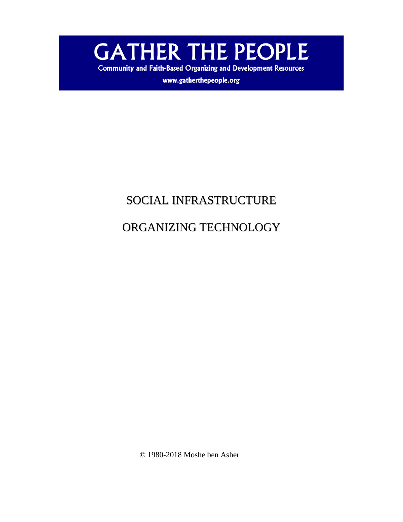**GATHER THE PEOPLE** 

**Community and Faith-Based Organizing and Development Resources** 

www.gatherthepeople.org

## SOCIAL INFRASTRUCTURE

# ORGANIZING TECHNOLOGY

© 1980-2018 Moshe ben Asher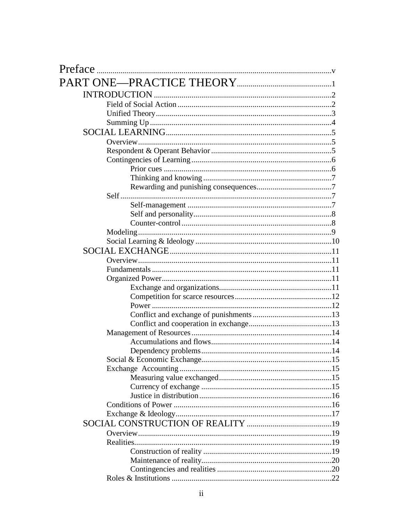| Preface |  |
|---------|--|
|         |  |
|         |  |
|         |  |
|         |  |
|         |  |
|         |  |
|         |  |
|         |  |
|         |  |
|         |  |
|         |  |
|         |  |
|         |  |
|         |  |
|         |  |
|         |  |
|         |  |
|         |  |
|         |  |
|         |  |
|         |  |
|         |  |
|         |  |
|         |  |
|         |  |
|         |  |
|         |  |
|         |  |
|         |  |
|         |  |
|         |  |
|         |  |
|         |  |
|         |  |
|         |  |
|         |  |
|         |  |
|         |  |
|         |  |
|         |  |
|         |  |
|         |  |
|         |  |
|         |  |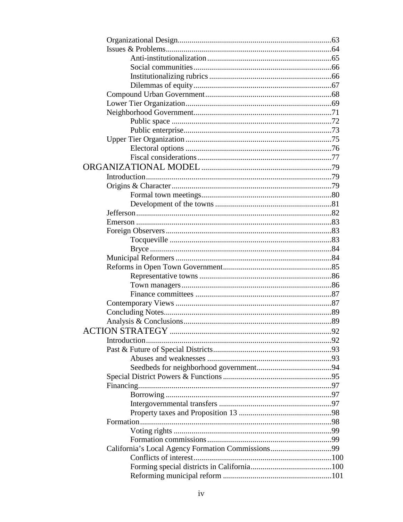| .92 |
|-----|
|     |
|     |
|     |
|     |
|     |
|     |
|     |
|     |
|     |
|     |
|     |
|     |
|     |
|     |
|     |
|     |
|     |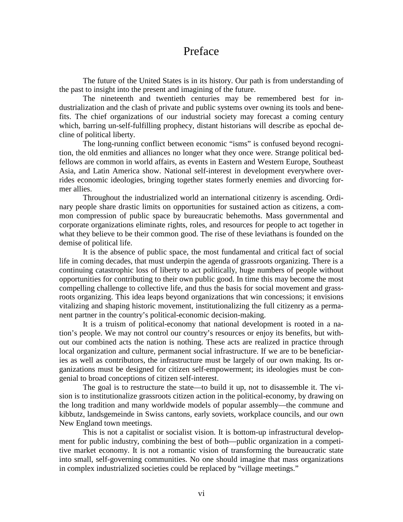## Preface

The future of the United States is in its history. Our path is from understanding of the past to insight into the present and imagining of the future.

The nineteenth and twentieth centuries may be remembered best for industrialization and the clash of private and public systems over owning its tools and benefits. The chief organizations of our industrial society may forecast a coming century which, barring un-self-fulfilling prophecy, distant historians will describe as epochal decline of political liberty.

The long-running conflict between economic "isms" is confused beyond recognition, the old enmities and alliances no longer what they once were. Strange political bedfellows are common in world affairs, as events in Eastern and Western Europe, Southeast Asia, and Latin America show. National self-interest in development everywhere overrides economic ideologies, bringing together states formerly enemies and divorcing former allies.

Throughout the industrialized world an international citizenry is ascending. Ordinary people share drastic limits on opportunities for sustained action as citizens, a common compression of public space by bureaucratic behemoths. Mass governmental and corporate organizations eliminate rights, roles, and resources for people to act together in what they believe to be their common good. The rise of these leviathans is founded on the demise of political life.

It is the absence of public space, the most fundamental and critical fact of social life in coming decades, that must underpin the agenda of grassroots organizing. There is a continuing catastrophic loss of liberty to act politically, huge numbers of people without opportunities for contributing to their own public good. In time this may become the most compelling challenge to collective life, and thus the basis for social movement and grassroots organizing. This idea leaps beyond organizations that win concessions; it envisions vitalizing and shaping historic movement, institutionalizing the full citizenry as a permanent partner in the country's political-economic decision-making.

It is a truism of political-economy that national development is rooted in a nation's people. We may not control our country's resources or enjoy its benefits, but without our combined acts the nation is nothing. These acts are realized in practice through local organization and culture, permanent social infrastructure. If we are to be beneficiaries as well as contributors, the infrastructure must be largely of our own making. Its organizations must be designed for citizen self-empowerment; its ideologies must be congenial to broad conceptions of citizen self-interest.

The goal is to restructure the state—to build it up, not to disassemble it. The vision is to institutionalize grassroots citizen action in the political-economy, by drawing on the long tradition and many worldwide models of popular assembly—the commune and kibbutz, landsgemeinde in Swiss cantons, early soviets, workplace councils, and our own New England town meetings.

This is not a capitalist or socialist vision. It is bottom-up infrastructural development for public industry, combining the best of both—public organization in a competitive market economy. It is not a romantic vision of transforming the bureaucratic state into small, self-governing communities. No one should imagine that mass organizations in complex industrialized societies could be replaced by "village meetings."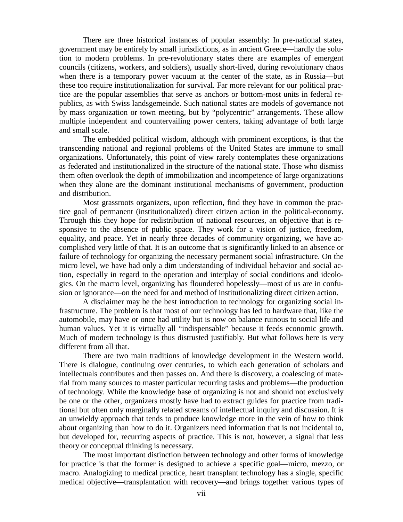There are three historical instances of popular assembly: In pre-national states, government may be entirely by small jurisdictions, as in ancient Greece—hardly the solution to modern problems. In pre-revolutionary states there are examples of emergent councils (citizens, workers, and soldiers), usually short-lived, during revolutionary chaos when there is a temporary power vacuum at the center of the state, as in Russia—but these too require institutionalization for survival. Far more relevant for our political practice are the popular assemblies that serve as anchors or bottom-most units in federal republics, as with Swiss landsgemeinde. Such national states are models of governance not by mass organization or town meeting, but by "polycentric" arrangements. These allow multiple independent and countervailing power centers, taking advantage of both large and small scale.

The embedded political wisdom, although with prominent exceptions, is that the transcending national and regional problems of the United States are immune to small organizations. Unfortunately, this point of view rarely contemplates these organizations as federated and institutionalized in the structure of the national state. Those who dismiss them often overlook the depth of immobilization and incompetence of large organizations when they alone are the dominant institutional mechanisms of government, production and distribution.

Most grassroots organizers, upon reflection, find they have in common the practice goal of permanent (institutionalized) direct citizen action in the political-economy. Through this they hope for redistribution of national resources, an objective that is responsive to the absence of public space. They work for a vision of justice, freedom, equality, and peace. Yet in nearly three decades of community organizing, we have accomplished very little of that. It is an outcome that is significantly linked to an absence or failure of technology for organizing the necessary permanent social infrastructure. On the micro level, we have had only a dim understanding of individual behavior and social action, especially in regard to the operation and interplay of social conditions and ideologies. On the macro level, organizing has floundered hopelessly—most of us are in confusion or ignorance—on the need for and method of institutionalizing direct citizen action.

A disclaimer may be the best introduction to technology for organizing social infrastructure. The problem is that most of our technology has led to hardware that, like the automobile, may have or once had utility but is now on balance ruinous to social life and human values. Yet it is virtually all "indispensable" because it feeds economic growth. Much of modern technology is thus distrusted justifiably. But what follows here is very different from all that.

There are two main traditions of knowledge development in the Western world. There is dialogue, continuing over centuries, to which each generation of scholars and intellectuals contributes and then passes on. And there is discovery, a coalescing of material from many sources to master particular recurring tasks and problems—the production of technology. While the knowledge base of organizing is not and should not exclusively be one or the other, organizers mostly have had to extract guides for practice from traditional but often only marginally related streams of intellectual inquiry and discussion. It is an unwieldy approach that tends to produce knowledge more in the vein of how to think about organizing than how to do it. Organizers need information that is not incidental to, but developed for, recurring aspects of practice. This is not, however, a signal that less theory or conceptual thinking is necessary.

The most important distinction between technology and other forms of knowledge for practice is that the former is designed to achieve a specific goal—micro, mezzo, or macro. Analogizing to medical practice, heart transplant technology has a single, specific medical objective—transplantation with recovery—and brings together various types of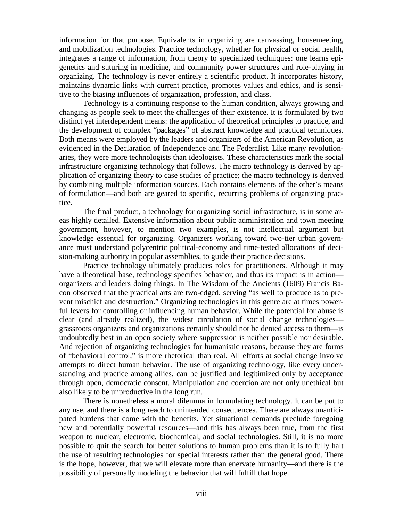information for that purpose. Equivalents in organizing are canvassing, housemeeting, and mobilization technologies. Practice technology, whether for physical or social health, integrates a range of information, from theory to specialized techniques: one learns epigenetics and suturing in medicine, and community power structures and role-playing in organizing. The technology is never entirely a scientific product. It incorporates history, maintains dynamic links with current practice, promotes values and ethics, and is sensitive to the biasing influences of organization, profession, and class.

Technology is a continuing response to the human condition, always growing and changing as people seek to meet the challenges of their existence. It is formulated by two distinct yet interdependent means: the application of theoretical principles to practice, and the development of complex "packages" of abstract knowledge and practical techniques. Both means were employed by the leaders and organizers of the American Revolution, as evidenced in the Declaration of Independence and The Federalist. Like many revolutionaries, they were more technologists than ideologists. These characteristics mark the social infrastructure organizing technology that follows. The micro technology is derived by application of organizing theory to case studies of practice; the macro technology is derived by combining multiple information sources. Each contains elements of the other's means of formulation—and both are geared to specific, recurring problems of organizing practice.

The final product, a technology for organizing social infrastructure, is in some areas highly detailed. Extensive information about public administration and town meeting government, however, to mention two examples, is not intellectual argument but knowledge essential for organizing. Organizers working toward two-tier urban governance must understand polycentric political-economy and time-tested allocations of decision-making authority in popular assemblies, to guide their practice decisions.

Practice technology ultimately produces roles for practitioners. Although it may have a theoretical base, technology specifies behavior, and thus its impact is in action organizers and leaders doing things. In The Wisdom of the Ancients (1609) Francis Bacon observed that the practical arts are two-edged, serving "as well to produce as to prevent mischief and destruction." Organizing technologies in this genre are at times powerful levers for controlling or influencing human behavior. While the potential for abuse is clear (and already realized), the widest circulation of social change technologies grassroots organizers and organizations certainly should not be denied access to them—is undoubtedly best in an open society where suppression is neither possible nor desirable. And rejection of organizing technologies for humanistic reasons, because they are forms of "behavioral control," is more rhetorical than real. All efforts at social change involve attempts to direct human behavior. The use of organizing technology, like every understanding and practice among allies, can be justified and legitimized only by acceptance through open, democratic consent. Manipulation and coercion are not only unethical but also likely to be unproductive in the long run.

There is nonetheless a moral dilemma in formulating technology. It can be put to any use, and there is a long reach to unintended consequences. There are always unanticipated burdens that come with the benefits. Yet situational demands preclude foregoing new and potentially powerful resources—and this has always been true, from the first weapon to nuclear, electronic, biochemical, and social technologies. Still, it is no more possible to quit the search for better solutions to human problems than it is to fully halt the use of resulting technologies for special interests rather than the general good. There is the hope, however, that we will elevate more than enervate humanity—and there is the possibility of personally modeling the behavior that will fulfill that hope.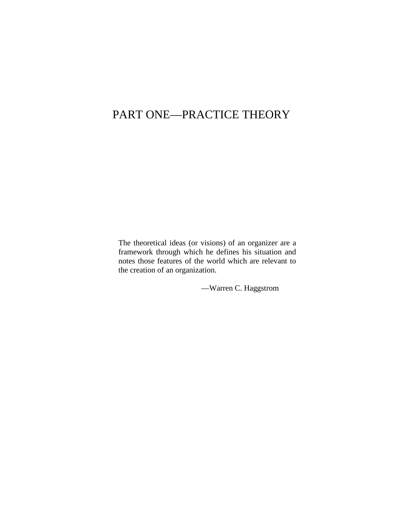## PART ONE—PRACTICE THEORY

The theoretical ideas (or visions) of an organizer are a framework through which he defines his situation and notes those features of the world which are relevant to the creation of an organization.

—Warren C. Haggstrom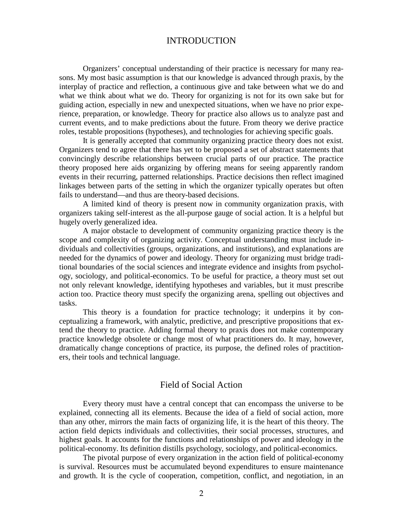## INTRODUCTION

 Organizers' conceptual understanding of their practice is necessary for many reasons. My most basic assumption is that our knowledge is advanced through praxis, by the interplay of practice and reflection, a continuous give and take between what we do and what we think about what we do. Theory for organizing is not for its own sake but for guiding action, especially in new and unexpected situations, when we have no prior experience, preparation, or knowledge. Theory for practice also allows us to analyze past and current events, and to make predictions about the future. From theory we derive practice roles, testable propositions (hypotheses), and technologies for achieving specific goals.

 It is generally accepted that community organizing practice theory does not exist. Organizers tend to agree that there has yet to be proposed a set of abstract statements that convincingly describe relationships between crucial parts of our practice. The practice theory proposed here aids organizing by offering means for seeing apparently random events in their recurring, patterned relationships. Practice decisions then reflect imagined linkages between parts of the setting in which the organizer typically operates but often fails to understand—and thus are theory-based decisions.

 A limited kind of theory is present now in community organization praxis, with organizers taking self-interest as the all-purpose gauge of social action. It is a helpful but hugely overly generalized idea.

 A major obstacle to development of community organizing practice theory is the scope and complexity of organizing activity. Conceptual understanding must include individuals and collectivities (groups, organizations, and institutions), and explanations are needed for the dynamics of power and ideology. Theory for organizing must bridge traditional boundaries of the social sciences and integrate evidence and insights from psychology, sociology, and political-economics. To be useful for practice, a theory must set out not only relevant knowledge, identifying hypotheses and variables, but it must prescribe action too. Practice theory must specify the organizing arena, spelling out objectives and tasks.

 This theory is a foundation for practice technology; it underpins it by conceptualizing a framework, with analytic, predictive, and prescriptive propositions that extend the theory to practice. Adding formal theory to praxis does not make contemporary practice knowledge obsolete or change most of what practitioners do. It may, however, dramatically change conceptions of practice, its purpose, the defined roles of practitioners, their tools and technical language.

#### Field of Social Action

 Every theory must have a central concept that can encompass the universe to be explained, connecting all its elements. Because the idea of a field of social action, more than any other, mirrors the main facts of organizing life, it is the heart of this theory. The action field depicts individuals and collectivities, their social processes, structures, and highest goals. It accounts for the functions and relationships of power and ideology in the political-economy. Its definition distills psychology, sociology, and political-economics.

 The pivotal purpose of every organization in the action field of political-economy is survival. Resources must be accumulated beyond expenditures to ensure maintenance and growth. It is the cycle of cooperation, competition, conflict, and negotiation, in an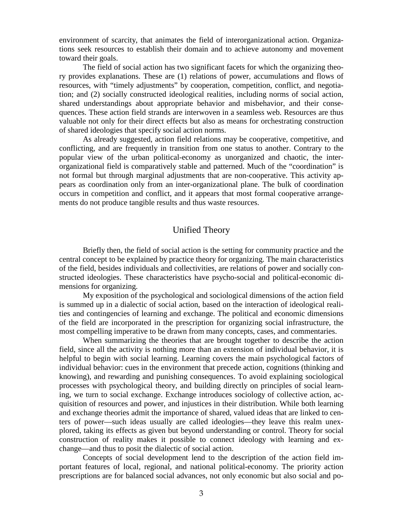environment of scarcity, that animates the field of interorganizational action. Organizations seek resources to establish their domain and to achieve autonomy and movement toward their goals.

 The field of social action has two significant facets for which the organizing theory provides explanations. These are (1) relations of power, accumulations and flows of resources, with "timely adjustments" by cooperation, competition, conflict, and negotiation; and (2) socially constructed ideological realities, including norms of social action, shared understandings about appropriate behavior and misbehavior, and their consequences. These action field strands are interwoven in a seamless web. Resources are thus valuable not only for their direct effects but also as means for orchestrating construction of shared ideologies that specify social action norms.

 As already suggested, action field relations may be cooperative, competitive, and conflicting, and are frequently in transition from one status to another. Contrary to the popular view of the urban political-economy as unorganized and chaotic, the interorganizational field is comparatively stable and patterned. Much of the "coordination" is not formal but through marginal adjustments that are non-cooperative. This activity appears as coordination only from an inter-organizational plane. The bulk of coordination occurs in competition and conflict, and it appears that most formal cooperative arrangements do not produce tangible results and thus waste resources.

## Unified Theory

 Briefly then, the field of social action is the setting for community practice and the central concept to be explained by practice theory for organizing. The main characteristics of the field, besides individuals and collectivities, are relations of power and socially constructed ideologies. These characteristics have psycho-social and political-economic dimensions for organizing.

 My exposition of the psychological and sociological dimensions of the action field is summed up in a dialectic of social action, based on the interaction of ideological realities and contingencies of learning and exchange. The political and economic dimensions of the field are incorporated in the prescription for organizing social infrastructure, the most compelling imperative to be drawn from many concepts, cases, and commentaries.

 When summarizing the theories that are brought together to describe the action field, since all the activity is nothing more than an extension of individual behavior, it is helpful to begin with social learning. Learning covers the main psychological factors of individual behavior: cues in the environment that precede action, cognitions (thinking and knowing), and rewarding and punishing consequences. To avoid explaining sociological processes with psychological theory, and building directly on principles of social learning, we turn to social exchange. Exchange introduces sociology of collective action, acquisition of resources and power, and injustices in their distribution. While both learning and exchange theories admit the importance of shared, valued ideas that are linked to centers of power—such ideas usually are called ideologies—they leave this realm unexplored, taking its effects as given but beyond understanding or control. Theory for social construction of reality makes it possible to connect ideology with learning and exchange—and thus to posit the dialectic of social action.

 Concepts of social development lend to the description of the action field important features of local, regional, and national political-economy. The priority action prescriptions are for balanced social advances, not only economic but also social and po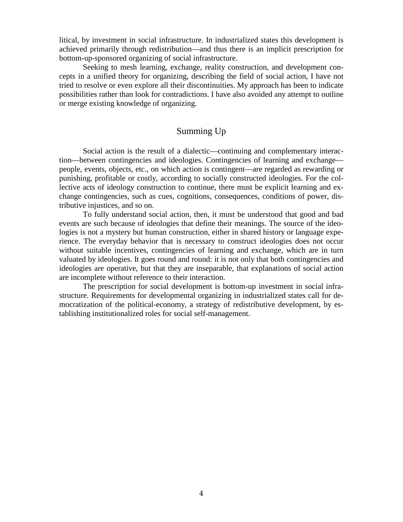litical, by investment in social infrastructure. In industrialized states this development is achieved primarily through redistribution—and thus there is an implicit prescription for bottom-up-sponsored organizing of social infrastructure.

 Seeking to mesh learning, exchange, reality construction, and development concepts in a unified theory for organizing, describing the field of social action, I have not tried to resolve or even explore all their discontinuities. My approach has been to indicate possibilities rather than look for contradictions. I have also avoided any attempt to outline or merge existing knowledge of organizing.

## Summing Up

 Social action is the result of a dialectic—continuing and complementary interaction—between contingencies and ideologies. Contingencies of learning and exchange people, events, objects, etc., on which action is contingent—are regarded as rewarding or punishing, profitable or costly, according to socially constructed ideologies. For the collective acts of ideology construction to continue, there must be explicit learning and exchange contingencies, such as cues, cognitions, consequences, conditions of power, distributive injustices, and so on.

 To fully understand social action, then, it must be understood that good and bad events are such because of ideologies that define their meanings. The source of the ideologies is not a mystery but human construction, either in shared history or language experience. The everyday behavior that is necessary to construct ideologies does not occur without suitable incentives, contingencies of learning and exchange, which are in turn valuated by ideologies. It goes round and round: it is not only that both contingencies and ideologies are operative, but that they are inseparable, that explanations of social action are incomplete without reference to their interaction.

 The prescription for social development is bottom-up investment in social infrastructure. Requirements for developmental organizing in industrialized states call for democratization of the political-economy, a strategy of redistributive development, by establishing institutionalized roles for social self-management.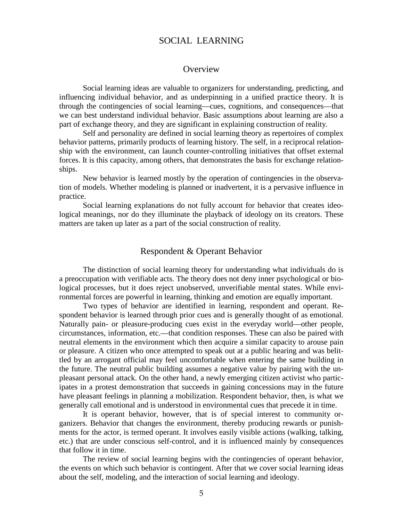## SOCIAL LEARNING

#### **Overview**

 Social learning ideas are valuable to organizers for understanding, predicting, and influencing individual behavior, and as underpinning in a unified practice theory. It is through the contingencies of social learning—cues, cognitions, and consequences—that we can best understand individual behavior. Basic assumptions about learning are also a part of exchange theory, and they are significant in explaining construction of reality.

 Self and personality are defined in social learning theory as repertoires of complex behavior patterns, primarily products of learning history. The self, in a reciprocal relationship with the environment, can launch counter-controlling initiatives that offset external forces. It is this capacity, among others, that demonstrates the basis for exchange relationships.

 New behavior is learned mostly by the operation of contingencies in the observation of models. Whether modeling is planned or inadvertent, it is a pervasive influence in practice.

 Social learning explanations do not fully account for behavior that creates ideological meanings, nor do they illuminate the playback of ideology on its creators. These matters are taken up later as a part of the social construction of reality.

## Respondent & Operant Behavior

 The distinction of social learning theory for understanding what individuals do is a preoccupation with verifiable acts. The theory does not deny inner psychological or biological processes, but it does reject unobserved, unverifiable mental states. While environmental forces are powerful in learning, thinking and emotion are equally important.

 Two types of behavior are identified in learning, respondent and operant. Respondent behavior is learned through prior cues and is generally thought of as emotional. Naturally pain- or pleasure-producing cues exist in the everyday world—other people, circumstances, information, etc.—that condition responses. These can also be paired with neutral elements in the environment which then acquire a similar capacity to arouse pain or pleasure. A citizen who once attempted to speak out at a public hearing and was belittled by an arrogant official may feel uncomfortable when entering the same building in the future. The neutral public building assumes a negative value by pairing with the unpleasant personal attack. On the other hand, a newly emerging citizen activist who participates in a protest demonstration that succeeds in gaining concessions may in the future have pleasant feelings in planning a mobilization. Respondent behavior, then, is what we generally call emotional and is understood in environmental cues that precede it in time.

 It is operant behavior, however, that is of special interest to community organizers. Behavior that changes the environment, thereby producing rewards or punishments for the actor, is termed operant. It involves easily visible actions (walking, talking, etc.) that are under conscious self-control, and it is influenced mainly by consequences that follow it in time.

 The review of social learning begins with the contingencies of operant behavior, the events on which such behavior is contingent. After that we cover social learning ideas about the self, modeling, and the interaction of social learning and ideology.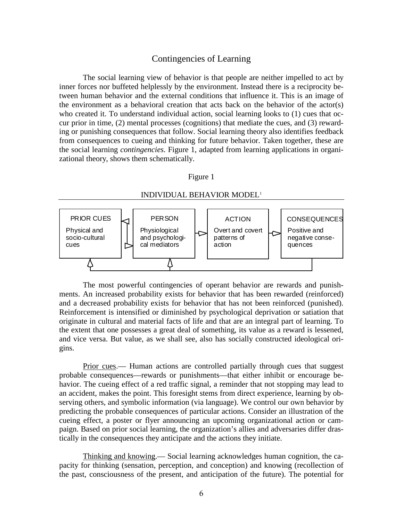#### Contingencies of Learning

 The social learning view of behavior is that people are neither impelled to act by inner forces nor buffeted helplessly by the environment. Instead there is a reciprocity between human behavior and the external conditions that influence it. This is an image of the environment as a behavioral creation that acts back on the behavior of the actor(s) who created it. To understand individual action, social learning looks to (1) cues that occur prior in time, (2) mental processes (cognitions) that mediate the cues, and (3) rewarding or punishing consequences that follow. Social learning theory also identifies feedback from consequences to cueing and thinking for future behavior. Taken together, these are the social learning *contingencies*. Figure 1, adapted from learning applications in organizational theory, shows them schematically.

#### Figure 1



 The most powerful contingencies of operant behavior are rewards and punishments. An increased probability exists for behavior that has been rewarded (reinforced) and a decreased probability exists for behavior that has not been reinforced (punished). Reinforcement is intensified or diminished by psychological deprivation or satiation that originate in cultural and material facts of life and that are an integral part of learning. To the extent that one possesses a great deal of something, its value as a reward is lessened, and vice versa. But value, as we shall see, also has socially constructed ideological origins.

Prior cues.— Human actions are controlled partially through cues that suggest probable consequences—rewards or punishments—that either inhibit or encourage behavior. The cueing effect of a red traffic signal, a reminder that not stopping may lead to an accident, makes the point. This foresight stems from direct experience, learning by observing others, and symbolic information (via language). We control our own behavior by predicting the probable consequences of particular actions. Consider an illustration of the cueing effect, a poster or flyer announcing an upcoming organizational action or campaign. Based on prior social learning, the organization's allies and adversaries differ drastically in the consequences they anticipate and the actions they initiate.

 Thinking and knowing.— Social learning acknowledges human cognition, the capacity for thinking (sensation, perception, and conception) and knowing (recollection of the past, consciousness of the present, and anticipation of the future). The potential for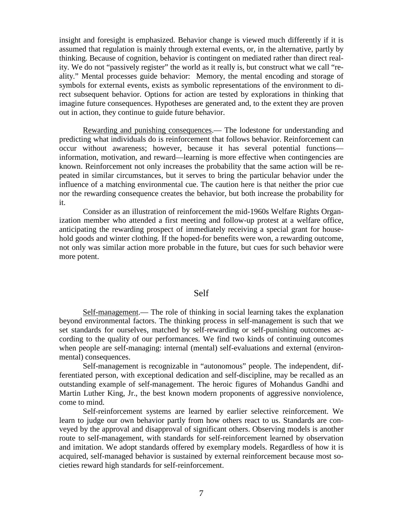insight and foresight is emphasized. Behavior change is viewed much differently if it is assumed that regulation is mainly through external events, or, in the alternative, partly by thinking. Because of cognition, behavior is contingent on mediated rather than direct reality. We do not "passively register" the world as it really is, but construct what we call "reality." Mental processes guide behavior: Memory, the mental encoding and storage of symbols for external events, exists as symbolic representations of the environment to direct subsequent behavior. Options for action are tested by explorations in thinking that imagine future consequences. Hypotheses are generated and, to the extent they are proven out in action, they continue to guide future behavior.

 Rewarding and punishing consequences.— The lodestone for understanding and predicting what individuals do is reinforcement that follows behavior. Reinforcement can occur without awareness; however, because it has several potential functions information, motivation, and reward—learning is more effective when contingencies are known. Reinforcement not only increases the probability that the same action will be repeated in similar circumstances, but it serves to bring the particular behavior under the influence of a matching environmental cue. The caution here is that neither the prior cue nor the rewarding consequence creates the behavior, but both increase the probability for it.

 Consider as an illustration of reinforcement the mid-1960s Welfare Rights Organization member who attended a first meeting and follow-up protest at a welfare office, anticipating the rewarding prospect of immediately receiving a special grant for household goods and winter clothing. If the hoped-for benefits were won, a rewarding outcome, not only was similar action more probable in the future, but cues for such behavior were more potent.

#### Self

Self-management.— The role of thinking in social learning takes the explanation beyond environmental factors. The thinking process in self-management is such that we set standards for ourselves, matched by self-rewarding or self-punishing outcomes according to the quality of our performances. We find two kinds of continuing outcomes when people are self-managing: internal (mental) self-evaluations and external (environmental) consequences.

 Self-management is recognizable in "autonomous" people. The independent, differentiated person, with exceptional dedication and self-discipline, may be recalled as an outstanding example of self-management. The heroic figures of Mohandus Gandhi and Martin Luther King, Jr., the best known modern proponents of aggressive nonviolence, come to mind.

 Self-reinforcement systems are learned by earlier selective reinforcement. We learn to judge our own behavior partly from how others react to us. Standards are conveyed by the approval and disapproval of significant others. Observing models is another route to self-management, with standards for self-reinforcement learned by observation and imitation. We adopt standards offered by exemplary models. Regardless of how it is acquired, self-managed behavior is sustained by external reinforcement because most societies reward high standards for self-reinforcement.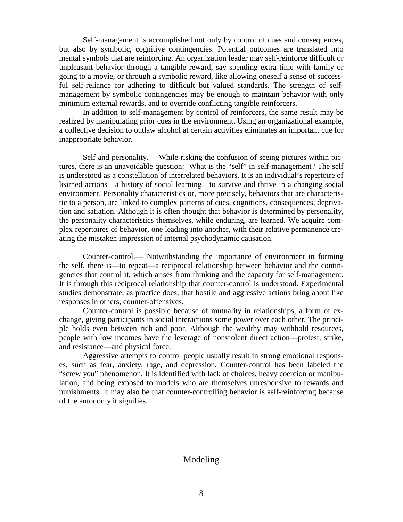Self-management is accomplished not only by control of cues and consequences, but also by symbolic, cognitive contingencies. Potential outcomes are translated into mental symbols that are reinforcing. An organization leader may self-reinforce difficult or unpleasant behavior through a tangible reward, say spending extra time with family or going to a movie, or through a symbolic reward, like allowing oneself a sense of successful self-reliance for adhering to difficult but valued standards. The strength of selfmanagement by symbolic contingencies may be enough to maintain behavior with only minimum external rewards, and to override conflicting tangible reinforcers.

 In addition to self-management by control of reinforcers, the same result may be realized by manipulating prior cues in the environment. Using an organizational example, a collective decision to outlaw alcohol at certain activities eliminates an important cue for inappropriate behavior.

 Self and personality.— While risking the confusion of seeing pictures within pictures, there is an unavoidable question: What is the "self" in self-management? The self is understood as a constellation of interrelated behaviors. It is an individual's repertoire of learned actions—a history of social learning—to survive and thrive in a changing social environment. Personality characteristics or, more precisely, behaviors that are characteristic to a person, are linked to complex patterns of cues, cognitions, consequences, deprivation and satiation. Although it is often thought that behavior is determined by personality, the personality characteristics themselves, while enduring, are learned. We acquire complex repertoires of behavior, one leading into another, with their relative permanence creating the mistaken impression of internal psychodynamic causation.

 Counter-control.— Notwithstanding the importance of environment in forming the self, there is—to repeat—a reciprocal relationship between behavior and the contingencies that control it, which arises from thinking and the capacity for self-management. It is through this reciprocal relationship that counter-control is understood. Experimental studies demonstrate, as practice does, that hostile and aggressive actions bring about like responses in others, counter-offensives.

 Counter-control is possible because of mutuality in relationships, a form of exchange, giving participants in social interactions some power over each other. The principle holds even between rich and poor. Although the wealthy may withhold resources, people with low incomes have the leverage of nonviolent direct action—protest, strike, and resistance—and physical force.

 Aggressive attempts to control people usually result in strong emotional responses, such as fear, anxiety, rage, and depression. Counter-control has been labeled the "screw you" phenomenon. It is identified with lack of choices, heavy coercion or manipulation, and being exposed to models who are themselves unresponsive to rewards and punishments. It may also be that counter-controlling behavior is self-reinforcing because of the autonomy it signifies.

## Modeling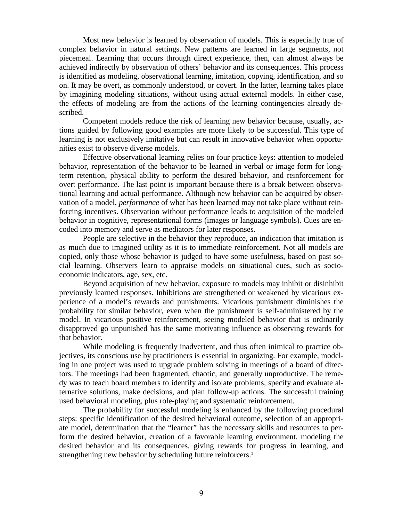Most new behavior is learned by observation of models. This is especially true of complex behavior in natural settings. New patterns are learned in large segments, not piecemeal. Learning that occurs through direct experience, then, can almost always be achieved indirectly by observation of others' behavior and its consequences. This process is identified as modeling, observational learning, imitation, copying, identification, and so on. It may be overt, as commonly understood, or covert. In the latter, learning takes place by imagining modeling situations, without using actual external models. In either case, the effects of modeling are from the actions of the learning contingencies already described.

 Competent models reduce the risk of learning new behavior because, usually, actions guided by following good examples are more likely to be successful. This type of learning is not exclusively imitative but can result in innovative behavior when opportunities exist to observe diverse models.

 Effective observational learning relies on four practice keys: attention to modeled behavior, representation of the behavior to be learned in verbal or image form for longterm retention, physical ability to perform the desired behavior, and reinforcement for overt performance. The last point is important because there is a break between observational learning and actual performance. Although new behavior can be acquired by observation of a model, *performance* of what has been learned may not take place without reinforcing incentives. Observation without performance leads to acquisition of the modeled behavior in cognitive, representational forms (images or language symbols). Cues are encoded into memory and serve as mediators for later responses.

 People are selective in the behavior they reproduce, an indication that imitation is as much due to imagined utility as it is to immediate reinforcement. Not all models are copied, only those whose behavior is judged to have some usefulness, based on past social learning. Observers learn to appraise models on situational cues, such as socioeconomic indicators, age, sex, etc.

 Beyond acquisition of new behavior, exposure to models may inhibit or disinhibit previously learned responses. Inhibitions are strengthened or weakened by vicarious experience of a model's rewards and punishments. Vicarious punishment diminishes the probability for similar behavior, even when the punishment is self-administered by the model. In vicarious positive reinforcement, seeing modeled behavior that is ordinarily disapproved go unpunished has the same motivating influence as observing rewards for that behavior.

 While modeling is frequently inadvertent, and thus often inimical to practice objectives, its conscious use by practitioners is essential in organizing. For example, modeling in one project was used to upgrade problem solving in meetings of a board of directors. The meetings had been fragmented, chaotic, and generally unproductive. The remedy was to teach board members to identify and isolate problems, specify and evaluate alternative solutions, make decisions, and plan follow-up actions. The successful training used behavioral modeling, plus role-playing and systematic reinforcement.

 The probability for successful modeling is enhanced by the following procedural steps: specific identification of the desired behavioral outcome, selection of an appropriate model, determination that the "learner" has the necessary skills and resources to perform the desired behavior, creation of a favorable learning environment, modeling the desired behavior and its consequences, giving rewards for progress in learning, and strengthening new behavior by scheduling future reinforcers.<sup>[2](#page-123-1)</sup>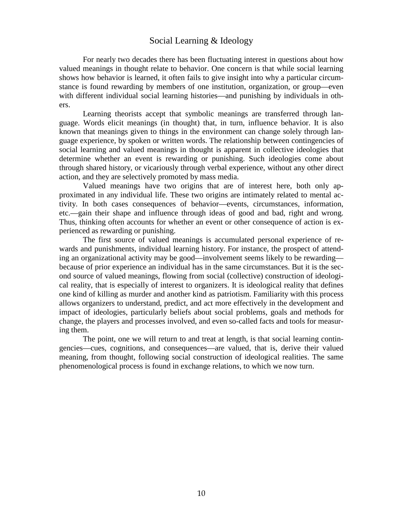## Social Learning & Ideology

 For nearly two decades there has been fluctuating interest in questions about how valued meanings in thought relate to behavior. One concern is that while social learning shows how behavior is learned, it often fails to give insight into why a particular circumstance is found rewarding by members of one institution, organization, or group—even with different individual social learning histories—and punishing by individuals in others.

 Learning theorists accept that symbolic meanings are transferred through language. Words elicit meanings (in thought) that, in turn, influence behavior. It is also known that meanings given to things in the environment can change solely through language experience, by spoken or written words. The relationship between contingencies of social learning and valued meanings in thought is apparent in collective ideologies that determine whether an event is rewarding or punishing. Such ideologies come about through shared history, or vicariously through verbal experience, without any other direct action, and they are selectively promoted by mass media.

 Valued meanings have two origins that are of interest here, both only approximated in any individual life. These two origins are intimately related to mental activity. In both cases consequences of behavior—events, circumstances, information, etc.—gain their shape and influence through ideas of good and bad, right and wrong. Thus, thinking often accounts for whether an event or other consequence of action is experienced as rewarding or punishing.

 The first source of valued meanings is accumulated personal experience of rewards and punishments, individual learning history. For instance, the prospect of attending an organizational activity may be good—involvement seems likely to be rewarding because of prior experience an individual has in the same circumstances. But it is the second source of valued meanings, flowing from social (collective) construction of ideological reality, that is especially of interest to organizers. It is ideological reality that defines one kind of killing as murder and another kind as patriotism. Familiarity with this process allows organizers to understand, predict, and act more effectively in the development and impact of ideologies, particularly beliefs about social problems, goals and methods for change, the players and processes involved, and even so-called facts and tools for measuring them.

 The point, one we will return to and treat at length, is that social learning contingencies—cues, cognitions, and consequences—are valued, that is, derive their valued meaning, from thought, following social construction of ideological realities. The same phenomenological process is found in exchange relations, to which we now turn.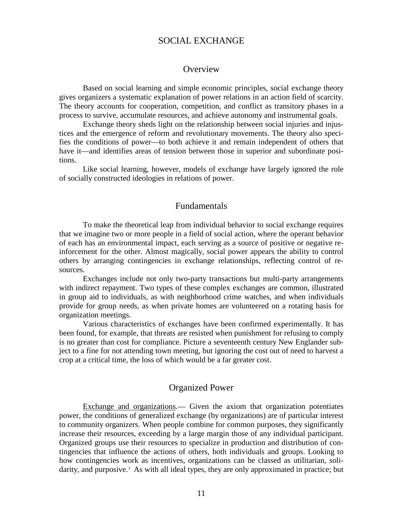## SOCIAL EXCHANGE

#### **Overview**

 Based on social learning and simple economic principles, social exchange theory gives organizers a systematic explanation of power relations in an action field of scarcity. The theory accounts for cooperation, competition, and conflict as transitory phases in a process to survive, accumulate resources, and achieve autonomy and instrumental goals.

 Exchange theory sheds light on the relationship between social injuries and injustices and the emergence of reform and revolutionary movements. The theory also specifies the conditions of power—to both achieve it and remain independent of others that have it—and identifies areas of tension between those in superior and subordinate positions.

 Like social learning, however, models of exchange have largely ignored the role of socially constructed ideologies in relations of power.

#### Fundamentals

 To make the theoretical leap from individual behavior to social exchange requires that we imagine two or more people in a field of social action, where the operant behavior of each has an environmental impact, each serving as a source of positive or negative reinforcement for the other. Almost magically, social power appears the ability to control others by arranging contingencies in exchange relationships, reflecting control of resources.

 Exchanges include not only two-party transactions but multi-party arrangements with indirect repayment. Two types of these complex exchanges are common, illustrated in group aid to individuals, as with neighborhood crime watches, and when individuals provide for group needs, as when private homes are volunteered on a rotating basis for organization meetings.

 Various characteristics of exchanges have been confirmed experimentally. It has been found, for example, that threats are resisted when punishment for refusing to comply is no greater than cost for compliance. Picture a seventeenth century New Englander subject to a fine for not attending town meeting, but ignoring the cost out of need to harvest a crop at a critical time, the loss of which would be a far greater cost.

#### Organized Power

 Exchange and organizations.— Given the axiom that organization potentiates power, the conditions of generalized exchange (by organizations) are of particular interest to community organizers. When people combine for common purposes, they significantly increase their resources, exceeding by a large margin those of any individual participant. Organized groups use their resources to specialize in production and distribution of contingencies that influence the actions of others, both individuals and groups. Looking to how contingencies work as incentives, organizations can be classed as utilitarian, soli-darity, and purposive.<sup>[3](#page-123-2)</sup> As with all ideal types, they are only approximated in practice; but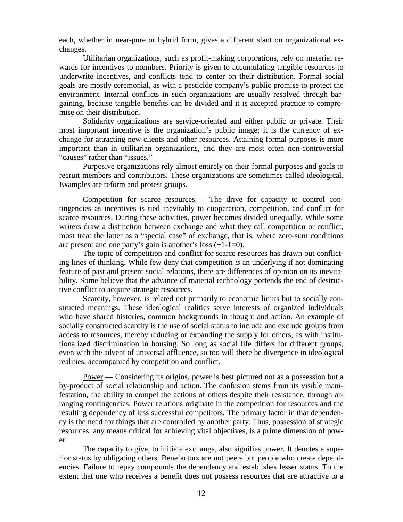each, whether in near-pure or hybrid form, gives a different slant on organizational exchanges.

 Utilitarian organizations, such as profit-making corporations, rely on material rewards for incentives to members. Priority is given to accumulating tangible resources to underwrite incentives, and conflicts tend to center on their distribution. Formal social goals are mostly ceremonial, as with a pesticide company's public promise to protect the environment. Internal conflicts in such organizations are usually resolved through bargaining, because tangible benefits can be divided and it is accepted practice to compromise on their distribution.

 Solidarity organizations are service-oriented and either public or private. Their most important incentive is the organization's public image; it is the currency of exchange for attracting new clients and other resources. Attaining formal purposes is more important than in utilitarian organizations, and they are most often non-controversial "causes" rather than "issues."

 Purposive organizations rely almost entirely on their formal purposes and goals to recruit members and contributors. These organizations are sometimes called ideological. Examples are reform and protest groups.

 Competition for scarce resources.— The drive for capacity to control contingencies as incentives is tied inevitably to cooperation, competition, and conflict for scarce resources. During these activities, power becomes divided unequally. While some writers draw a distinction between exchange and what they call competition or conflict, most treat the latter as a "special case" of exchange, that is, where zero-sum conditions are present and one party's gain is another's loss  $(+1-1=0)$ .

 The topic of competition and conflict for scarce resources has drawn out conflicting lines of thinking. While few deny that competition *is* an underlying if not dominating feature of past and present social relations, there are differences of opinion on its inevitability. Some believe that the advance of material technology portends the end of destructive conflict to acquire strategic resources.

Scarcity, however, is related not primarily to economic limits but to socially constructed meanings. These ideological realities serve interests of organized individuals who have shared histories, common backgrounds in thought and action. An example of socially constructed scarcity is the use of social status to include and exclude groups from access to resources, thereby reducing or expanding the supply for others, as with institutionalized discrimination in housing. So long as social life differs for different groups, even with the advent of universal affluence, so too will there be divergence in ideological realities, accompanied by competition and conflict.

 Power.— Considering its origins, power is best pictured not as a possession but a by-product of social relationship and action. The confusion stems from its visible manifestation, the ability to compel the actions of others despite their resistance, through arranging contingencies. Power relations originate in the competition for resources and the resulting dependency of less successful competitors. The primary factor in that dependency is the need for things that are controlled by another party. Thus, possession of strategic resources, any means critical for achieving vital objectives, is a prime dimension of power.

 The capacity to give, to initiate exchange, also signifies power. It denotes a superior status by obligating others. Benefactors are not peers but people who create dependencies. Failure to repay compounds the dependency and establishes lesser status. To the extent that one who receives a benefit does not possess resources that are attractive to a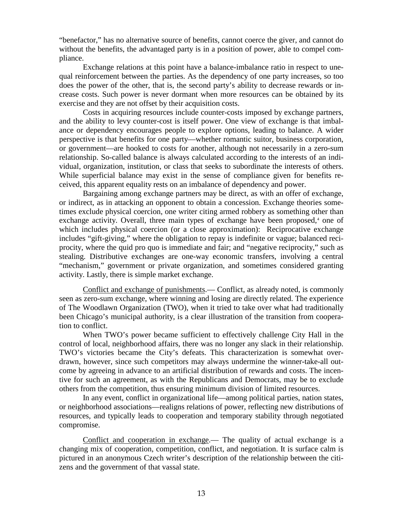"benefactor," has no alternative source of benefits, cannot coerce the giver, and cannot do without the benefits, the advantaged party is in a position of power, able to compel compliance.

 Exchange relations at this point have a balance-imbalance ratio in respect to unequal reinforcement between the parties. As the dependency of one party increases, so too does the power of the other, that is, the second party's ability to decrease rewards or increase costs. Such power is never dormant when more resources can be obtained by its exercise and they are not offset by their acquisition costs.

 Costs in acquiring resources include counter-costs imposed by exchange partners, and the ability to levy counter-cost is itself power. One view of exchange is that imbalance or dependency encourages people to explore options, leading to balance. A wider perspective is that benefits for one party—whether romantic suitor, business corporation, or government—are hooked to costs for another, although not necessarily in a zero-sum relationship. So-called balance is always calculated according to the interests of an individual, organization, institution, or class that seeks to subordinate the interests of others. While superficial balance may exist in the sense of compliance given for benefits received, this apparent equality rests on an imbalance of dependency and power.

 Bargaining among exchange partners may be direct, as with an offer of exchange, or indirect, as in attacking an opponent to obtain a concession. Exchange theories sometimes exclude physical coercion, one writer citing armed robbery as something other than exchange activity. Overall, three main types of exchange have been proposed, $4$  one of which includes physical coercion (or a close approximation): Reciprocative exchange includes "gift-giving," where the obligation to repay is indefinite or vague; balanced reciprocity, where the quid pro quo is immediate and fair; and "negative reciprocity," such as stealing. Distributive exchanges are one-way economic transfers, involving a central "mechanism," government or private organization, and sometimes considered granting activity. Lastly, there is simple market exchange.

 Conflict and exchange of punishments.— Conflict, as already noted, is commonly seen as zero-sum exchange, where winning and losing are directly related. The experience of The Woodlawn Organization (TWO), when it tried to take over what had traditionally been Chicago's municipal authority, is a clear illustration of the transition from cooperation to conflict.

 When TWO's power became sufficient to effectively challenge City Hall in the control of local, neighborhood affairs, there was no longer any slack in their relationship. TWO's victories became the City's defeats. This characterization is somewhat overdrawn, however, since such competitors may always undermine the winner-take-all outcome by agreeing in advance to an artificial distribution of rewards and costs. The incentive for such an agreement, as with the Republicans and Democrats, may be to exclude others from the competition, thus ensuring minimum division of limited resources.

 In any event, conflict in organizational life—among political parties, nation states, or neighborhood associations—realigns relations of power, reflecting new distributions of resources, and typically leads to cooperation and temporary stability through negotiated compromise.

 Conflict and cooperation in exchange.— The quality of actual exchange is a changing mix of cooperation, competition, conflict, and negotiation. It is surface calm is pictured in an anonymous Czech writer's description of the relationship between the citizens and the government of that vassal state.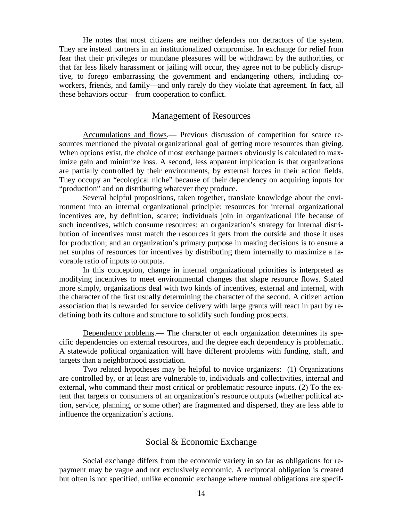He notes that most citizens are neither defenders nor detractors of the system. They are instead partners in an institutionalized compromise. In exchange for relief from fear that their privileges or mundane pleasures will be withdrawn by the authorities, or that far less likely harassment or jailing will occur, they agree not to be publicly disruptive, to forego embarrassing the government and endangering others, including coworkers, friends, and family—and only rarely do they violate that agreement. In fact, all these behaviors occur—from cooperation to conflict.

#### Management of Resources

 Accumulations and flows.— Previous discussion of competition for scarce resources mentioned the pivotal organizational goal of getting more resources than giving. When options exist, the choice of most exchange partners obviously is calculated to maximize gain and minimize loss. A second, less apparent implication is that organizations are partially controlled by their environments, by external forces in their action fields. They occupy an "ecological niche" because of their dependency on acquiring inputs for "production" and on distributing whatever they produce.

 Several helpful propositions, taken together, translate knowledge about the environment into an internal organizational principle: resources for internal organizational incentives are, by definition, scarce; individuals join in organizational life because of such incentives, which consume resources; an organization's strategy for internal distribution of incentives must match the resources it gets from the outside and those it uses for production; and an organization's primary purpose in making decisions is to ensure a net surplus of resources for incentives by distributing them internally to maximize a favorable ratio of inputs to outputs.

 In this conception, change in internal organizational priorities is interpreted as modifying incentives to meet environmental changes that shape resource flows. Stated more simply, organizations deal with two kinds of incentives, external and internal, with the character of the first usually determining the character of the second. A citizen action association that is rewarded for service delivery with large grants will react in part by redefining both its culture and structure to solidify such funding prospects.

 Dependency problems.— The character of each organization determines its specific dependencies on external resources, and the degree each dependency is problematic. A statewide political organization will have different problems with funding, staff, and targets than a neighborhood association.

 Two related hypotheses may be helpful to novice organizers: (1) Organizations are controlled by, or at least are vulnerable to, individuals and collectivities, internal and external, who command their most critical or problematic resource inputs. (2) To the extent that targets or consumers of an organization's resource outputs (whether political action, service, planning, or some other) are fragmented and dispersed, they are less able to influence the organization's actions.

#### Social & Economic Exchange

 Social exchange differs from the economic variety in so far as obligations for repayment may be vague and not exclusively economic. A reciprocal obligation is created but often is not specified, unlike economic exchange where mutual obligations are specif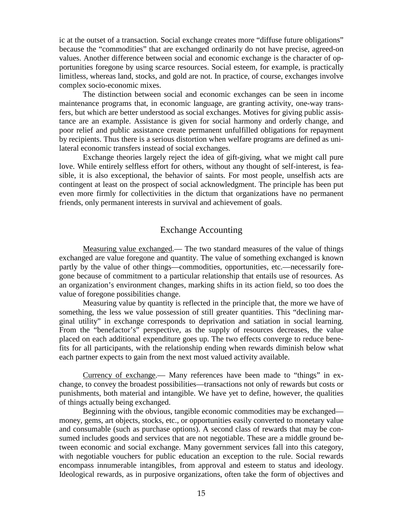ic at the outset of a transaction. Social exchange creates more "diffuse future obligations" because the "commodities" that are exchanged ordinarily do not have precise, agreed-on values. Another difference between social and economic exchange is the character of opportunities foregone by using scarce resources. Social esteem, for example, is practically limitless, whereas land, stocks, and gold are not. In practice, of course, exchanges involve complex socio-economic mixes.

 The distinction between social and economic exchanges can be seen in income maintenance programs that, in economic language, are granting activity, one-way transfers, but which are better understood as social exchanges. Motives for giving public assistance are an example. Assistance is given for social harmony and orderly change, and poor relief and public assistance create permanent unfulfilled obligations for repayment by recipients. Thus there is a serious distortion when welfare programs are defined as unilateral economic transfers instead of social exchanges.

 Exchange theories largely reject the idea of gift-giving, what we might call pure love. While entirely selfless effort for others, without any thought of self-interest, is feasible, it is also exceptional, the behavior of saints. For most people, unselfish acts are contingent at least on the prospect of social acknowledgment. The principle has been put even more firmly for collectivities in the dictum that organizations have no permanent friends, only permanent interests in survival and achievement of goals.

## Exchange Accounting

Measuring value exchanged.— The two standard measures of the value of things exchanged are value foregone and quantity. The value of something exchanged is known partly by the value of other things—commodities, opportunities, etc.—necessarily foregone because of commitment to a particular relationship that entails use of resources. As an organization's environment changes, marking shifts in its action field, so too does the value of foregone possibilities change.

 Measuring value by quantity is reflected in the principle that, the more we have of something, the less we value possession of still greater quantities. This "declining marginal utility" in exchange corresponds to deprivation and satiation in social learning. From the "benefactor's" perspective, as the supply of resources decreases, the value placed on each additional expenditure goes up. The two effects converge to reduce benefits for all participants, with the relationship ending when rewards diminish below what each partner expects to gain from the next most valued activity available.

 Currency of exchange.— Many references have been made to "things" in exchange, to convey the broadest possibilities—transactions not only of rewards but costs or punishments, both material and intangible. We have yet to define, however, the qualities of things actually being exchanged.

 Beginning with the obvious, tangible economic commodities may be exchanged money, gems, art objects, stocks, etc., or opportunities easily converted to monetary value and consumable (such as purchase options). A second class of rewards that may be consumed includes goods and services that are not negotiable. These are a middle ground between economic and social exchange. Many government services fall into this category, with negotiable vouchers for public education an exception to the rule. Social rewards encompass innumerable intangibles, from approval and esteem to status and ideology. Ideological rewards, as in purposive organizations, often take the form of objectives and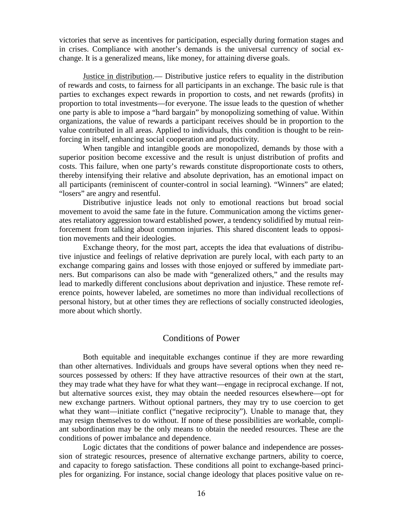victories that serve as incentives for participation, especially during formation stages and in crises. Compliance with another's demands is the universal currency of social exchange. It is a generalized means, like money, for attaining diverse goals.

 Justice in distribution.— Distributive justice refers to equality in the distribution of rewards and costs, to fairness for all participants in an exchange. The basic rule is that parties to exchanges expect rewards in proportion to costs, and net rewards (profits) in proportion to total investments—for everyone. The issue leads to the question of whether one party is able to impose a "hard bargain" by monopolizing something of value. Within organizations, the value of rewards a participant receives should be in proportion to the value contributed in all areas. Applied to individuals, this condition is thought to be reinforcing in itself, enhancing social cooperation and productivity.

 When tangible and intangible goods are monopolized, demands by those with a superior position become excessive and the result is unjust distribution of profits and costs. This failure, when one party's rewards constitute disproportionate costs to others, thereby intensifying their relative and absolute deprivation, has an emotional impact on all participants (reminiscent of counter-control in social learning). "Winners" are elated; "losers" are angry and resentful.

 Distributive injustice leads not only to emotional reactions but broad social movement to avoid the same fate in the future. Communication among the victims generates retaliatory aggression toward established power, a tendency solidified by mutual reinforcement from talking about common injuries. This shared discontent leads to opposition movements and their ideologies.

 Exchange theory, for the most part, accepts the idea that evaluations of distributive injustice and feelings of relative deprivation are purely local, with each party to an exchange comparing gains and losses with those enjoyed or suffered by immediate partners. But comparisons can also be made with "generalized others," and the results may lead to markedly different conclusions about deprivation and injustice. These remote reference points, however labeled, are sometimes no more than individual recollections of personal history, but at other times they are reflections of socially constructed ideologies, more about which shortly.

#### Conditions of Power

 Both equitable and inequitable exchanges continue if they are more rewarding than other alternatives. Individuals and groups have several options when they need resources possessed by others: If they have attractive resources of their own at the start, they may trade what they have for what they want—engage in reciprocal exchange. If not, but alternative sources exist, they may obtain the needed resources elsewhere—opt for new exchange partners. Without optional partners, they may try to use coercion to get what they want—initiate conflict ("negative reciprocity"). Unable to manage that, they may resign themselves to do without. If none of these possibilities are workable, compliant subordination may be the only means to obtain the needed resources. These are the conditions of power imbalance and dependence.

 Logic dictates that the conditions of power balance and independence are possession of strategic resources, presence of alternative exchange partners, ability to coerce, and capacity to forego satisfaction. These conditions all point to exchange-based principles for organizing. For instance, social change ideology that places positive value on re-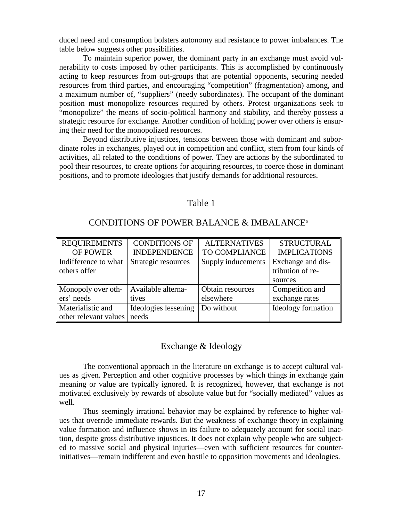duced need and consumption bolsters autonomy and resistance to power imbalances. The table below suggests other possibilities.

 To maintain superior power, the dominant party in an exchange must avoid vulnerability to costs imposed by other participants. This is accomplished by continuously acting to keep resources from out-groups that are potential opponents, securing needed resources from third parties, and encouraging "competition" (fragmentation) among, and a maximum number of, "suppliers" (needy subordinates). The occupant of the dominant position must monopolize resources required by others. Protest organizations seek to "monopolize" the means of socio-political harmony and stability, and thereby possess a strategic resource for exchange. Another condition of holding power over others is ensuring their need for the monopolized resources.

 Beyond distributive injustices, tensions between those with dominant and subordinate roles in exchanges, played out in competition and conflict, stem from four kinds of activities, all related to the conditions of power. They are actions by the subordinated to pool their resources, to create options for acquiring resources, to coerce those in dominant positions, and to promote ideologies that justify demands for additional resources.

#### Table 1

### CONDITIONS OF POWER BALANCE & IMBALANCE<sup>[5](#page-124-1)</sup>

| <b>REQUIREMENTS</b>   | <b>CONDITIONS OF</b> | <b>ALTERNATIVES</b> | <b>STRUCTURAL</b>         |
|-----------------------|----------------------|---------------------|---------------------------|
| <b>OF POWER</b>       | <b>INDEPENDENCE</b>  | TO COMPLIANCE       | <b>IMPLICATIONS</b>       |
| Indifference to what  | Strategic resources  | Supply inducements  | Exchange and dis-         |
| others offer          |                      |                     | tribution of re-          |
|                       |                      |                     | sources                   |
| Monopoly over oth-    | Available alterna-   | Obtain resources    | Competition and           |
| ers' needs            | tives                | elsewhere           | exchange rates            |
| Materialistic and     | Ideologies lessening | Do without          | <b>Ideology</b> formation |
| other relevant values | needs                |                     |                           |

## Exchange & Ideology

 The conventional approach in the literature on exchange is to accept cultural values as given. Perception and other cognitive processes by which things in exchange gain meaning or value are typically ignored. It is recognized, however, that exchange is not motivated exclusively by rewards of absolute value but for "socially mediated" values as well.

 Thus seemingly irrational behavior may be explained by reference to higher values that override immediate rewards. But the weakness of exchange theory in explaining value formation and influence shows in its failure to adequately account for social inaction, despite gross distributive injustices. It does not explain why people who are subjected to massive social and physical injuries—even with sufficient resources for counterinitiatives—remain indifferent and even hostile to opposition movements and ideologies.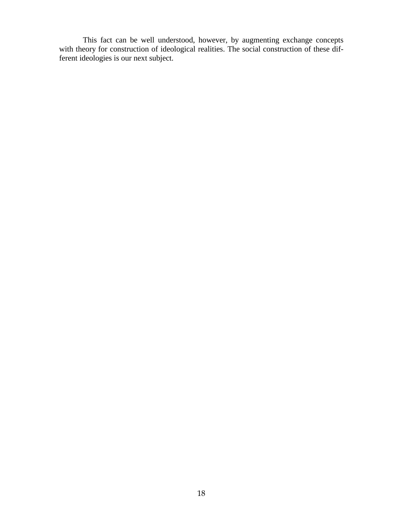This fact can be well understood, however, by augmenting exchange concepts with theory for construction of ideological realities. The social construction of these different ideologies is our next subject.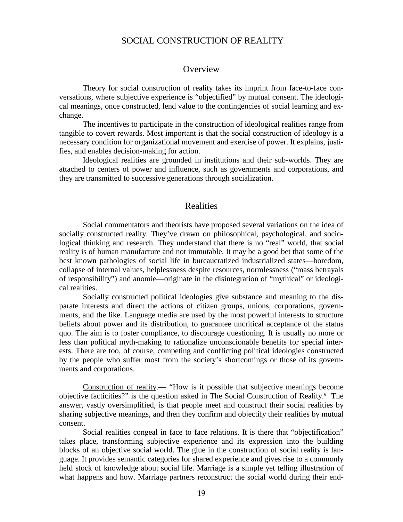## SOCIAL CONSTRUCTION OF REALITY

#### **Overview**

 Theory for social construction of reality takes its imprint from face-to-face conversations, where subjective experience is "objectified" by mutual consent. The ideological meanings, once constructed, lend value to the contingencies of social learning and exchange.

 The incentives to participate in the construction of ideological realities range from tangible to covert rewards. Most important is that the social construction of ideology is a necessary condition for organizational movement and exercise of power. It explains, justifies, and enables decision-making for action.

 Ideological realities are grounded in institutions and their sub-worlds. They are attached to centers of power and influence, such as governments and corporations, and they are transmitted to successive generations through socialization.

#### Realities

 Social commentators and theorists have proposed several variations on the idea of socially constructed reality. They've drawn on philosophical, psychological, and sociological thinking and research. They understand that there is no "real" world, that social reality is of human manufacture and not immutable. It may be a good bet that some of the best known pathologies of social life in bureaucratized industrialized states—boredom, collapse of internal values, helplessness despite resources, normlessness ("mass betrayals of responsibility") and anomie—originate in the disintegration of "mythical" or ideological realities.

 Socially constructed political ideologies give substance and meaning to the disparate interests and direct the actions of citizen groups, unions, corporations, governments, and the like. Language media are used by the most powerful interests to structure beliefs about power and its distribution, to guarantee uncritical acceptance of the status quo. The aim is to foster compliance, to discourage questioning. It is usually no more or less than political myth-making to rationalize unconscionable benefits for special interests. There are too, of course, competing and conflicting political ideologies constructed by the people who suffer most from the society's shortcomings or those of its governments and corporations.

 Construction of reality.— "How is it possible that subjective meanings become objective facticities?" is the question asked in The Social Construction of Reality.[6](#page-124-2) The answer, vastly oversimplified, is that people meet and construct their social realities by sharing subjective meanings, and then they confirm and objectify their realities by mutual consent.

 Social realities congeal in face to face relations. It is there that "objectification" takes place, transforming subjective experience and its expression into the building blocks of an objective social world. The glue in the construction of social reality is language. It provides semantic categories for shared experience and gives rise to a commonly held stock of knowledge about social life. Marriage is a simple yet telling illustration of what happens and how. Marriage partners reconstruct the social world during their end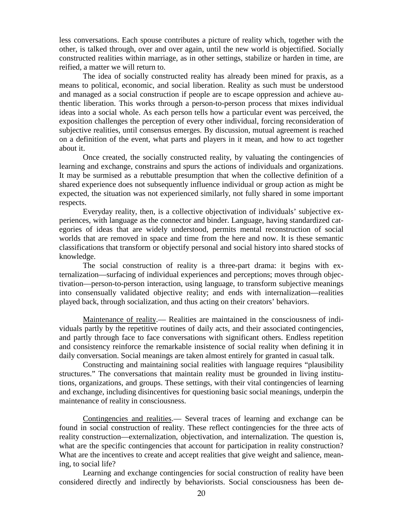less conversations. Each spouse contributes a picture of reality which, together with the other, is talked through, over and over again, until the new world is objectified. Socially constructed realities within marriage, as in other settings, stabilize or harden in time, are reified, a matter we will return to.

 The idea of socially constructed reality has already been mined for praxis, as a means to political, economic, and social liberation. Reality as such must be understood and managed as a social construction if people are to escape oppression and achieve authentic liberation. This works through a person-to-person process that mixes individual ideas into a social whole. As each person tells how a particular event was perceived, the exposition challenges the perception of every other individual, forcing reconsideration of subjective realities, until consensus emerges. By discussion, mutual agreement is reached on a definition of the event, what parts and players in it mean, and how to act together about it.

 Once created, the socially constructed reality, by valuating the contingencies of learning and exchange, constrains and spurs the actions of individuals and organizations. It may be surmised as a rebuttable presumption that when the collective definition of a shared experience does not subsequently influence individual or group action as might be expected, the situation was not experienced similarly, not fully shared in some important respects.

 Everyday reality, then, is a collective objectivation of individuals' subjective experiences, with language as the connector and binder. Language, having standardized categories of ideas that are widely understood, permits mental reconstruction of social worlds that are removed in space and time from the here and now. It is these semantic classifications that transform or objectify personal and social history into shared stocks of knowledge.

 The social construction of reality is a three-part drama: it begins with externalization—surfacing of individual experiences and perceptions; moves through objectivation—person-to-person interaction, using language, to transform subjective meanings into consensually validated objective reality; and ends with internalization—realities played back, through socialization, and thus acting on their creators' behaviors.

 Maintenance of reality.— Realities are maintained in the consciousness of individuals partly by the repetitive routines of daily acts, and their associated contingencies, and partly through face to face conversations with significant others. Endless repetition and consistency reinforce the remarkable insistence of social reality when defining it in daily conversation. Social meanings are taken almost entirely for granted in casual talk.

 Constructing and maintaining social realities with language requires "plausibility structures." The conversations that maintain reality must be grounded in living institutions, organizations, and groups. These settings, with their vital contingencies of learning and exchange, including disincentives for questioning basic social meanings, underpin the maintenance of reality in consciousness.

 Contingencies and realities.— Several traces of learning and exchange can be found in social construction of reality. These reflect contingencies for the three acts of reality construction—externalization, objectivation, and internalization. The question is, what are the specific contingencies that account for participation in reality construction? What are the incentives to create and accept realities that give weight and salience, meaning, to social life?

 Learning and exchange contingencies for social construction of reality have been considered directly and indirectly by behaviorists. Social consciousness has been de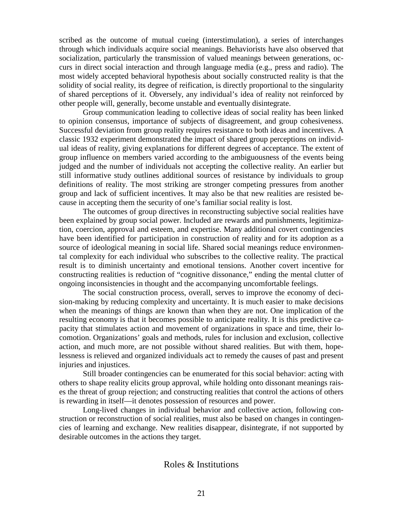scribed as the outcome of mutual cueing (interstimulation), a series of interchanges through which individuals acquire social meanings. Behaviorists have also observed that socialization, particularly the transmission of valued meanings between generations, occurs in direct social interaction and through language media (e.g., press and radio). The most widely accepted behavioral hypothesis about socially constructed reality is that the solidity of social reality, its degree of reification, is directly proportional to the singularity of shared perceptions of it. Obversely, any individual's idea of reality not reinforced by other people will, generally, become unstable and eventually disintegrate.

 Group communication leading to collective ideas of social reality has been linked to opinion consensus, importance of subjects of disagreement, and group cohesiveness. Successful deviation from group reality requires resistance to both ideas and incentives. A classic 1932 experiment demonstrated the impact of shared group perceptions on individual ideas of reality, giving explanations for different degrees of acceptance. The extent of group influence on members varied according to the ambiguousness of the events being judged and the number of individuals not accepting the collective reality. An earlier but still informative study outlines additional sources of resistance by individuals to group definitions of reality. The most striking are stronger competing pressures from another group and lack of sufficient incentives. It may also be that new realities are resisted because in accepting them the security of one's familiar social reality is lost.

 The outcomes of group directives in reconstructing subjective social realities have been explained by group social power. Included are rewards and punishments, legitimization, coercion, approval and esteem, and expertise. Many additional covert contingencies have been identified for participation in construction of reality and for its adoption as a source of ideological meaning in social life. Shared social meanings reduce environmental complexity for each individual who subscribes to the collective reality. The practical result is to diminish uncertainty and emotional tensions. Another covert incentive for constructing realities is reduction of "cognitive dissonance," ending the mental clutter of ongoing inconsistencies in thought and the accompanying uncomfortable feelings.

 The social construction process, overall, serves to improve the economy of decision-making by reducing complexity and uncertainty. It is much easier to make decisions when the meanings of things are known than when they are not. One implication of the resulting economy is that it becomes possible to anticipate reality. It is this predictive capacity that stimulates action and movement of organizations in space and time, their locomotion. Organizations' goals and methods, rules for inclusion and exclusion, collective action, and much more, are not possible without shared realities. But with them, hopelessness is relieved and organized individuals act to remedy the causes of past and present injuries and injustices.

 Still broader contingencies can be enumerated for this social behavior: acting with others to shape reality elicits group approval, while holding onto dissonant meanings raises the threat of group rejection; and constructing realities that control the actions of others is rewarding in itself—it denotes possession of resources and power.

 Long-lived changes in individual behavior and collective action, following construction or reconstruction of social realities, must also be based on changes in contingencies of learning and exchange. New realities disappear, disintegrate, if not supported by desirable outcomes in the actions they target.

#### Roles & Institutions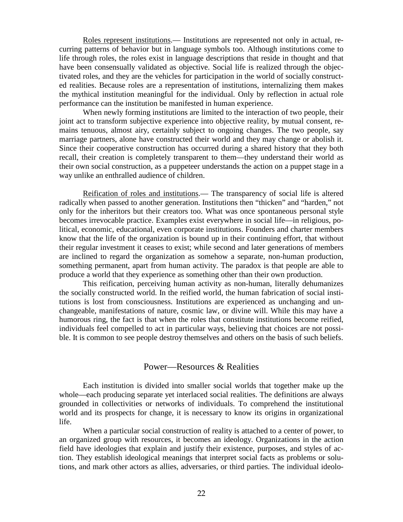Roles represent institutions.— Institutions are represented not only in actual, recurring patterns of behavior but in language symbols too. Although institutions come to life through roles, the roles exist in language descriptions that reside in thought and that have been consensually validated as objective. Social life is realized through the objectivated roles, and they are the vehicles for participation in the world of socially constructed realities. Because roles are a representation of institutions, internalizing them makes the mythical institution meaningful for the individual. Only by reflection in actual role performance can the institution be manifested in human experience.

 When newly forming institutions are limited to the interaction of two people, their joint act to transform subjective experience into objective reality, by mutual consent, remains tenuous, almost airy, certainly subject to ongoing changes. The two people, say marriage partners, alone have constructed their world and they may change or abolish it. Since their cooperative construction has occurred during a shared history that they both recall, their creation is completely transparent to them—they understand their world as their own social construction, as a puppeteer understands the action on a puppet stage in a way unlike an enthralled audience of children.

 Reification of roles and institutions.— The transparency of social life is altered radically when passed to another generation. Institutions then "thicken" and "harden," not only for the inheritors but their creators too. What was once spontaneous personal style becomes irrevocable practice. Examples exist everywhere in social life—in religious, political, economic, educational, even corporate institutions. Founders and charter members know that the life of the organization is bound up in their continuing effort, that without their regular investment it ceases to exist; while second and later generations of members are inclined to regard the organization as somehow a separate, non-human production, something permanent, apart from human activity. The paradox is that people are able to produce a world that they experience as something other than their own production.

 This reification, perceiving human activity as non-human, literally dehumanizes the socially constructed world. In the reified world, the human fabrication of social institutions is lost from consciousness. Institutions are experienced as unchanging and unchangeable, manifestations of nature, cosmic law, or divine will. While this may have a humorous ring, the fact is that when the roles that constitute institutions become reified. individuals feel compelled to act in particular ways, believing that choices are not possible. It is common to see people destroy themselves and others on the basis of such beliefs.

#### Power—Resources & Realities

 Each institution is divided into smaller social worlds that together make up the whole—each producing separate yet interlaced social realities. The definitions are always grounded in collectivities or networks of individuals. To comprehend the institutional world and its prospects for change, it is necessary to know its origins in organizational life.

 When a particular social construction of reality is attached to a center of power, to an organized group with resources, it becomes an ideology. Organizations in the action field have ideologies that explain and justify their existence, purposes, and styles of action. They establish ideological meanings that interpret social facts as problems or solutions, and mark other actors as allies, adversaries, or third parties. The individual ideolo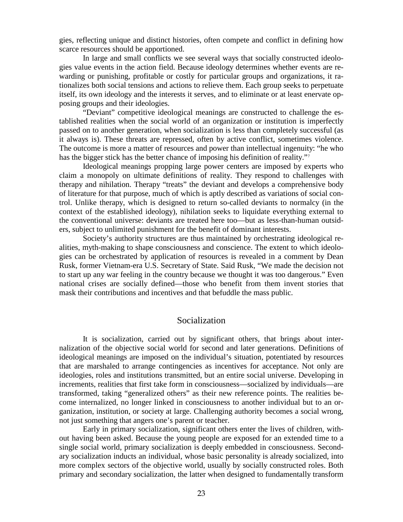gies, reflecting unique and distinct histories, often compete and conflict in defining how scarce resources should be apportioned.

 In large and small conflicts we see several ways that socially constructed ideologies value events in the action field. Because ideology determines whether events are rewarding or punishing, profitable or costly for particular groups and organizations, it rationalizes both social tensions and actions to relieve them. Each group seeks to perpetuate itself, its own ideology and the interests it serves, and to eliminate or at least enervate opposing groups and their ideologies.

 "Deviant" competitive ideological meanings are constructed to challenge the established realities when the social world of an organization or institution is imperfectly passed on to another generation, when socialization is less than completely successful (as it always is). These threats are repressed, often by active conflict, sometimes violence. The outcome is more a matter of resources and power than intellectual ingenuity: "he who has the bigger stick has the better chance of imposing his definition of reality."<sup>[7](#page-125-0)</sup>

 Ideological meanings propping large power centers are imposed by experts who claim a monopoly on ultimate definitions of reality. They respond to challenges with therapy and nihilation. Therapy "treats" the deviant and develops a comprehensive body of literature for that purpose, much of which is aptly described as variations of social control. Unlike therapy, which is designed to return so-called deviants to normalcy (in the context of the established ideology), nihilation seeks to liquidate everything external to the conventional universe: deviants are treated here too—but as less-than-human outsiders, subject to unlimited punishment for the benefit of dominant interests.

 Society's authority structures are thus maintained by orchestrating ideological realities, myth-making to shape consciousness and conscience. The extent to which ideologies can be orchestrated by application of resources is revealed in a comment by Dean Rusk, former Vietnam-era U.S. Secretary of State. Said Rusk, "We made the decision not to start up any war feeling in the country because we thought it was too dangerous." Even national crises are socially defined—those who benefit from them invent stories that mask their contributions and incentives and that befuddle the mass public.

#### Socialization

 It is socialization, carried out by significant others, that brings about internalization of the objective social world for second and later generations. Definitions of ideological meanings are imposed on the individual's situation, potentiated by resources that are marshaled to arrange contingencies as incentives for acceptance. Not only are ideologies, roles and institutions transmitted, but an entire social universe. Developing in increments, realities that first take form in consciousness—socialized by individuals—are transformed, taking "generalized others" as their new reference points. The realities become internalized, no longer linked in consciousness to another individual but to an organization, institution, or society at large. Challenging authority becomes a social wrong, not just something that angers one's parent or teacher.

 Early in primary socialization, significant others enter the lives of children, without having been asked. Because the young people are exposed for an extended time to a single social world, primary socialization is deeply embedded in consciousness. Secondary socialization inducts an individual, whose basic personality is already socialized, into more complex sectors of the objective world, usually by socially constructed roles. Both primary and secondary socialization, the latter when designed to fundamentally transform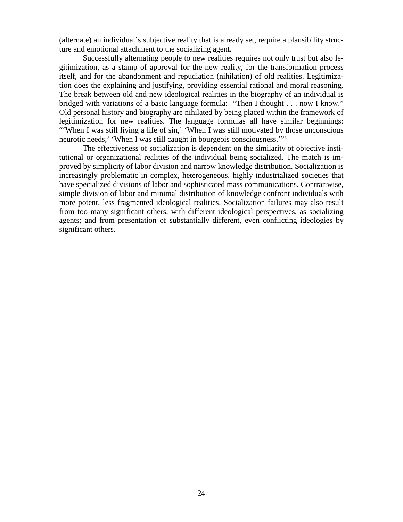(alternate) an individual's subjective reality that is already set, require a plausibility structure and emotional attachment to the socializing agent.

 Successfully alternating people to new realities requires not only trust but also legitimization, as a stamp of approval for the new reality, for the transformation process itself, and for the abandonment and repudiation (nihilation) of old realities. Legitimization does the explaining and justifying, providing essential rational and moral reasoning. The break between old and new ideological realities in the biography of an individual is bridged with variations of a basic language formula: "Then I thought . . . now I know." Old personal history and biography are nihilated by being placed within the framework of legitimization for new realities. The language formulas all have similar beginnings: "'When I was still living a life of sin,' 'When I was still motivated by those unconscious neurotic needs,' 'When I was still caught in bourgeois consciousness.'["8](#page-126-0)

 The effectiveness of socialization is dependent on the similarity of objective institutional or organizational realities of the individual being socialized. The match is improved by simplicity of labor division and narrow knowledge distribution. Socialization is increasingly problematic in complex, heterogeneous, highly industrialized societies that have specialized divisions of labor and sophisticated mass communications. Contrariwise, simple division of labor and minimal distribution of knowledge confront individuals with more potent, less fragmented ideological realities. Socialization failures may also result from too many significant others, with different ideological perspectives, as socializing agents; and from presentation of substantially different, even conflicting ideologies by significant others.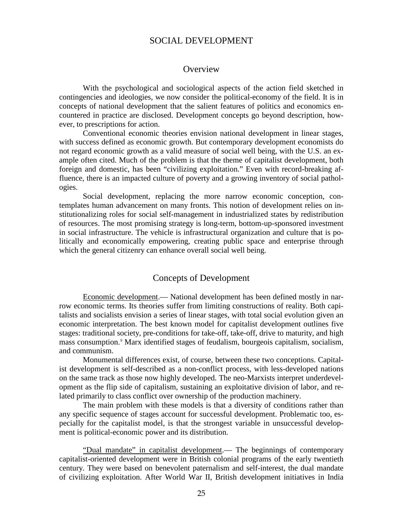## SOCIAL DEVELOPMENT

#### **Overview**

 With the psychological and sociological aspects of the action field sketched in contingencies and ideologies, we now consider the political-economy of the field. It is in concepts of national development that the salient features of politics and economics encountered in practice are disclosed. Development concepts go beyond description, however, to prescriptions for action.

 Conventional economic theories envision national development in linear stages, with success defined as economic growth. But contemporary development economists do not regard economic growth as a valid measure of social well being, with the U.S. an example often cited. Much of the problem is that the theme of capitalist development, both foreign and domestic, has been "civilizing exploitation." Even with record-breaking affluence, there is an impacted culture of poverty and a growing inventory of social pathologies.

 Social development, replacing the more narrow economic conception, contemplates human advancement on many fronts. This notion of development relies on institutionalizing roles for social self-management in industrialized states by redistribution of resources. The most promising strategy is long-term, bottom-up-sponsored investment in social infrastructure. The vehicle is infrastructural organization and culture that is politically and economically empowering, creating public space and enterprise through which the general citizenry can enhance overall social well being.

#### Concepts of Development

 Economic development.— National development has been defined mostly in narrow economic terms. Its theories suffer from limiting constructions of reality. Both capitalists and socialists envision a series of linear stages, with total social evolution given an economic interpretation. The best known model for capitalist development outlines five stages: traditional society, pre-conditions for take-off, take-off, drive to maturity, and high mass consumption.[9](#page-126-1) Marx identified stages of feudalism, bourgeois capitalism, socialism, and communism.

 Monumental differences exist, of course, between these two conceptions. Capitalist development is self-described as a non-conflict process, with less-developed nations on the same track as those now highly developed. The neo-Marxists interpret underdevelopment as the flip side of capitalism, sustaining an exploitative division of labor, and related primarily to class conflict over ownership of the production machinery.

 The main problem with these models is that a diversity of conditions rather than any specific sequence of stages account for successful development. Problematic too, especially for the capitalist model, is that the strongest variable in unsuccessful development is political-economic power and its distribution.

 "Dual mandate" in capitalist development.— The beginnings of contemporary capitalist-oriented development were in British colonial programs of the early twentieth century. They were based on benevolent paternalism and self-interest, the dual mandate of civilizing exploitation. After World War II, British development initiatives in India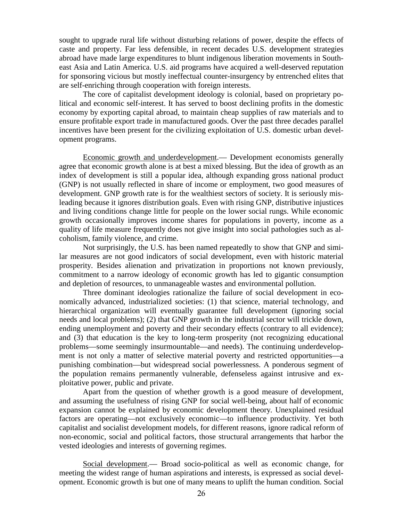sought to upgrade rural life without disturbing relations of power, despite the effects of caste and property. Far less defensible, in recent decades U.S. development strategies abroad have made large expenditures to blunt indigenous liberation movements in Southeast Asia and Latin America. U.S. aid programs have acquired a well-deserved reputation for sponsoring vicious but mostly ineffectual counter-insurgency by entrenched elites that are self-enriching through cooperation with foreign interests.

 The core of capitalist development ideology is colonial, based on proprietary political and economic self-interest. It has served to boost declining profits in the domestic economy by exporting capital abroad, to maintain cheap supplies of raw materials and to ensure profitable export trade in manufactured goods. Over the past three decades parallel incentives have been present for the civilizing exploitation of U.S. domestic urban development programs.

 Economic growth and underdevelopment.— Development economists generally agree that economic growth alone is at best a mixed blessing. But the idea of growth as an index of development is still a popular idea, although expanding gross national product (GNP) is not usually reflected in share of income or employment, two good measures of development. GNP growth rate is for the wealthiest sectors of society. It is seriously misleading because it ignores distribution goals. Even with rising GNP, distributive injustices and living conditions change little for people on the lower social rungs. While economic growth occasionally improves income shares for populations in poverty, income as a quality of life measure frequently does not give insight into social pathologies such as alcoholism, family violence, and crime.

 Not surprisingly, the U.S. has been named repeatedly to show that GNP and similar measures are not good indicators of social development, even with historic material prosperity. Besides alienation and privatization in proportions not known previously, commitment to a narrow ideology of economic growth has led to gigantic consumption and depletion of resources, to unmanageable wastes and environmental pollution.

 Three dominant ideologies rationalize the failure of social development in economically advanced, industrialized societies: (1) that science, material technology, and hierarchical organization will eventually guarantee full development (ignoring social needs and local problems); (2) that GNP growth in the industrial sector will trickle down, ending unemployment and poverty and their secondary effects (contrary to all evidence); and (3) that education is the key to long-term prosperity (not recognizing educational problems—some seemingly insurmountable—and needs). The continuing underdevelopment is not only a matter of selective material poverty and restricted opportunities—a punishing combination—but widespread social powerlessness. A ponderous segment of the population remains permanently vulnerable, defenseless against intrusive and exploitative power, public and private.

 Apart from the question of whether growth is a good measure of development, and assuming the usefulness of rising GNP for social well-being, about half of economic expansion cannot be explained by economic development theory. Unexplained residual factors are operating—not exclusively economic—to influence productivity. Yet both capitalist and socialist development models, for different reasons, ignore radical reform of non*-*economic, social and political factors, those structural arrangements that harbor the vested ideologies and interests of governing regimes.

 Social development.— Broad socio-political as well as economic change, for meeting the widest range of human aspirations and interests, is expressed as social development. Economic growth is but one of many means to uplift the human condition. Social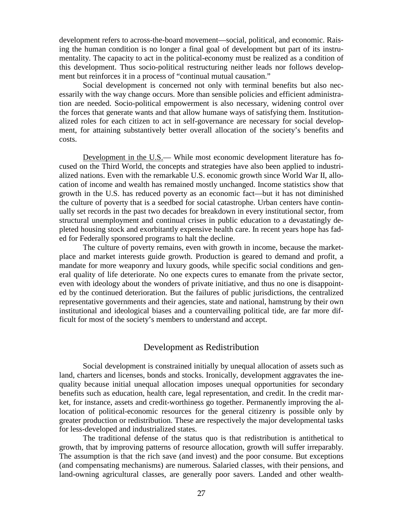development refers to across-the-board movement—social, political, and economic. Raising the human condition is no longer a final goal of development but part of its instrumentality. The capacity to act in the political-economy must be realized as a condition of this development. Thus socio-political restructuring neither leads nor follows development but reinforces it in a process of "continual mutual causation."

 Social development is concerned not only with terminal benefits but also necessarily with the way change occurs. More than sensible policies and efficient administration are needed. Socio-political empowerment is also necessary, widening control over the forces that generate wants and that allow humane ways of satisfying them. Institutionalized roles for each citizen to act in self-governance are necessary for social development, for attaining substantively better overall allocation of the society's benefits and costs.

 Development in the U.S.— While most economic development literature has focused on the Third World, the concepts and strategies have also been applied to industrialized nations. Even with the remarkable U.S. economic growth since World War II, allocation of income and wealth has remained mostly unchanged. Income statistics show that growth in the U.S. has reduced poverty as an economic fact—but it has not diminished the culture of poverty that is a seedbed for social catastrophe. Urban centers have continually set records in the past two decades for breakdown in every institutional sector, from structural unemployment and continual crises in public education to a devastatingly depleted housing stock and exorbitantly expensive health care. In recent years hope has faded for Federally sponsored programs to halt the decline.

 The culture of poverty remains, even with growth in income, because the marketplace and market interests guide growth. Production is geared to demand and profit, a mandate for more weaponry and luxury goods, while specific social conditions and general quality of life deteriorate. No one expects cures to emanate from the private sector, even with ideology about the wonders of private initiative, and thus no one is disappointed by the continued deterioration. But the failures of public jurisdictions, the centralized representative governments and their agencies, state and national, hamstrung by their own institutional and ideological biases and a countervailing political tide, are far more difficult for most of the society's members to understand and accept.

#### Development as Redistribution

 Social development is constrained initially by unequal allocation of assets such as land, charters and licenses, bonds and stocks. Ironically, development aggravates the inequality because initial unequal allocation imposes unequal opportunities for secondary benefits such as education, health care, legal representation, and credit. In the credit market, for instance, assets and credit-worthiness go together. Permanently improving the allocation of political-economic resources for the general citizenry is possible only by greater production or redistribution. These are respectively the major developmental tasks for less-developed and industrialized states.

 The traditional defense of the status quo is that redistribution is antithetical to growth, that by improving patterns of resource allocation, growth will suffer irreparably. The assumption is that the rich save (and invest) and the poor consume. But exceptions (and compensating mechanisms) are numerous. Salaried classes, with their pensions, and land-owning agricultural classes, are generally poor savers. Landed and other wealth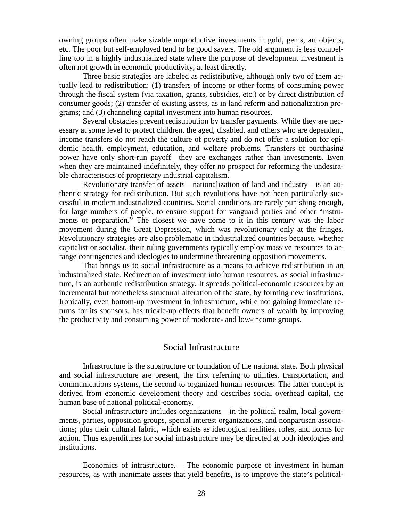owning groups often make sizable unproductive investments in gold, gems, art objects, etc. The poor but self-employed tend to be good savers. The old argument is less compelling too in a highly industrialized state where the purpose of development investment is often not growth in economic productivity, at least directly.

 Three basic strategies are labeled as redistributive, although only two of them actually lead to redistribution: (1) transfers of income or other forms of consuming power through the fiscal system (via taxation, grants, subsidies, etc.) or by direct distribution of consumer goods; (2) transfer of existing assets, as in land reform and nationalization programs; and (3) channeling capital investment into human resources.

 Several obstacles prevent redistribution by transfer payments. While they are necessary at some level to protect children, the aged, disabled, and others who are dependent, income transfers do not reach the culture of poverty and do not offer a solution for epidemic health, employment, education, and welfare problems. Transfers of purchasing power have only short-run payoff—they are exchanges rather than investments. Even when they are maintained indefinitely, they offer no prospect for reforming the undesirable characteristics of proprietary industrial capitalism.

 Revolutionary transfer of assets—nationalization of land and industry—is an authentic strategy for redistribution. But such revolutions have not been particularly successful in modern industrialized countries. Social conditions are rarely punishing enough, for large numbers of people, to ensure support for vanguard parties and other "instruments of preparation." The closest we have come to it in this century was the labor movement during the Great Depression, which was revolutionary only at the fringes. Revolutionary strategies are also problematic in industrialized countries because, whether capitalist or socialist, their ruling governments typically employ massive resources to arrange contingencies and ideologies to undermine threatening opposition movements.

 That brings us to social infrastructure as a means to achieve redistribution in an industrialized state. Redirection of investment into human resources, as social infrastructure, is an authentic redistribution strategy. It spreads political-economic resources by an incremental but nonetheless structural alteration of the state, by forming new institutions. Ironically, even bottom-up investment in infrastructure, while not gaining immediate returns for its sponsors, has trickle-up effects that benefit owners of wealth by improving the productivity and consuming power of moderate- and low-income groups.

#### Social Infrastructure

 Infrastructure is the substructure or foundation of the national state. Both physical and social infrastructure are present, the first referring to utilities, transportation, and communications systems, the second to organized human resources. The latter concept is derived from economic development theory and describes social overhead capital, the human base of national political-economy.

 Social infrastructure includes organizations—in the political realm, local governments, parties, opposition groups, special interest organizations, and nonpartisan associations; plus their cultural fabric, which exists as ideological realities, roles, and norms for action. Thus expenditures for social infrastructure may be directed at both ideologies and institutions.

 Economics of infrastructure.— The economic purpose of investment in human resources, as with inanimate assets that yield benefits, is to improve the state's political-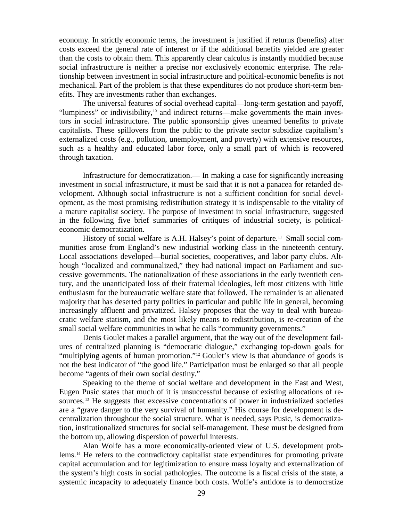economy. In strictly economic terms, the investment is justified if returns (benefits) after costs exceed the general rate of interest or if the additional benefits yielded are greater than the costs to obtain them. This apparently clear calculus is instantly muddied because social infrastructure is neither a precise nor exclusively economic enterprise. The relationship between investment in social infrastructure and political-economic benefits is not mechanical. Part of the problem is that these expenditures do not produce short-term benefits. They are investments rather than exchanges.

 The universal features of social overhead capital—long-term gestation and payoff, "lumpiness" or indivisibility,<sup>[10](#page-126-0)</sup> and indirect returns—make governments the main investors in social infrastructure. The public sponsorship gives unearned benefits to private capitalists. These spillovers from the public to the private sector subsidize capitalism's externalized costs (e.g., pollution, unemployment, and poverty) with extensive resources, such as a healthy and educated labor force, only a small part of which is recovered through taxation.

 Infrastructure for democratization.— In making a case for significantly increasing investment in social infrastructure, it must be said that it is not a panacea for retarded development. Although social infrastructure is not a sufficient condition for social development, as the most promising redistribution strategy it is indispensable to the vitality of a mature capitalist society. The purpose of investment in social infrastructure, suggested in the following five brief summaries of critiques of industrial society, is politicaleconomic democratization.

History of social welfare is A.H. Halsey's point of departure.<sup>[11](#page-126-1)</sup> Small social communities arose from England's new industrial working class in the nineteenth century. Local associations developed—burial societies, cooperatives, and labor party clubs. Although "localized and communalized," they had national impact on Parliament and successive governments. The nationalization of these associations in the early twentieth century, and the unanticipated loss of their fraternal ideologies, left most citizens with little enthusiasm for the bureaucratic welfare state that followed. The remainder is an alienated majority that has deserted party politics in particular and public life in general, becoming increasingly affluent and privatized. Halsey proposes that the way to deal with bureaucratic welfare statism, and the most likely means to redistribution, is re-creation of the small social welfare communities in what he calls "community governments."

 Denis Goulet makes a parallel argument, that the way out of the development failures of centralized planning is "democratic dialogue," exchanging top-down goals for "multiplying agents of human promotion."<sup>[12](#page-126-2)</sup> Goulet's view is that abundance of goods is not the best indicator of "the good life." Participation must be enlarged so that all people become "agents of their own social destiny."

 Speaking to the theme of social welfare and development in the East and West, Eugen Pusic states that much of it is unsuccessful because of existing allocations of re-sources.<sup>[13](#page-126-3)</sup> He suggests that excessive concentrations of power in industrialized societies are a "grave danger to the very survival of humanity." His course for development is decentralization throughout the social structure. What is needed, says Pusic, is democratization, institutionalized structures for social self-management. These must be designed from the bottom up, allowing dispersion of powerful interests.

 Alan Wolfe has a more economically-oriented view of U.S. development problems.[14](#page-126-4) He refers to the contradictory capitalist state expenditures for promoting private capital accumulation and for legitimization to ensure mass loyalty and externalization of the system's high costs in social pathologies. The outcome is a fiscal crisis of the state, a systemic incapacity to adequately finance both costs. Wolfe's antidote is to democratize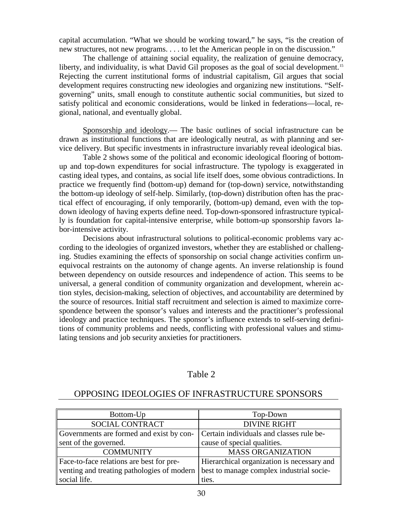capital accumulation. "What we should be working toward," he says, "is the creation of new structures, not new programs. . . . to let the American people in on the discussion."

 The challenge of attaining social equality, the realization of genuine democracy, liberty, and individuality, is what David Gil proposes as the goal of social development.<sup>[15](#page-126-5)</sup> Rejecting the current institutional forms of industrial capitalism, Gil argues that social development requires constructing new ideologies and organizing new institutions. "Selfgoverning" units, small enough to constitute authentic social communities, but sized to satisfy political and economic considerations, would be linked in federations—local, regional, national, and eventually global.

 Sponsorship and ideology.— The basic outlines of social infrastructure can be drawn as institutional functions that are ideologically neutral, as with planning and service delivery. But specific investments in infrastructure invariably reveal ideological bias.

Table 2 shows some of the political and economic ideological flooring of bottomup and top-down expenditures for social infrastructure. The typology is exaggerated in casting ideal types, and contains, as social life itself does, some obvious contradictions. In practice we frequently find (bottom-up) demand for (top-down) service, notwithstanding the bottom-up ideology of self-help. Similarly, (top-down) distribution often has the practical effect of encouraging, if only temporarily, (bottom-up) demand*,* even with the topdown ideology of having experts define need. Top-down-sponsored infrastructure typically is foundation for capital-intensive enterprise, while bottom-up sponsorship favors labor-intensive activity.

Decisions about infrastructural solutions to political-economic problems vary according to the ideologies of organized investors, whether they are established or challenging. Studies examining the effects of sponsorship on social change activities confirm unequivocal restraints on the autonomy of change agents. An inverse relationship is found between dependency on outside resources and independence of action. This seems to be universal, a general condition of community organization and development, wherein action styles, decision-making, selection of objectives, and accountability are determined by the source of resources. Initial staff recruitment and selection is aimed to maximize correspondence between the sponsor's values and interests and the practitioner's professional ideology and practice techniques. The sponsor's influence extends to self-serving definitions of community problems and needs, conflicting with professional values and stimulating tensions and job security anxieties for practitioners.

#### Table 2

## OPPOSING IDEOLOGIES OF INFRASTRUCTURE SPONSORS

| Bottom-Up                                  | Top-Down                                   |
|--------------------------------------------|--------------------------------------------|
| SOCIAL CONTRACT                            | <b>DIVINE RIGHT</b>                        |
| Governments are formed and exist by con-   | Certain individuals and classes rule be-   |
| sent of the governed.                      | cause of special qualities.                |
| <b>COMMUNITY</b>                           | <b>MASS ORGANIZATION</b>                   |
| Face-to-face relations are best for pre-   | Hierarchical organization is necessary and |
| venting and treating pathologies of modern | best to manage complex industrial socie-   |
| social life.                               | ties.                                      |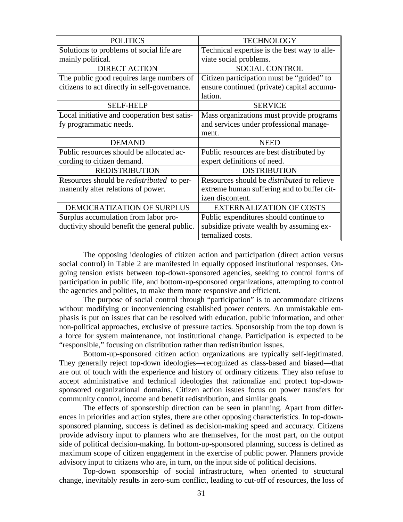| <b>POLITICS</b>                                  | <b>TECHNOLOGY</b>                                 |
|--------------------------------------------------|---------------------------------------------------|
| Solutions to problems of social life are         | Technical expertise is the best way to alle-      |
| mainly political.                                | viate social problems.                            |
| <b>DIRECT ACTION</b>                             | <b>SOCIAL CONTROL</b>                             |
| The public good requires large numbers of        | Citizen participation must be "guided" to         |
| citizens to act directly in self-governance.     | ensure continued (private) capital accumu-        |
|                                                  | lation.                                           |
| <b>SELF-HELP</b>                                 | <b>SERVICE</b>                                    |
| Local initiative and cooperation best satis-     | Mass organizations must provide programs          |
| fy programmatic needs.                           | and services under professional manage-           |
|                                                  | ment.                                             |
| <b>DEMAND</b>                                    | <b>NEED</b>                                       |
|                                                  |                                                   |
| Public resources should be allocated ac-         | Public resources are best distributed by          |
| cording to citizen demand.                       | expert definitions of need.                       |
| <b>REDISTRIBUTION</b>                            | <b>DISTRIBUTION</b>                               |
| Resources should be <i>redistributed</i> to per- | Resources should be <i>distributed</i> to relieve |
| manently alter relations of power.               | extreme human suffering and to buffer cit-        |
|                                                  | izen discontent.                                  |
| DEMOCRATIZATION OF SURPLUS                       | <b>EXTERNALIZATION OF COSTS</b>                   |
| Surplus accumulation from labor pro-             | Public expenditures should continue to            |
| ductivity should benefit the general public.     | subsidize private wealth by assuming ex-          |

The opposing ideologies of citizen action and participation (direct action versus social control) in Table 2 are manifested in equally opposed institutional responses. Ongoing tension exists between top-down-sponsored agencies, seeking to control forms of participation in public life, and bottom-up-sponsored organizations, attempting to control the agencies and polities, to make them more responsive and efficient.

 The purpose of social control through "participation" is to accommodate citizens without modifying or inconveniencing established power centers. An unmistakable emphasis is put on issues that can be resolved with education, public information, and other non-political approaches, exclusive of pressure tactics. Sponsorship from the top down is a force for system maintenance, not institutional change. Participation is expected to be "responsible," focusing on distribution rather than redistribution issues.

 Bottom-up-sponsored citizen action organizations are typically self-legitimated. They generally reject top-down ideologies—recognized as class-based and biased—that are out of touch with the experience and history of ordinary citizens. They also refuse to accept administrative and technical ideologies that rationalize and protect top-downsponsored organizational domains. Citizen action issues focus on power transfers for community control, income and benefit redistribution, and similar goals.

 The effects of sponsorship direction can be seen in planning. Apart from differences in priorities and action styles, there are other opposing characteristics. In top-downsponsored planning, success is defined as decision-making speed and accuracy. Citizens provide advisory input to planners who are themselves, for the most part, on the output side of political decision-making. In bottom-up-sponsored planning, success is defined as maximum scope of citizen engagement in the exercise of public power. Planners provide advisory input to citizens who are, in turn, on the input side of political decisions.

 Top-down sponsorship of social infrastructure, when oriented to structural change, inevitably results in zero-sum conflict, leading to cut-off of resources, the loss of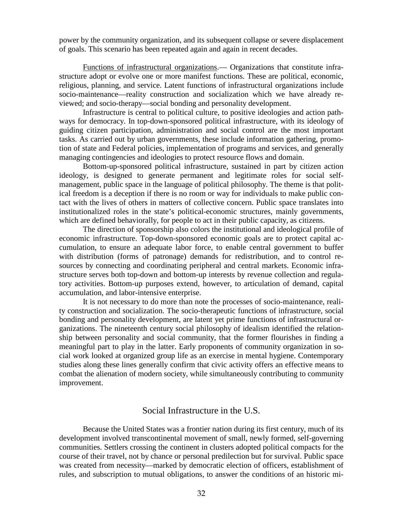power by the community organization, and its subsequent collapse or severe displacement of goals. This scenario has been repeated again and again in recent decades.

 Functions of infrastructural organizations.— Organizations that constitute infrastructure adopt or evolve one or more manifest functions. These are political, economic, religious, planning, and service. Latent functions of infrastructural organizations include socio-maintenance—reality construction and socialization which we have already reviewed; and socio-therapy—social bonding and personality development.

 Infrastructure is central to political culture, to positive ideologies and action pathways for democracy. In top-down-sponsored political infrastructure, with its ideology of guiding citizen participation, administration and social control are the most important tasks. As carried out by urban governments, these include information gathering, promotion of state and Federal policies, implementation of programs and services, and generally managing contingencies and ideologies to protect resource flows and domain.

 Bottom-up-sponsored political infrastructure, sustained in part by citizen action ideology, is designed to generate permanent and legitimate roles for social selfmanagement, public space in the language of political philosophy. The theme is that political freedom is a deception if there is no room or way for individuals to make public contact with the lives of others in matters of collective concern. Public space translates into institutionalized roles in the state's political-economic structures, mainly governments, which are defined behaviorally, for people to act in their public capacity, as citizens.

 The direction of sponsorship also colors the institutional and ideological profile of economic infrastructure. Top-down-sponsored economic goals are to protect capital accumulation, to ensure an adequate labor force, to enable central government to buffer with distribution (forms of patronage) demands for redistribution, and to control resources by connecting and coordinating peripheral and central markets. Economic infrastructure serves both top-down and bottom-up interests by revenue collection and regulatory activities. Bottom-up purposes extend, however, to articulation of demand, capital accumulation, and labor-intensive enterprise.

 It is not necessary to do more than note the processes of socio-maintenance, reality construction and socialization. The socio-therapeutic functions of infrastructure, social bonding and personality development, are latent yet prime functions of infrastructural organizations. The nineteenth century social philosophy of idealism identified the relationship between personality and social community, that the former flourishes in finding a meaningful part to play in the latter. Early proponents of community organization in social work looked at organized group life as an exercise in mental hygiene. Contemporary studies along these lines generally confirm that civic activity offers an effective means to combat the alienation of modern society, while simultaneously contributing to community improvement.

## Social Infrastructure in the U.S.

 Because the United States was a frontier nation during its first century, much of its development involved transcontinental movement of small, newly formed, self-governing communities. Settlers crossing the continent in clusters adopted political compacts for the course of their travel, not by chance or personal predilection but for survival. Public space was created from necessity—marked by democratic election of officers, establishment of rules, and subscription to mutual obligations, to answer the conditions of an historic mi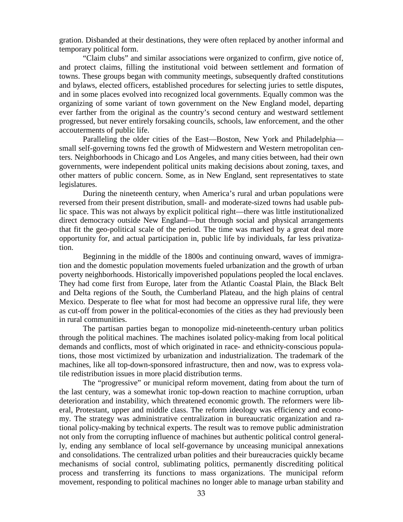gration. Disbanded at their destinations, they were often replaced by another informal and temporary political form.

 "Claim clubs" and similar associations were organized to confirm, give notice of, and protect claims, filling the institutional void between settlement and formation of towns. These groups began with community meetings, subsequently drafted constitutions and bylaws, elected officers, established procedures for selecting juries to settle disputes, and in some places evolved into recognized local governments. Equally common was the organizing of some variant of town government on the New England model, departing ever farther from the original as the country's second century and westward settlement progressed, but never entirely forsaking councils, schools, law enforcement, and the other accouterments of public life.

 Paralleling the older cities of the East—Boston, New York and Philadelphia small self-governing towns fed the growth of Midwestern and Western metropolitan centers. Neighborhoods in Chicago and Los Angeles, and many cities between, had their own governments, were independent political units making decisions about zoning, taxes, and other matters of public concern. Some, as in New England, sent representatives to state legislatures.

 During the nineteenth century, when America's rural and urban populations were reversed from their present distribution, small- and moderate-sized towns had usable public space. This was not always by explicit political right—there was little institutionalized direct democracy outside New England—but through social and physical arrangements that fit the geo-political scale of the period. The time was marked by a great deal more opportunity for, and actual participation in, public life by individuals, far less privatization.

 Beginning in the middle of the 1800s and continuing onward, waves of immigration and the domestic population movements fueled urbanization and the growth of urban poverty neighborhoods. Historically impoverished populations peopled the local enclaves. They had come first from Europe, later from the Atlantic Coastal Plain, the Black Belt and Delta regions of the South, the Cumberland Plateau, and the high plains of central Mexico. Desperate to flee what for most had become an oppressive rural life, they were as cut-off from power in the political-economies of the cities as they had previously been in rural communities.

 The partisan parties began to monopolize mid-nineteenth-century urban politics through the political machines. The machines isolated policy-making from local political demands and conflicts, most of which originated in race- and ethnicity-conscious populations, those most victimized by urbanization and industrialization. The trademark of the machines, like all top-down-sponsored infrastructure, then and now, was to express volatile redistribution issues in more placid distribution terms.

 The "progressive" or municipal reform movement, dating from about the turn of the last century, was a somewhat ironic top-down reaction to machine corruption, urban deterioration and instability, which threatened economic growth. The reformers were liberal, Protestant, upper and middle class. The reform ideology was efficiency and economy. The strategy was administrative centralization in bureaucratic organization and rational policy-making by technical experts. The result was to remove public administration not only from the corrupting influence of machines but authentic political control generally, ending any semblance of local self-governance by unceasing municipal annexations and consolidations. The centralized urban polities and their bureaucracies quickly became mechanisms of social control, sublimating politics, permanently discrediting political process and transferring its functions to mass organizations. The municipal reform movement, responding to political machines no longer able to manage urban stability and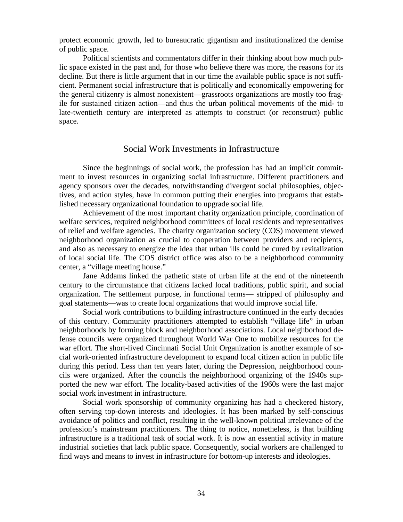protect economic growth, led to bureaucratic gigantism and institutionalized the demise of public space.

 Political scientists and commentators differ in their thinking about how much public space existed in the past and, for those who believe there was more, the reasons for its decline. But there is little argument that in our time the available public space is not sufficient. Permanent social infrastructure that is politically and economically empowering for the general citizenry is almost nonexistent—grassroots organizations are mostly too fragile for sustained citizen action—and thus the urban political movements of the mid- to late-twentieth century are interpreted as attempts to construct (or reconstruct) public space.

## Social Work Investments in Infrastructure

 Since the beginnings of social work, the profession has had an implicit commitment to invest resources in organizing social infrastructure. Different practitioners and agency sponsors over the decades, notwithstanding divergent social philosophies, objectives, and action styles, have in common putting their energies into programs that established necessary organizational foundation to upgrade social life.

 Achievement of the most important charity organization principle, coordination of welfare services, required neighborhood committees of local residents and representatives of relief and welfare agencies. The charity organization society (COS) movement viewed neighborhood organization as crucial to cooperation between providers and recipients, and also as necessary to energize the idea that urban ills could be cured by revitalization of local social life. The COS district office was also to be a neighborhood community center, a "village meeting house."

 Jane Addams linked the pathetic state of urban life at the end of the nineteenth century to the circumstance that citizens lacked local traditions, public spirit, and social organization. The settlement purpose, in functional terms— stripped of philosophy and goal statements—was to create local organizations that would improve social life.

 Social work contributions to building infrastructure continued in the early decades of this century. Community practitioners attempted to establish "village life" in urban neighborhoods by forming block and neighborhood associations. Local neighborhood defense councils were organized throughout World War One to mobilize resources for the war effort. The short-lived Cincinnati Social Unit Organization is another example of social work-oriented infrastructure development to expand local citizen action in public life during this period. Less than ten years later, during the Depression, neighborhood councils were organized. After the councils the neighborhood organizing of the 1940s supported the new war effort. The locality-based activities of the 1960s were the last major social work investment in infrastructure.

 Social work sponsorship of community organizing has had a checkered history, often serving top-down interests and ideologies. It has been marked by self-conscious avoidance of politics and conflict, resulting in the well-known political irrelevance of the profession's mainstream practitioners. The thing to notice, nonetheless, is that building infrastructure is a traditional task of social work. It is now an essential activity in mature industrial societies that lack public space. Consequently, social workers are challenged to find ways and means to invest in infrastructure for bottom-up interests and ideologies.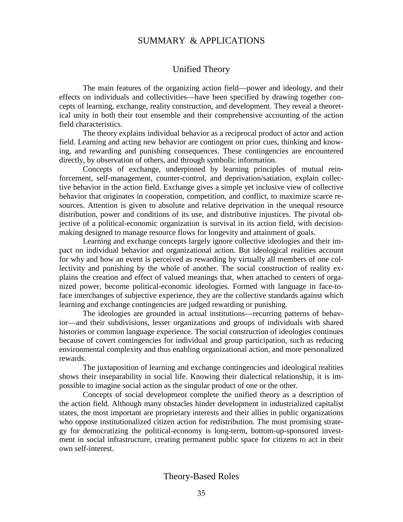## SUMMARY & APPLICATIONS

## Unified Theory

 The main features of the organizing action field—power and ideology, and their effects on individuals and collectivities—have been specified by drawing together concepts of learning, exchange, reality construction, and development. They reveal a theoretical unity in both their tout ensemble and their comprehensive accounting of the action field characteristics.

 The theory explains individual behavior as a reciprocal product of actor and action field. Learning and acting new behavior are contingent on prior cues, thinking and knowing, and rewarding and punishing consequences. These contingencies are encountered directly, by observation of others, and through symbolic information.

 Concepts of exchange, underpinned by learning principles of mutual reinforcement, self-management, counter-control, and deprivation/satiation, explain collective behavior in the action field. Exchange gives a simple yet inclusive view of collective behavior that originates in cooperation, competition, and conflict, to maximize scarce resources. Attention is given to absolute and relative deprivation in the unequal resource distribution, power and conditions of its use, and distributive injustices. The pivotal objective of a political-economic organization is survival in its action field, with decisionmaking designed to manage resource flows for longevity and attainment of goals.

 Learning and exchange concepts largely ignore collective ideologies and their impact on individual behavior and organizational action. But ideological realities account for why and how an event is perceived as rewarding by virtually all members of one collectivity and punishing by the whole of another. The social construction of reality explains the creation and effect of valued meanings that, when attached to centers of organized power, become political-economic ideologies. Formed with language in face-toface interchanges of subjective experience, they are the collective standards against which learning and exchange contingencies are judged rewarding or punishing.

 The ideologies are grounded in actual institutions—recurring patterns of behavior—and their subdivisions, lesser organizations and groups of individuals with shared histories or common language experience. The social construction of ideologies continues because of covert contingencies for individual and group participation, such as reducing environmental complexity and thus enabling organizational action, and more personalized rewards.

 The juxtaposition of learning and exchange contingencies and ideological realities shows their inseparability in social life. Knowing their dialectical relationship, it is impossible to imagine social action as the singular product of one or the other.

 Concepts of social development complete the unified theory as a description of the action field. Although many obstacles hinder development in industrialized capitalist states, the most important are proprietary interests and their allies in public organizations who oppose institutionalized citizen action for redistribution. The most promising strategy for democratizing the political-economy is long-term, bottom-up-sponsored investment in social infrastructure, creating permanent public space for citizens to act in their own self-interest.

#### Theory-Based Roles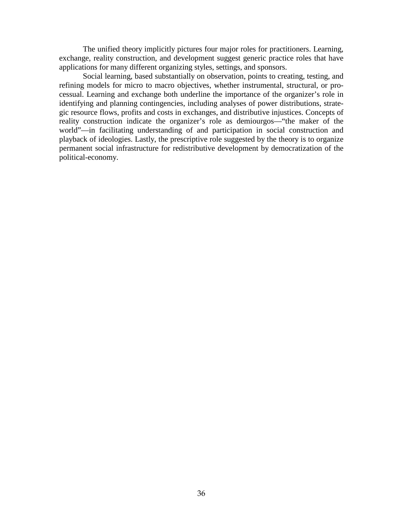The unified theory implicitly pictures four major roles for practitioners. Learning, exchange, reality construction, and development suggest generic practice roles that have applications for many different organizing styles, settings, and sponsors.

 Social learning, based substantially on observation, points to creating, testing, and refining models for micro to macro objectives, whether instrumental, structural, or processual. Learning and exchange both underline the importance of the organizer's role in identifying and planning contingencies, including analyses of power distributions, strategic resource flows, profits and costs in exchanges, and distributive injustices. Concepts of reality construction indicate the organizer's role as demiourgos—"the maker of the world"—in facilitating understanding of and participation in social construction and playback of ideologies. Lastly, the prescriptive role suggested by the theory is to organize permanent social infrastructure for redistributive development by democratization of the political-economy.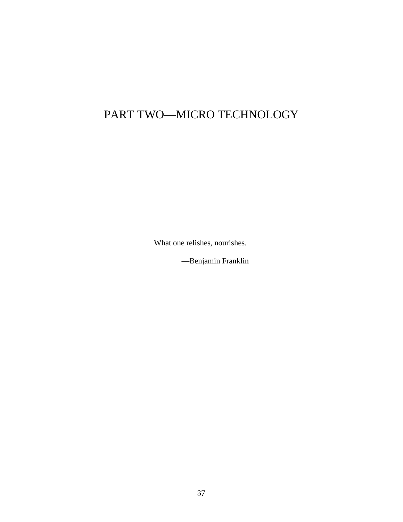# PART TWO—MICRO TECHNOLOGY

What one relishes, nourishes.

—Benjamin Franklin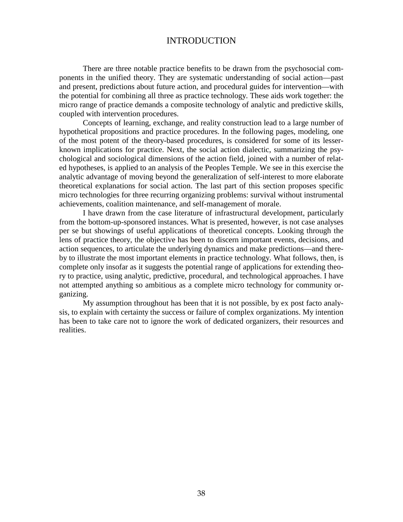## INTRODUCTION

There are three notable practice benefits to be drawn from the psychosocial components in the unified theory. They are systematic understanding of social action—past and present, predictions about future action, and procedural guides for intervention—with the potential for combining all three as practice technology. These aids work together: the micro range of practice demands a composite technology of analytic and predictive skills, coupled with intervention procedures.

Concepts of learning, exchange, and reality construction lead to a large number of hypothetical propositions and practice procedures. In the following pages, modeling, one of the most potent of the theory-based procedures, is considered for some of its lesserknown implications for practice. Next, the social action dialectic, summarizing the psychological and sociological dimensions of the action field, joined with a number of related hypotheses, is applied to an analysis of the Peoples Temple. We see in this exercise the analytic advantage of moving beyond the generalization of self-interest to more elaborate theoretical explanations for social action. The last part of this section proposes specific micro technologies for three recurring organizing problems: survival without instrumental achievements, coalition maintenance, and self-management of morale.

I have drawn from the case literature of infrastructural development, particularly from the bottom-up-sponsored instances. What is presented, however, is not case analyses per se but showings of useful applications of theoretical concepts. Looking through the lens of practice theory, the objective has been to discern important events, decisions, and action sequences, to articulate the underlying dynamics and make predictions—and thereby to illustrate the most important elements in practice technology. What follows, then, is complete only insofar as it suggests the potential range of applications for extending theory to practice, using analytic, predictive, procedural, and technological approaches. I have not attempted anything so ambitious as a complete micro technology for community organizing.

My assumption throughout has been that it is not possible, by ex post facto analysis, to explain with certainty the success or failure of complex organizations. My intention has been to take care not to ignore the work of dedicated organizers, their resources and realities.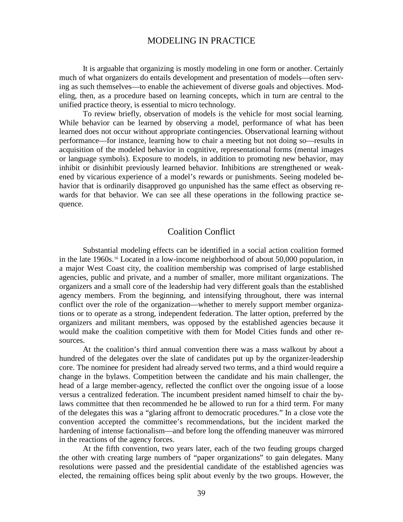#### MODELING IN PRACTICE

It is arguable that organizing is mostly modeling in one form or another. Certainly much of what organizers do entails development and presentation of models—often serving as such themselves—to enable the achievement of diverse goals and objectives. Modeling, then, as a procedure based on learning concepts, which in turn are central to the unified practice theory, is essential to micro technology.

To review briefly, observation of models is the vehicle for most social learning. While behavior can be learned by observing a model, performance of what has been learned does not occur without appropriate contingencies. Observational learning without performance—for instance, learning how to chair a meeting but not doing so—results in acquisition of the modeled behavior in cognitive, representational forms (mental images or language symbols). Exposure to models, in addition to promoting new behavior, may inhibit or disinhibit previously learned behavior. Inhibitions are strengthened or weakened by vicarious experience of a model's rewards or punishments. Seeing modeled behavior that is ordinarily disapproved go unpunished has the same effect as observing rewards for that behavior. We can see all these operations in the following practice sequence.

#### Coalition Conflict

Substantial modeling effects can be identified in a social action coalition formed in the late 1960s.[16](#page-126-6) Located in a low-income neighborhood of about 50,000 population, in a major West Coast city, the coalition membership was comprised of large established agencies, public and private, and a number of smaller, more militant organizations. The organizers and a small core of the leadership had very different goals than the established agency members. From the beginning, and intensifying throughout, there was internal conflict over the role of the organization—whether to merely support member organizations or to operate as a strong, independent federation. The latter option, preferred by the organizers and militant members, was opposed by the established agencies because it would make the coalition competitive with them for Model Cities funds and other resources.

At the coalition's third annual convention there was a mass walkout by about a hundred of the delegates over the slate of candidates put up by the organizer-leadership core. The nominee for president had already served two terms, and a third would require a change in the bylaws. Competition between the candidate and his main challenger, the head of a large member-agency, reflected the conflict over the ongoing issue of a loose versus a centralized federation. The incumbent president named himself to chair the bylaws committee that then recommended he be allowed to run for a third term. For many of the delegates this was a "glaring affront to democratic procedures." In a close vote the convention accepted the committee's recommendations, but the incident marked the hardening of intense factionalism—and before long the offending maneuver was mirrored in the reactions of the agency forces.

At the fifth convention, two years later, each of the two feuding groups charged the other with creating large numbers of "paper organizations" to gain delegates. Many resolutions were passed and the presidential candidate of the established agencies was elected, the remaining offices being split about evenly by the two groups. However, the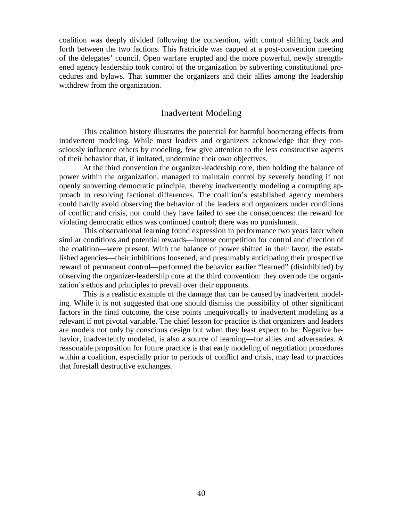coalition was deeply divided following the convention, with control shifting back and forth between the two factions. This fratricide was capped at a post-convention meeting of the delegates' council. Open warfare erupted and the more powerful, newly strengthened agency leadership took control of the organization by subverting constitutional procedures and bylaws. That summer the organizers and their allies among the leadership withdrew from the organization.

#### Inadvertent Modeling

This coalition history illustrates the potential for harmful boomerang effects from inadvertent modeling. While most leaders and organizers acknowledge that they consciously influence others by modeling, few give attention to the less constructive aspects of their behavior that, if imitated, undermine their own objectives.

At the third convention the organizer-leadership core, then holding the balance of power within the organization, managed to maintain control by severely bending if not openly subverting democratic principle, thereby inadvertently modeling a corrupting approach to resolving factional differences. The coalition's established agency members could hardly avoid observing the behavior of the leaders and organizers under conditions of conflict and crisis, nor could they have failed to see the consequences: the reward for violating democratic ethos was continued control; there was no punishment.

This observational learning found expression in performance two years later when similar conditions and potential rewards—intense competition for control and direction of the coalition—were present. With the balance of power shifted in their favor, the established agencies—their inhibitions loosened, and presumably anticipating their prospective reward of permanent control—performed the behavior earlier "learned" (disinhibited) by observing the organizer-leadership core at the third convention: they overrode the organization's ethos and principles to prevail over their opponents.

This is a realistic example of the damage that can be caused by inadvertent modeling. While it is not suggested that one should dismiss the possibility of other significant factors in the final outcome, the case points unequivocally to inadvertent modeling as a relevant if not pivotal variable. The chief lesson for practice is that organizers and leaders are models not only by conscious design but when they least expect to be. Negative behavior, inadvertently modeled, is also a source of learning—for allies and adversaries. A reasonable proposition for future practice is that early modeling of negotiation procedures within a coalition, especially prior to periods of conflict and crisis, may lead to practices that forestall destructive exchanges.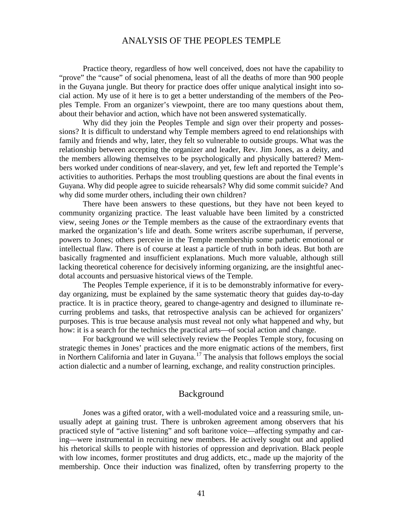#### ANALYSIS OF THE PEOPLES TEMPLE

Practice theory, regardless of how well conceived, does not have the capability to "prove" the "cause" of social phenomena, least of all the deaths of more than 900 people in the Guyana jungle. But theory for practice does offer unique analytical insight into social action. My use of it here is to get a better understanding of the members of the Peoples Temple. From an organizer's viewpoint, there are too many questions about them, about their behavior and action, which have not been answered systematically.

Why did they join the Peoples Temple and sign over their property and possessions? It is difficult to understand why Temple members agreed to end relationships with family and friends and why, later, they felt so vulnerable to outside groups. What was the relationship between accepting the organizer and leader, Rev. Jim Jones, as a deity, and the members allowing themselves to be psychologically and physically battered? Members worked under conditions of near-slavery, and yet, few left and reported the Temple's activities to authorities. Perhaps the most troubling questions are about the final events in Guyana. Why did people agree to suicide rehearsals? Why did some commit suicide? And why did some murder others, including their own children?

There have been answers to these questions, but they have not been keyed to community organizing practice. The least valuable have been limited by a constricted view, seeing Jones *or* the Temple members as the cause of the extraordinary events that marked the organization's life and death. Some writers ascribe superhuman, if perverse, powers to Jones; others perceive in the Temple membership some pathetic emotional or intellectual flaw. There is of course at least a particle of truth in both ideas. But both are basically fragmented and insufficient explanations. Much more valuable, although still lacking theoretical coherence for decisively informing organizing, are the insightful anecdotal accounts and persuasive historical views of the Temple.

The Peoples Temple experience, if it is to be demonstrably informative for everyday organizing, must be explained by the same systematic theory that guides day-to-day practice. It is in practice theory, geared to change-agentry and designed to illuminate recurring problems and tasks, that retrospective analysis can be achieved for organizers' purposes. This is true because analysis must reveal not only what happened and why, but how: it is a search for the technics the practical arts—of social action and change.

For background we will selectively review the Peoples Temple story, focusing on strategic themes in Jones' practices and the more enigmatic actions of the members, first in Northern California and later in Guyana.<sup>[17](#page-126-7)</sup> The analysis that follows employs the social action dialectic and a number of learning, exchange, and reality construction principles.

## Background

Jones was a gifted orator, with a well-modulated voice and a reassuring smile, unusually adept at gaining trust. There is unbroken agreement among observers that his practiced style of "active listening" and soft baritone voice—affecting sympathy and caring—were instrumental in recruiting new members. He actively sought out and applied his rhetorical skills to people with histories of oppression and deprivation. Black people with low incomes, former prostitutes and drug addicts, etc., made up the majority of the membership. Once their induction was finalized, often by transferring property to the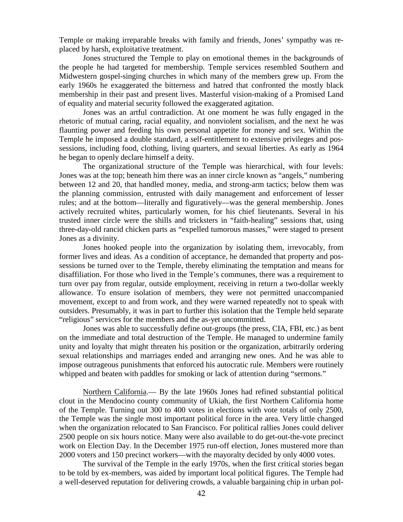Temple or making irreparable breaks with family and friends, Jones' sympathy was replaced by harsh, exploitative treatment.

Jones structured the Temple to play on emotional themes in the backgrounds of the people he had targeted for membership. Temple services resembled Southern and Midwestern gospel-singing churches in which many of the members grew up. From the early 1960s he exaggerated the bitterness and hatred that confronted the mostly black membership in their past and present lives. Masterful vision-making of a Promised Land of equality and material security followed the exaggerated agitation.

Jones was an artful contradiction. At one moment he was fully engaged in the rhetoric of mutual caring, racial equality, and nonviolent socialism, and the next he was flaunting power and feeding his own personal appetite for money and sex. Within the Temple he imposed a double standard, a self-entitlement to extensive privileges and possessions, including food, clothing, living quarters, and sexual liberties. As early as 1964 he began to openly declare himself a deity.

The organizational structure of the Temple was hierarchical, with four levels: Jones was at the top; beneath him there was an inner circle known as "angels," numbering between 12 and 20, that handled money, media, and strong-arm tactics; below them was the planning commission, entrusted with daily management and enforcement of lesser rules; and at the bottom—literally and figuratively—was the general membership. Jones actively recruited whites, particularly women, for his chief lieutenants. Several in his trusted inner circle were the shills and tricksters in "faith-healing" sessions that, using three-day-old rancid chicken parts as "expelled tumorous masses," were staged to present Jones as a divinity.

Jones hooked people into the organization by isolating them, irrevocably, from former lives and ideas. As a condition of acceptance, he demanded that property and possessions be turned over to the Temple, thereby eliminating the temptation and means for disaffiliation. For those who lived in the Temple's communes, there was a requirement to turn over pay from regular, outside employment, receiving in return a two-dollar weekly allowance. To ensure isolation of members, they were not permitted unaccompanied movement, except to and from work, and they were warned repeatedly not to speak with outsiders. Presumably, it was in part to further this isolation that the Temple held separate "religious" services for the members and the as-yet uncommitted.

Jones was able to successfully define out-groups (the press, CIA, FBI, etc.) as bent on the immediate and total destruction of the Temple. He managed to undermine family unity and loyalty that might threaten his position or the organization, arbitrarily ordering sexual relationships and marriages ended and arranging new ones. And he was able to impose outrageous punishments that enforced his autocratic rule. Members were routinely whipped and beaten with paddles for smoking or lack of attention during "sermons."

Northern California.— By the late 1960s Jones had refined substantial political clout in the Mendocino county community of Ukiah, the first Northern California home of the Temple. Turning out 300 to 400 votes in elections with vote totals of only 2500, the Temple was the single most important political force in the area. Very little changed when the organization relocated to San Francisco. For political rallies Jones could deliver 2500 people on six hours notice. Many were also available to do get-out-the-vote precinct work on Election Day. In the December 1975 run-off election, Jones mustered more than 2000 voters and 150 precinct workers—with the mayoralty decided by only 4000 votes.

The survival of the Temple in the early 1970s, when the first critical stories began to be told by ex-members, was aided by important local political figures. The Temple had a well-deserved reputation for delivering crowds, a valuable bargaining chip in urban pol-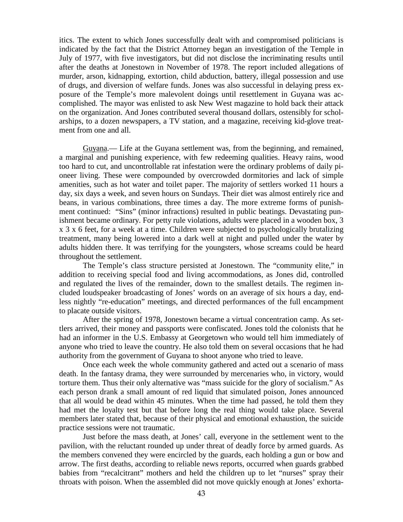itics. The extent to which Jones successfully dealt with and compromised politicians is indicated by the fact that the District Attorney began an investigation of the Temple in July of 1977, with five investigators, but did not disclose the incriminating results until after the deaths at Jonestown in November of 1978. The report included allegations of murder, arson, kidnapping, extortion, child abduction, battery, illegal possession and use of drugs, and diversion of welfare funds. Jones was also successful in delaying press exposure of the Temple's more malevolent doings until resettlement in Guyana was accomplished. The mayor was enlisted to ask New West magazine to hold back their attack on the organization. And Jones contributed several thousand dollars, ostensibly for scholarships, to a dozen newspapers, a TV station, and a magazine, receiving kid-glove treatment from one and all.

Guyana.— Life at the Guyana settlement was, from the beginning, and remained, a marginal and punishing experience, with few redeeming qualities. Heavy rains, wood too hard to cut, and uncontrollable rat infestation were the ordinary problems of daily pioneer living. These were compounded by overcrowded dormitories and lack of simple amenities, such as hot water and toilet paper. The majority of settlers worked 11 hours a day, six days a week, and seven hours on Sundays. Their diet was almost entirely rice and beans, in various combinations, three times a day. The more extreme forms of punishment continued: "Sins" (minor infractions) resulted in public beatings. Devastating punishment became ordinary. For petty rule violations, adults were placed in a wooden box, 3 x 3 x 6 feet, for a week at a time. Children were subjected to psychologically brutalizing treatment, many being lowered into a dark well at night and pulled under the water by adults hidden there. It was terrifying for the youngsters, whose screams could be heard throughout the settlement.

The Temple's class structure persisted at Jonestown. The "community elite," in addition to receiving special food and living accommodations, as Jones did, controlled and regulated the lives of the remainder, down to the smallest details. The regimen included loudspeaker broadcasting of Jones' words on an average of six hours a day, endless nightly "re-education" meetings, and directed performances of the full encampment to placate outside visitors.

After the spring of 1978, Jonestown became a virtual concentration camp. As settlers arrived, their money and passports were confiscated. Jones told the colonists that he had an informer in the U.S. Embassy at Georgetown who would tell him immediately of anyone who tried to leave the country. He also told them on several occasions that he had authority from the government of Guyana to shoot anyone who tried to leave.

Once each week the whole community gathered and acted out a scenario of mass death. In the fantasy drama, they were surrounded by mercenaries who, in victory, would torture them. Thus their only alternative was "mass suicide for the glory of socialism." As each person drank a small amount of red liquid that simulated poison, Jones announced that all would be dead within 45 minutes. When the time had passed, he told them they had met the loyalty test but that before long the real thing would take place. Several members later stated that, because of their physical and emotional exhaustion, the suicide practice sessions were not traumatic.

Just before the mass death, at Jones' call, everyone in the settlement went to the pavilion, with the reluctant rounded up under threat of deadly force by armed guards. As the members convened they were encircled by the guards, each holding a gun or bow and arrow. The first deaths, according to reliable news reports, occurred when guards grabbed babies from "recalcitrant" mothers and held the children up to let "nurses" spray their throats with poison. When the assembled did not move quickly enough at Jones' exhorta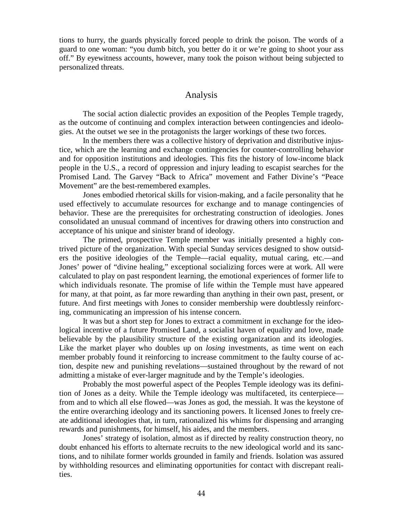tions to hurry, the guards physically forced people to drink the poison. The words of a guard to one woman: "you dumb bitch, you better do it or we're going to shoot your ass off." By eyewitness accounts, however, many took the poison without being subjected to personalized threats.

#### Analysis

The social action dialectic provides an exposition of the Peoples Temple tragedy, as the outcome of continuing and complex interaction between contingencies and ideologies. At the outset we see in the protagonists the larger workings of these two forces.

In the members there was a collective history of deprivation and distributive injustice, which are the learning and exchange contingencies for counter-controlling behavior and for opposition institutions and ideologies. This fits the history of low-income black people in the U.S., a record of oppression and injury leading to escapist searches for the Promised Land. The Garvey "Back to Africa" movement and Father Divine's "Peace Movement" are the best-remembered examples.

Jones embodied rhetorical skills for vision-making, and a facile personality that he used effectively to accumulate resources for exchange and to manage contingencies of behavior. These are the prerequisites for orchestrating construction of ideologies. Jones consolidated an unusual command of incentives for drawing others into construction and acceptance of his unique and sinister brand of ideology.

The primed, prospective Temple member was initially presented a highly contrived picture of the organization. With special Sunday services designed to show outsiders the positive ideologies of the Temple—racial equality, mutual caring, etc.—and Jones' power of "divine healing," exceptional socializing forces were at work. All were calculated to play on past respondent learning, the emotional experiences of former life to which individuals resonate. The promise of life within the Temple must have appeared for many, at that point, as far more rewarding than anything in their own past, present, or future. And first meetings with Jones to consider membership were doubtlessly reinforcing, communicating an impression of his intense concern.

It was but a short step for Jones to extract a commitment in exchange for the ideological incentive of a future Promised Land, a socialist haven of equality and love, made believable by the plausibility structure of the existing organization and its ideologies. Like the market player who doubles up on *losing* investments, as time went on each member probably found it reinforcing to increase commitment to the faulty course of action, despite new and punishing revelations—sustained throughout by the reward of not admitting a mistake of ever-larger magnitude and by the Temple's ideologies.

Probably the most powerful aspect of the Peoples Temple ideology was its definition of Jones as a deity. While the Temple ideology was multifaceted, its centerpiece from and to which all else flowed—was Jones as god, the messiah. It was the keystone of the entire overarching ideology and its sanctioning powers. It licensed Jones to freely create additional ideologies that, in turn, rationalized his whims for dispensing and arranging rewards and punishments, for himself, his aides, and the members.

Jones' strategy of isolation, almost as if directed by reality construction theory, no doubt enhanced his efforts to alternate recruits to the new ideological world and its sanctions, and to nihilate former worlds grounded in family and friends. Isolation was assured by withholding resources and eliminating opportunities for contact with discrepant realities.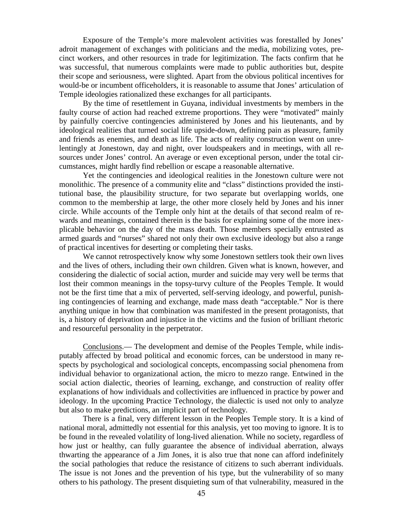Exposure of the Temple's more malevolent activities was forestalled by Jones' adroit management of exchanges with politicians and the media, mobilizing votes, precinct workers, and other resources in trade for legitimization. The facts confirm that he was successful, that numerous complaints were made to public authorities but, despite their scope and seriousness, were slighted. Apart from the obvious political incentives for would-be or incumbent officeholders, it is reasonable to assume that Jones' articulation of Temple ideologies rationalized these exchanges for all participants.

By the time of resettlement in Guyana, individual investments by members in the faulty course of action had reached extreme proportions. They were "motivated" mainly by painfully coercive contingencies administered by Jones and his lieutenants, and by ideological realities that turned social life upside-down, defining pain as pleasure, family and friends as enemies, and death as life. The acts of reality construction went on unrelentingly at Jonestown, day and night, over loudspeakers and in meetings, with all resources under Jones' control. An average or even exceptional person, under the total circumstances, might hardly find rebellion or escape a reasonable alternative.

Yet the contingencies and ideological realities in the Jonestown culture were not monolithic. The presence of a community elite and "class" distinctions provided the institutional base, the plausibility structure, for two separate but overlapping worlds, one common to the membership at large, the other more closely held by Jones and his inner circle. While accounts of the Temple only hint at the details of that second realm of rewards and meanings, contained therein is the basis for explaining some of the more inexplicable behavior on the day of the mass death. Those members specially entrusted as armed guards and "nurses" shared not only their own exclusive ideology but also a range of practical incentives for deserting or completing their tasks.

We cannot retrospectively know why some Jonestown settlers took their own lives and the lives of others, including their own children. Given what is known, however, and considering the dialectic of social action, murder and suicide may very well be terms that lost their common meanings in the topsy-turvy culture of the Peoples Temple. It would not be the first time that a mix of perverted, self-serving ideology, and powerful, punishing contingencies of learning and exchange, made mass death "acceptable." Nor is there anything unique in how that combination was manifested in the present protagonists, that is, a history of deprivation and injustice in the victims and the fusion of brilliant rhetoric and resourceful personality in the perpetrator.

Conclusions.— The development and demise of the Peoples Temple, while indisputably affected by broad political and economic forces, can be understood in many respects by psychological and sociological concepts, encompassing social phenomena from individual behavior to organizational action, the micro to mezzo range. Entwined in the social action dialectic, theories of learning, exchange, and construction of reality offer explanations of how individuals and collectivities are influenced in practice by power and ideology. In the upcoming Practice Technology, the dialectic is used not only to analyze but also to make predictions, an implicit part of technology.

There is a final, very different lesson in the Peoples Temple story. It is a kind of national moral, admittedly not essential for this analysis, yet too moving to ignore. It is to be found in the revealed volatility of long-lived alienation. While no society, regardless of how just or healthy, can fully guarantee the absence of individual aberration, always thwarting the appearance of a Jim Jones, it is also true that none can afford indefinitely the social pathologies that reduce the resistance of citizens to such aberrant individuals. The issue is not Jones and the prevention of his type, but the vulnerability of so many others to his pathology. The present disquieting sum of that vulnerability, measured in the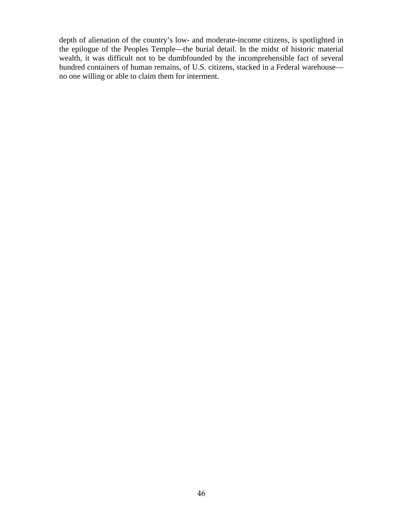depth of alienation of the country's low- and moderate-income citizens, is spotlighted in the epilogue of the Peoples Temple—the burial detail. In the midst of historic material wealth, it was difficult not to be dumbfounded by the incomprehensible fact of several hundred containers of human remains, of U.S. citizens, stacked in a Federal warehouse no one willing or able to claim them for interment.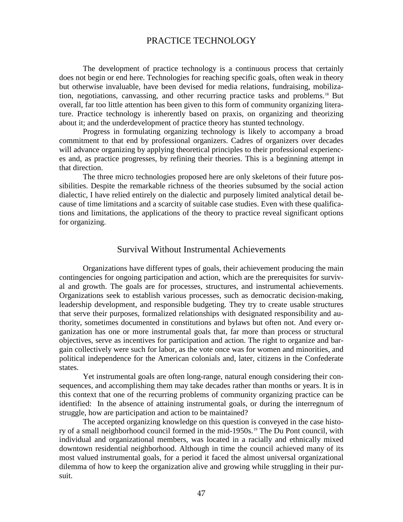## PRACTICE TECHNOLOGY

The development of practice technology is a continuous process that certainly does not begin or end here. Technologies for reaching specific goals, often weak in theory but otherwise invaluable, have been devised for media relations, fundraising, mobilization, negotiations, canvassing, and other recurring practice tasks and problems.[18](#page-126-8) But overall, far too little attention has been given to this form of community organizing literature. Practice technology is inherently based on praxis, on organizing and theorizing about it; and the underdevelopment of practice theory has stunted technology.

Progress in formulating organizing technology is likely to accompany a broad commitment to that end by professional organizers. Cadres of organizers over decades will advance organizing by applying theoretical principles to their professional experiences and, as practice progresses, by refining their theories. This is a beginning attempt in that direction.

The three micro technologies proposed here are only skeletons of their future possibilities. Despite the remarkable richness of the theories subsumed by the social action dialectic, I have relied entirely on the dialectic and purposely limited analytical detail because of time limitations and a scarcity of suitable case studies. Even with these qualifications and limitations, the applications of the theory to practice reveal significant options for organizing.

#### Survival Without Instrumental Achievements

Organizations have different types of goals, their achievement producing the main contingencies for ongoing participation and action, which are the prerequisites for survival and growth. The goals are for processes, structures, and instrumental achievements. Organizations seek to establish various processes, such as democratic decision-making, leadership development, and responsible budgeting. They try to create usable structures that serve their purposes, formalized relationships with designated responsibility and authority, sometimes documented in constitutions and bylaws but often not. And every organization has one or more instrumental goals that, far more than process or structural objectives, serve as incentives for participation and action. The right to organize and bargain collectively were such for labor, as the vote once was for women and minorities, and political independence for the American colonials and, later, citizens in the Confederate states.

Yet instrumental goals are often long-range, natural enough considering their consequences, and accomplishing them may take decades rather than months or years. It is in this context that one of the recurring problems of community organizing practice can be identified: In the absence of attaining instrumental goals, or during the interregnum of struggle, how are participation and action to be maintained?

The accepted organizing knowledge on this question is conveyed in the case histo-ry of a small neighborhood council formed in the mid-[19](#page-126-9)50s.<sup>19</sup> The Du Pont council, with individual and organizational members, was located in a racially and ethnically mixed downtown residential neighborhood. Although in time the council achieved many of its most valued instrumental goals, for a period it faced the almost universal organizational dilemma of how to keep the organization alive and growing while struggling in their pursuit.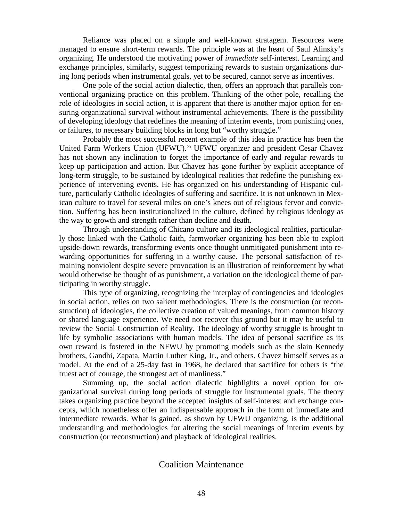Reliance was placed on a simple and well-known stratagem. Resources were managed to ensure short-term rewards. The principle was at the heart of Saul Alinsky's organizing. He understood the motivating power of *immediate* self-interest. Learning and exchange principles, similarly, suggest temporizing rewards to sustain organizations during long periods when instrumental goals, yet to be secured, cannot serve as incentives.

One pole of the social action dialectic, then, offers an approach that parallels conventional organizing practice on this problem. Thinking of the other pole, recalling the role of ideologies in social action, it is apparent that there is another major option for ensuring organizational survival without instrumental achievements. There is the possibility of developing ideology that redefines the meaning of interim events, from punishing ones, or failures, to necessary building blocks in long but "worthy struggle."

Probably the most successful recent example of this idea in practice has been the United Farm Workers Union (UFWU).<sup>[20](#page-126-10)</sup> UFWU organizer and president Cesar Chavez has not shown any inclination to forget the importance of early and regular rewards to keep up participation and action. But Chavez has gone further by explicit acceptance of long-term struggle, to be sustained by ideological realities that redefine the punishing experience of intervening events. He has organized on his understanding of Hispanic culture, particularly Catholic ideologies of suffering and sacrifice. It is not unknown in Mexican culture to travel for several miles on one's knees out of religious fervor and conviction. Suffering has been institutionalized in the culture, defined by religious ideology as the way to growth and strength rather than decline and death.

Through understanding of Chicano culture and its ideological realities, particularly those linked with the Catholic faith, farmworker organizing has been able to exploit upside-down rewards, transforming events once thought unmitigated punishment into rewarding opportunities for suffering in a worthy cause. The personal satisfaction of remaining nonviolent despite severe provocation is an illustration of reinforcement by what would otherwise be thought of as punishment, a variation on the ideological theme of participating in worthy struggle.

This type of organizing, recognizing the interplay of contingencies and ideologies in social action, relies on two salient methodologies. There is the construction (or reconstruction) of ideologies, the collective creation of valued meanings, from common history or shared language experience. We need not recover this ground but it may be useful to review the Social Construction of Reality. The ideology of worthy struggle is brought to life by symbolic associations with human models. The idea of personal sacrifice as its own reward is fostered in the NFWU by promoting models such as the slain Kennedy brothers, Gandhi, Zapata, Martin Luther King, Jr., and others. Chavez himself serves as a model. At the end of a 25-day fast in 1968, he declared that sacrifice for others is "the truest act of courage, the strongest act of manliness."

Summing up, the social action dialectic highlights a novel option for organizational survival during long periods of struggle for instrumental goals. The theory takes organizing practice beyond the accepted insights of self-interest and exchange concepts, which nonetheless offer an indispensable approach in the form of immediate and intermediate rewards. What is gained, as shown by UFWU organizing, is the additional understanding and methodologies for altering the social meanings of interim events by construction (or reconstruction) and playback of ideological realities.

## Coalition Maintenance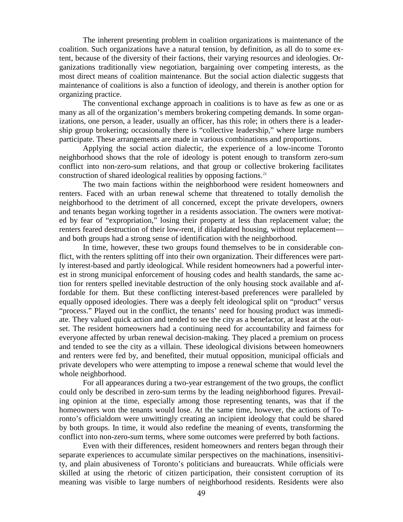The inherent presenting problem in coalition organizations is maintenance of the coalition. Such organizations have a natural tension, by definition, as all do to some extent, because of the diversity of their factions, their varying resources and ideologies. Organizations traditionally view negotiation, bargaining over competing interests, as the most direct means of coalition maintenance. But the social action dialectic suggests that maintenance of coalitions is also a function of ideology, and therein is another option for organizing practice.

The conventional exchange approach in coalitions is to have as few as one or as many as all of the organization's members brokering competing demands. In some organizations, one person, a leader, usually an officer, has this role; in others there is a leadership group brokering; occasionally there is "collective leadership," where large numbers participate. These arrangements are made in various combinations and proportions.

Applying the social action dialectic, the experience of a low-income Toronto neighborhood shows that the role of ideology is potent enough to transform zero-sum conflict into non-zero-sum relations, and that group or collective brokering facilitates construction of shared ideological realities by opposing factions.<sup>21</sup>

The two main factions within the neighborhood were resident homeowners and renters. Faced with an urban renewal scheme that threatened to totally demolish the neighborhood to the detriment of all concerned, except the private developers, owners and tenants began working together in a residents association. The owners were motivated by fear of "expropriation," losing their property at less than replacement value; the renters feared destruction of their low-rent, if dilapidated housing, without replacement and both groups had a strong sense of identification with the neighborhood.

In time, however, these two groups found themselves to be in considerable conflict, with the renters splitting off into their own organization. Their differences were partly interest-based and partly ideological. While resident homeowners had a powerful interest in strong municipal enforcement of housing codes and health standards, the same action for renters spelled inevitable destruction of the only housing stock available and affordable for them. But these conflicting interest-based preferences were paralleled by equally opposed ideologies. There was a deeply felt ideological split on "product" versus "process." Played out in the conflict, the tenants' need for housing product was immediate. They valued quick action and tended to see the city as a benefactor, at least at the outset. The resident homeowners had a continuing need for accountability and fairness for everyone affected by urban renewal decision-making. They placed a premium on process and tended to see the city as a villain. These ideological divisions between homeowners and renters were fed by, and benefited, their mutual opposition, municipal officials and private developers who were attempting to impose a renewal scheme that would level the whole neighborhood.

For all appearances during a two-year estrangement of the two groups, the conflict could only be described in zero-sum terms by the leading neighborhood figures. Prevailing opinion at the time, especially among those representing tenants, was that if the homeowners won the tenants would lose. At the same time, however, the actions of Toronto's officialdom were unwittingly creating an incipient ideology that could be shared by both groups. In time, it would also redefine the meaning of events, transforming the conflict into non-zero-sum terms, where some outcomes were preferred by both factions.

Even with their differences, resident homeowners and renters began through their separate experiences to accumulate similar perspectives on the machinations, insensitivity, and plain abusiveness of Toronto's politicians and bureaucrats. While officials were skilled at using the rhetoric of citizen participation, their consistent corruption of its meaning was visible to large numbers of neighborhood residents. Residents were also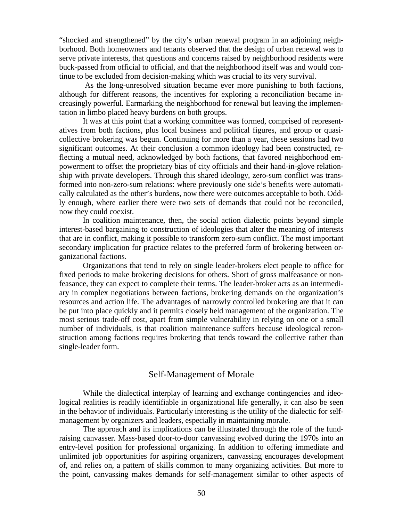"shocked and strengthened" by the city's urban renewal program in an adjoining neighborhood. Both homeowners and tenants observed that the design of urban renewal was to serve private interests, that questions and concerns raised by neighborhood residents were buck-passed from official to official, and that the neighborhood itself was and would continue to be excluded from decision-making which was crucial to its very survival.

As the long-unresolved situation became ever more punishing to both factions, although for different reasons, the incentives for exploring a reconciliation became increasingly powerful. Earmarking the neighborhood for renewal but leaving the implementation in limbo placed heavy burdens on both groups.

It was at this point that a working committee was formed, comprised of representatives from both factions, plus local business and political figures, and group or quasicollective brokering was begun. Continuing for more than a year, these sessions had two significant outcomes. At their conclusion a common ideology had been constructed, reflecting a mutual need, acknowledged by both factions, that favored neighborhood empowerment to offset the proprietary bias of city officials and their hand-in-glove relationship with private developers. Through this shared ideology, zero-sum conflict was transformed into non-zero-sum relations: where previously one side's benefits were automatically calculated as the other's burdens, now there were outcomes acceptable to both. Oddly enough, where earlier there were two sets of demands that could not be reconciled, now they could coexist.

In coalition maintenance, then, the social action dialectic points beyond simple interest-based bargaining to construction of ideologies that alter the meaning of interests that are in conflict, making it possible to transform zero-sum conflict. The most important secondary implication for practice relates to the preferred form of brokering between organizational factions.

Organizations that tend to rely on single leader-brokers elect people to office for fixed periods to make brokering decisions for others. Short of gross malfeasance or nonfeasance, they can expect to complete their terms. The leader-broker acts as an intermediary in complex negotiations between factions, brokering demands on the organization's resources and action life. The advantages of narrowly controlled brokering are that it can be put into place quickly and it permits closely held management of the organization. The most serious trade-off cost, apart from simple vulnerability in relying on one or a small number of individuals, is that coalition maintenance suffers because ideological reconstruction among factions requires brokering that tends toward the collective rather than single-leader form.

#### Self-Management of Morale

While the dialectical interplay of learning and exchange contingencies and ideological realities is readily identifiable in organizational life generally, it can also be seen in the behavior of individuals. Particularly interesting is the utility of the dialectic for selfmanagement by organizers and leaders, especially in maintaining morale.

The approach and its implications can be illustrated through the role of the fundraising canvasser. Mass-based door-to-door canvassing evolved during the 1970s into an entry-level position for professional organizing. In addition to offering immediate and unlimited job opportunities for aspiring organizers, canvassing encourages development of, and relies on, a pattern of skills common to many organizing activities. But more to the point, canvassing makes demands for self-management similar to other aspects of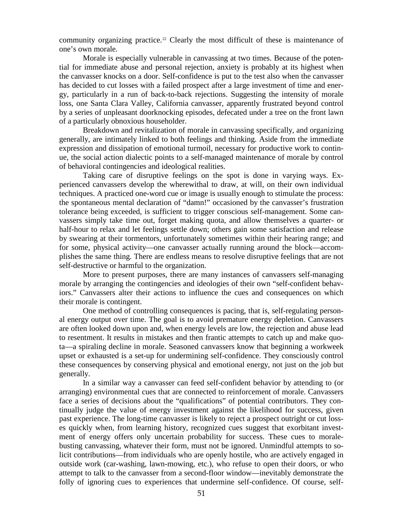community organizing practice.<sup>[22](#page-126-12)</sup> Clearly the most difficult of these is maintenance of one's own morale.

Morale is especially vulnerable in canvassing at two times. Because of the potential for immediate abuse and personal rejection, anxiety is probably at its highest when the canvasser knocks on a door. Self-confidence is put to the test also when the canvasser has decided to cut losses with a failed prospect after a large investment of time and energy, particularly in a run of back-to-back rejections. Suggesting the intensity of morale loss, one Santa Clara Valley, California canvasser, apparently frustrated beyond control by a series of unpleasant doorknocking episodes, defecated under a tree on the front lawn of a particularly obnoxious householder.

Breakdown and revitalization of morale in canvassing specifically, and organizing generally, are intimately linked to both feelings and thinking. Aside from the immediate expression and dissipation of emotional turmoil, necessary for productive work to continue, the social action dialectic points to a self-managed maintenance of morale by control of behavioral contingencies and ideological realities.

Taking care of disruptive feelings on the spot is done in varying ways. Experienced canvassers develop the wherewithal to draw, at will, on their own individual techniques. A practiced one-word cue or image is usually enough to stimulate the process: the spontaneous mental declaration of "damn!" occasioned by the canvasser's frustration tolerance being exceeded, is sufficient to trigger conscious self-management. Some canvassers simply take time out, forget making quota, and allow themselves a quarter- or half-hour to relax and let feelings settle down; others gain some satisfaction and release by swearing at their tormentors, unfortunately sometimes within their hearing range; and for some, physical activity—one canvasser actually running around the block—accomplishes the same thing. There are endless means to resolve disruptive feelings that are not self-destructive or harmful to the organization.

More to present purposes, there are many instances of canvassers self-managing morale by arranging the contingencies and ideologies of their own "self-confident behaviors." Canvassers alter their actions to influence the cues and consequences on which their morale is contingent.

One method of controlling consequences is pacing, that is, self-regulating personal energy output over time. The goal is to avoid premature energy depletion. Canvassers are often looked down upon and, when energy levels are low, the rejection and abuse lead to resentment. It results in mistakes and then frantic attempts to catch up and make quota—a spiraling decline in morale. Seasoned canvassers know that beginning a workweek upset or exhausted is a set-up for undermining self-confidence. They consciously control these consequences by conserving physical and emotional energy, not just on the job but generally.

In a similar way a canvasser can feed self-confident behavior by attending to (or arranging) environmental cues that are connected to reinforcement of morale. Canvassers face a series of decisions about the "qualifications" of potential contributors. They continually judge the value of energy investment against the likelihood for success, given past experience. The long-time canvasser is likely to reject a prospect outright or cut losses quickly when, from learning history, recognized cues suggest that exorbitant investment of energy offers only uncertain probability for success. These cues to moralebusting canvassing, whatever their form, must not be ignored. Unmindful attempts to solicit contributions—from individuals who are openly hostile, who are actively engaged in outside work (car-washing, lawn-mowing, etc.), who refuse to open their doors, or who attempt to talk to the canvasser from a second-floor window—inevitably demonstrate the folly of ignoring cues to experiences that undermine self-confidence. Of course, self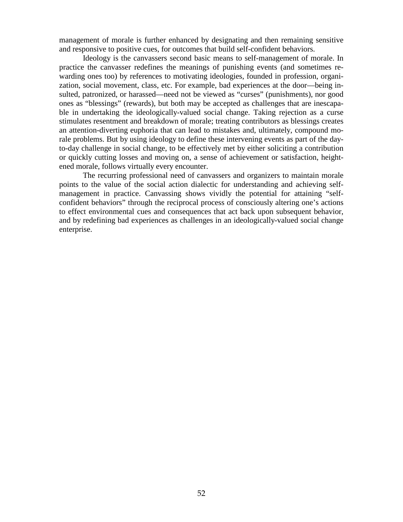management of morale is further enhanced by designating and then remaining sensitive and responsive to positive cues, for outcomes that build self-confident behaviors.

Ideology is the canvassers second basic means to self-management of morale. In practice the canvasser redefines the meanings of punishing events (and sometimes rewarding ones too) by references to motivating ideologies, founded in profession, organization, social movement, class, etc. For example, bad experiences at the door—being insulted, patronized, or harassed—need not be viewed as "curses" (punishments), nor good ones as "blessings" (rewards), but both may be accepted as challenges that are inescapable in undertaking the ideologically-valued social change. Taking rejection as a curse stimulates resentment and breakdown of morale; treating contributors as blessings creates an attention-diverting euphoria that can lead to mistakes and, ultimately, compound morale problems. But by using ideology to define these intervening events as part of the dayto-day challenge in social change, to be effectively met by either soliciting a contribution or quickly cutting losses and moving on, a sense of achievement or satisfaction, heightened morale, follows virtually every encounter.

The recurring professional need of canvassers and organizers to maintain morale points to the value of the social action dialectic for understanding and achieving selfmanagement in practice. Canvassing shows vividly the potential for attaining "selfconfident behaviors" through the reciprocal process of consciously altering one's actions to effect environmental cues and consequences that act back upon subsequent behavior, and by redefining bad experiences as challenges in an ideologically-valued social change enterprise.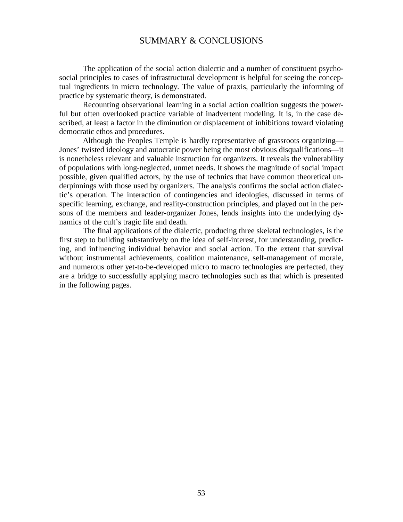## SUMMARY & CONCLUSIONS

The application of the social action dialectic and a number of constituent psychosocial principles to cases of infrastructural development is helpful for seeing the conceptual ingredients in micro technology. The value of praxis, particularly the informing of practice by systematic theory, is demonstrated.

Recounting observational learning in a social action coalition suggests the powerful but often overlooked practice variable of inadvertent modeling. It is, in the case described, at least a factor in the diminution or displacement of inhibitions toward violating democratic ethos and procedures.

Although the Peoples Temple is hardly representative of grassroots organizing— Jones' twisted ideology and autocratic power being the most obvious disqualifications—it is nonetheless relevant and valuable instruction for organizers. It reveals the vulnerability of populations with long-neglected, unmet needs. It shows the magnitude of social impact possible, given qualified actors, by the use of technics that have common theoretical underpinnings with those used by organizers. The analysis confirms the social action dialectic's operation. The interaction of contingencies and ideologies, discussed in terms of specific learning, exchange, and reality-construction principles, and played out in the persons of the members and leader-organizer Jones, lends insights into the underlying dynamics of the cult's tragic life and death.

The final applications of the dialectic, producing three skeletal technologies, is the first step to building substantively on the idea of self-interest, for understanding, predicting, and influencing individual behavior and social action. To the extent that survival without instrumental achievements, coalition maintenance, self-management of morale, and numerous other yet-to-be-developed micro to macro technologies are perfected, they are a bridge to successfully applying macro technologies such as that which is presented in the following pages.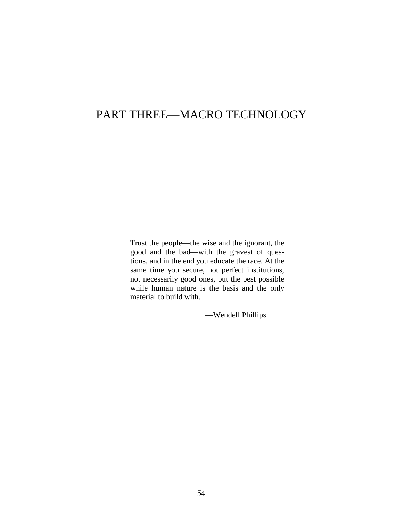## PART THREE—MACRO TECHNOLOGY

Trust the people—the wise and the ignorant, the good and the bad—with the gravest of questions, and in the end you educate the race. At the same time you secure, not perfect institutions, not necessarily good ones, but the best possible while human nature is the basis and the only material to build with.

—Wendell Phillips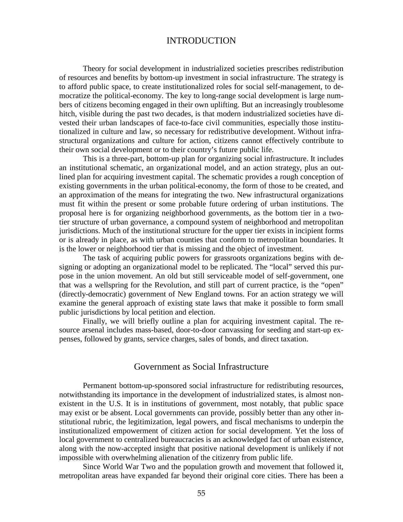## INTRODUCTION

Theory for social development in industrialized societies prescribes redistribution of resources and benefits by bottom-up investment in social infrastructure. The strategy is to afford public space, to create institutionalized roles for social self-management, to democratize the political-economy. The key to long-range social development is large numbers of citizens becoming engaged in their own uplifting. But an increasingly troublesome hitch, visible during the past two decades, is that modern industrialized societies have divested their urban landscapes of face-to-face civil communities, especially those institutionalized in culture and law, so necessary for redistributive development. Without infrastructural organizations and culture for action, citizens cannot effectively contribute to their own social development or to their country's future public life.

This is a three-part, bottom-up plan for organizing social infrastructure. It includes an institutional schematic, an organizational model, and an action strategy, plus an outlined plan for acquiring investment capital. The schematic provides a rough conception of existing governments in the urban political-economy, the form of those to be created, and an approximation of the means for integrating the two. New infrastructural organizations must fit within the present or some probable future ordering of urban institutions. The proposal here is for organizing neighborhood governments, as the bottom tier in a twotier structure of urban governance, a compound system of neighborhood and metropolitan jurisdictions. Much of the institutional structure for the upper tier exists in incipient forms or is already in place, as with urban counties that conform to metropolitan boundaries. It is the lower or neighborhood tier that is missing and the object of investment.

The task of acquiring public powers for grassroots organizations begins with designing or adopting an organizational model to be replicated. The "local" served this purpose in the union movement. An old but still serviceable model of self-government, one that was a wellspring for the Revolution, and still part of current practice, is the "open" (directly-democratic) government of New England towns. For an action strategy we will examine the general approach of existing state laws that make it possible to form small public jurisdictions by local petition and election.

Finally, we will briefly outline a plan for acquiring investment capital. The resource arsenal includes mass-based, door-to-door canvassing for seeding and start-up expenses, followed by grants, service charges, sales of bonds, and direct taxation.

#### Government as Social Infrastructure

Permanent bottom-up-sponsored social infrastructure for redistributing resources, notwithstanding its importance in the development of industrialized states, is almost nonexistent in the U.S. It is in institutions of government, most notably, that public space may exist or be absent. Local governments can provide, possibly better than any other institutional rubric, the legitimization, legal powers, and fiscal mechanisms to underpin the institutionalized empowerment of citizen action for social development. Yet the loss of local government to centralized bureaucracies is an acknowledged fact of urban existence, along with the now-accepted insight that positive national development is unlikely if not impossible with overwhelming alienation of the citizenry from public life.

Since World War Two and the population growth and movement that followed it, metropolitan areas have expanded far beyond their original core cities. There has been a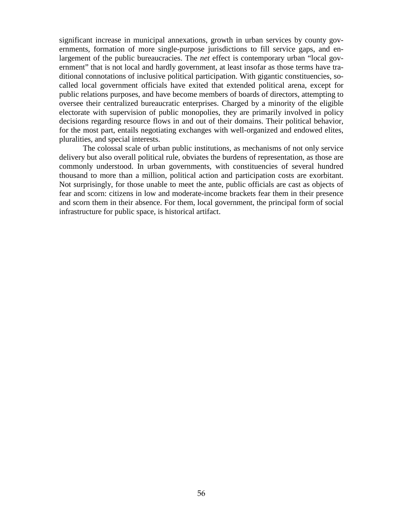significant increase in municipal annexations, growth in urban services by county governments, formation of more single-purpose jurisdictions to fill service gaps, and enlargement of the public bureaucracies. The *net* effect is contemporary urban "local government" that is not local and hardly government, at least insofar as those terms have traditional connotations of inclusive political participation. With gigantic constituencies, socalled local government officials have exited that extended political arena, except for public relations purposes, and have become members of boards of directors, attempting to oversee their centralized bureaucratic enterprises. Charged by a minority of the eligible electorate with supervision of public monopolies, they are primarily involved in policy decisions regarding resource flows in and out of their domains. Their political behavior, for the most part, entails negotiating exchanges with well-organized and endowed elites, pluralities, and special interests.

The colossal scale of urban public institutions, as mechanisms of not only service delivery but also overall political rule, obviates the burdens of representation, as those are commonly understood. In urban governments, with constituencies of several hundred thousand to more than a million, political action and participation costs are exorbitant. Not surprisingly, for those unable to meet the ante, public officials are cast as objects of fear and scorn: citizens in low and moderate-income brackets fear them in their presence and scorn them in their absence. For them, local government, the principal form of social infrastructure for public space, is historical artifact.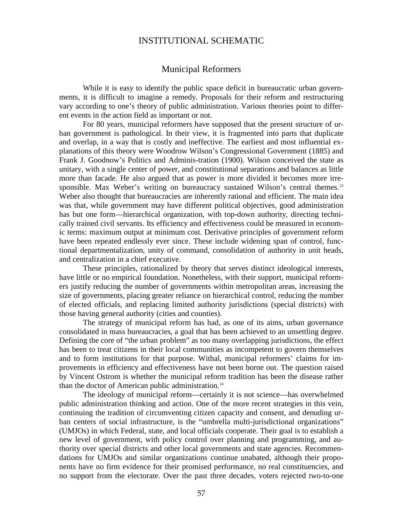## INSTITUTIONAL SCHEMATIC

#### Municipal Reformers

While it is easy to identify the public space deficit in bureaucratic urban governments, it is difficult to imagine a remedy. Proposals for their reform and restructuring vary according to one's theory of public administration. Various theories point to different events in the action field as important or not.

For 80 years, municipal reformers have supposed that the present structure of urban government is pathological. In their view, it is fragmented into parts that duplicate and overlap, in a way that is costly and ineffective. The earliest and most influential explanations of this theory were Woodrow Wilson's Congressional Government (1885) and Frank J. Goodnow's Politics and Adminis-tration (1900). Wilson conceived the state as unitary, with a single center of power, and constitutional separations and balances as little more than facade. He also argued that as power is more divided it becomes more irre-sponsible. Max Weber's writing on bureaucracy sustained Wilson's central themes.<sup>[23](#page-126-13)</sup> Weber also thought that bureaucracies are inherently rational and efficient. The main idea was that, while government may have different political objectives, good administration has but one form—hierarchical organization, with top-down authority, directing technically trained civil servants. Its efficiency and effectiveness could be measured in economic terms: maximum output at minimum cost. Derivative principles of government reform have been repeated endlessly ever since. These include widening span of control, functional departmentalization, unity of command, consolidation of authority in unit heads, and centralization in a chief executive.

These principles, rationalized by theory that serves distinct ideological interests, have little or no empirical foundation. Nonetheless, with their support, municipal reformers justify reducing the number of governments within metropolitan areas, increasing the size of governments, placing greater reliance on hierarchical control, reducing the number of elected officials, and replacing limited authority jurisdictions (special districts) with those having general authority (cities and counties).

The strategy of municipal reform has had, as one of its aims, urban governance consolidated in mass bureaucracies, a goal that has been achieved to an unsettling degree. Defining the core of "the urban problem" as too many overlapping jurisdictions, the effect has been to treat citizens in their local communities as incompetent to govern themselves and to form institutions for that purpose. Withal, municipal reformers' claims for improvements in efficiency and effectiveness have not been borne out. The question raised by Vincent Ostrom is whether the municipal reform tradition has been the disease rather than the doctor of American public administration.<sup>[24](#page-126-3)</sup>

The ideology of municipal reform—certainly it is not science—has overwhelmed public administration thinking and action. One of the more recent strategies in this vein, continuing the tradition of circumventing citizen capacity and consent, and denuding urban centers of social infrastructure, is the "umbrella multi-jurisdictional organizations" (UMJOs) in which Federal, state, and local officials cooperate. Their goal is to establish a new level of government, with policy control over planning and programming, and authority over special districts and other local governments and state agencies. Recommendations for UMJOs and similar organizations continue unabated, although their proponents have no firm evidence for their promised performance, no real constituencies, and no support from the electorate. Over the past three decades, voters rejected two-to-one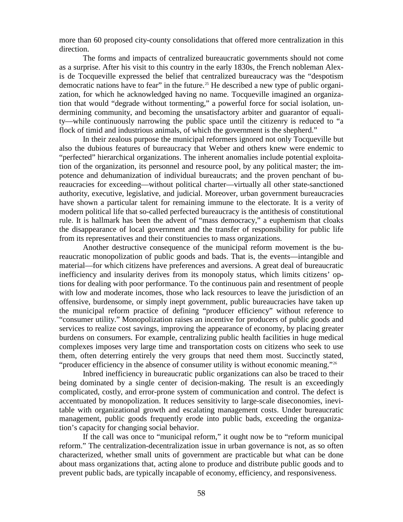more than 60 proposed city-county consolidations that offered more centralization in this direction.

The forms and impacts of centralized bureaucratic governments should not come as a surprise. After his visit to this country in the early 1830s, the French nobleman Alexis de Tocqueville expressed the belief that centralized bureaucracy was the "despotism democratic nations have to fear" in the future.[25](#page-126-14) He described a new type of public organization, for which he acknowledged having no name. Tocqueville imagined an organization that would "degrade without tormenting," a powerful force for social isolation, undermining community, and becoming the unsatisfactory arbiter and guarantor of equality—while continuously narrowing the public space until the citizenry is reduced to "a flock of timid and industrious animals, of which the government is the shepherd."

In their zealous purpose the municipal reformers ignored not only Tocqueville but also the dubious features of bureaucracy that Weber and others knew were endemic to "perfected" hierarchical organizations. The inherent anomalies include potential exploitation of the organization, its personnel and resource pool, by any political master; the impotence and dehumanization of individual bureaucrats; and the proven penchant of bureaucracies for exceeding—without political charter—virtually all other state-sanctioned authority, executive, legislative, and judicial. Moreover, urban government bureaucracies have shown a particular talent for remaining immune to the electorate. It is a verity of modern political life that so-called perfected bureaucracy is the antithesis of constitutional rule. It is hallmark has been the advent of "mass democracy," a euphemism that cloaks the disappearance of local government and the transfer of responsibility for public life from its representatives and their constituencies to mass organizations.

Another destructive consequence of the municipal reform movement is the bureaucratic monopolization of public goods and bads. That is, the events—intangible and material—for which citizens have preferences and aversions. A great deal of bureaucratic inefficiency and insularity derives from its monopoly status, which limits citizens' options for dealing with poor performance. To the continuous pain and resentment of people with low and moderate incomes, those who lack resources to leave the jurisdiction of an offensive, burdensome, or simply inept government, public bureaucracies have taken up the municipal reform practice of defining "producer efficiency" without reference to "consumer utility." Monopolization raises an incentive for producers of public goods and services to realize cost savings, improving the appearance of economy, by placing greater burdens on consumers. For example, centralizing public health facilities in huge medical complexes imposes very large time and transportation costs on citizens who seek to use them, often deterring entirely the very groups that need them most. Succinctly stated, "producer efficiency in the absence of consumer utility is without economic meaning."<sup>[26](#page-126-5)</sup>

Inbred inefficiency in bureaucratic public organizations can also be traced to their being dominated by a single center of decision-making. The result is an exceedingly complicated, costly, and error-prone system of communication and control. The defect is accentuated by monopolization. It reduces sensitivity to large-scale diseconomies, inevitable with organizational growth and escalating management costs. Under bureaucratic management, public goods frequently erode into public bads, exceeding the organization's capacity for changing social behavior.

If the call was once to "municipal reform," it ought now be to "reform municipal reform." The centralization-decentralization issue in urban governance is not, as so often characterized, whether small units of government are practicable but what can be done about mass organizations that, acting alone to produce and distribute public goods and to prevent public bads, are typically incapable of economy, efficiency, and responsiveness.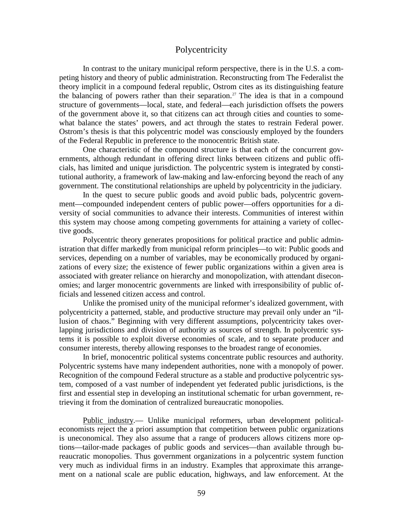## **Polycentricity**

In contrast to the unitary municipal reform perspective, there is in the U.S. a competing history and theory of public administration. Reconstructing from The Federalist the theory implicit in a compound federal republic, Ostrom cites as its distinguishing feature the balancing of powers rather than their separation.<sup>[27](#page-126-15)</sup> The idea is that in a compound structure of governments—local, state, and federal—each jurisdiction offsets the powers of the government above it, so that citizens can act through cities and counties to somewhat balance the states' powers, and act through the states to restrain Federal power. Ostrom's thesis is that this polycentric model was consciously employed by the founders of the Federal Republic in preference to the monocentric British state.

One characteristic of the compound structure is that each of the concurrent governments, although redundant in offering direct links between citizens and public officials, has limited and unique jurisdiction. The polycentric system is integrated by constitutional authority, a framework of law-making and law-enforcing beyond the reach of any government. The constitutional relationships are upheld by polycentricity in the judiciary.

In the quest to secure public goods and avoid public bads, polycentric government—compounded independent centers of public power—offers opportunities for a diversity of social communities to advance their interests. Communities of interest within this system may choose among competing governments for attaining a variety of collective goods.

Polycentric theory generates propositions for political practice and public administration that differ markedly from municipal reform principles—to wit: Public goods and services, depending on a number of variables, may be economically produced by organizations of every size; the existence of fewer public organizations within a given area is associated with greater reliance on hierarchy and monopolization, with attendant diseconomies; and larger monocentric governments are linked with irresponsibility of public officials and lessened citizen access and control.

Unlike the promised unity of the municipal reformer's idealized government, with polycentricity a patterned, stable, and productive structure may prevail only under an "illusion of chaos." Beginning with very different assumptions, polycentricity takes overlapping jurisdictions and division of authority as sources of strength. In polycentric systems it is possible to exploit diverse economies of scale, and to separate producer and consumer interests, thereby allowing responses to the broadest range of economies.

In brief, monocentric political systems concentrate public resources and authority. Polycentric systems have many independent authorities, none with a monopoly of power. Recognition of the compound Federal structure as a stable and productive polycentric system, composed of a vast number of independent yet federated public jurisdictions, is the first and essential step in developing an institutional schematic for urban government, retrieving it from the domination of centralized bureaucratic monopolies.

Public industry.— Unlike municipal reformers, urban development politicaleconomists reject the a priori assumption that competition between public organizations is uneconomical. They also assume that a range of producers allows citizens more options—tailor-made packages of public goods and services—than available through bureaucratic monopolies. Thus government organizations in a polycentric system function very much as individual firms in an industry. Examples that approximate this arrangement on a national scale are public education, highways, and law enforcement. At the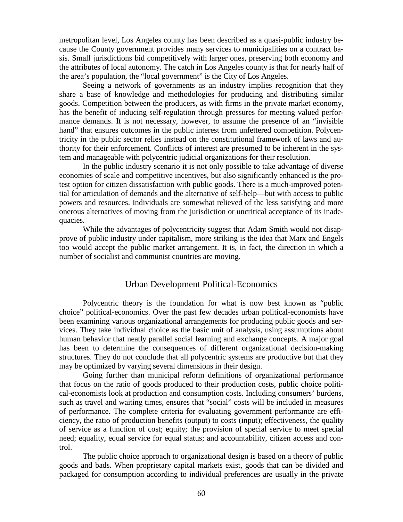metropolitan level, Los Angeles county has been described as a quasi-public industry because the County government provides many services to municipalities on a contract basis. Small jurisdictions bid competitively with larger ones, preserving both economy and the attributes of local autonomy. The catch in Los Angeles county is that for nearly half of the area's population, the "local government" is the City of Los Angeles.

Seeing a network of governments as an industry implies recognition that they share a base of knowledge and methodologies for producing and distributing similar goods. Competition between the producers, as with firms in the private market economy, has the benefit of inducing self-regulation through pressures for meeting valued performance demands. It is not necessary, however, to assume the presence of an "invisible hand" that ensures outcomes in the public interest from unfettered competition. Polycentricity in the public sector relies instead on the constitutional framework of laws and authority for their enforcement. Conflicts of interest are presumed to be inherent in the system and manageable with polycentric judicial organizations for their resolution.

In the public industry scenario it is not only possible to take advantage of diverse economies of scale and competitive incentives, but also significantly enhanced is the protest option for citizen dissatisfaction with public goods. There is a much-improved potential for articulation of demands and the alternative of self-help—but with access to public powers and resources. Individuals are somewhat relieved of the less satisfying and more onerous alternatives of moving from the jurisdiction or uncritical acceptance of its inadequacies.

While the advantages of polycentricity suggest that Adam Smith would not disapprove of public industry under capitalism, more striking is the idea that Marx and Engels too would accept the public market arrangement. It is, in fact, the direction in which a number of socialist and communist countries are moving.

#### Urban Development Political-Economics

Polycentric theory is the foundation for what is now best known as "public choice" political-economics. Over the past few decades urban political-economists have been examining various organizational arrangements for producing public goods and services. They take individual choice as the basic unit of analysis, using assumptions about human behavior that neatly parallel social learning and exchange concepts. A major goal has been to determine the consequences of different organizational decision-making structures. They do not conclude that all polycentric systems are productive but that they may be optimized by varying several dimensions in their design.

Going further than municipal reform definitions of organizational performance that focus on the ratio of goods produced to their production costs, public choice political-economists look at production and consumption costs. Including consumers' burdens, such as travel and waiting times, ensures that "social" costs will be included in measures of performance. The complete criteria for evaluating government performance are efficiency, the ratio of production benefits (output) to costs (input); effectiveness, the quality of service as a function of cost; equity; the provision of special service to meet special need; equality, equal service for equal status; and accountability, citizen access and control.

The public choice approach to organizational design is based on a theory of public goods and bads. When proprietary capital markets exist, goods that can be divided and packaged for consumption according to individual preferences are usually in the private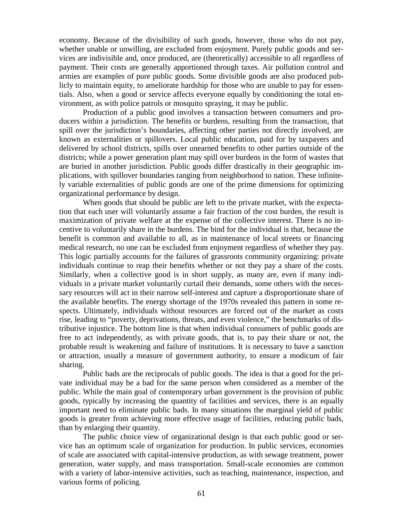economy. Because of the divisibility of such goods, however, those who do not pay, whether unable or unwilling, are excluded from enjoyment. Purely public goods and services are indivisible and, once produced, are (theoretically) accessible to all regardless of payment. Their costs are generally apportioned through taxes. Air pollution control and armies are examples of pure public goods. Some divisible goods are also produced publicly to maintain equity, to ameliorate hardship for those who are unable to pay for essentials. Also, when a good or service affects everyone equally by conditioning the total environment, as with police patrols or mosquito spraying, it may be public.

Production of a public good involves a transaction between consumers and producers within a jurisdiction. The benefits or burdens, resulting from the transaction, that spill over the jurisdiction's boundaries, affecting other parties not directly involved, are known as externalities or spillovers. Local public education, paid for by taxpayers and delivered by school districts, spills over unearned benefits to other parties outside of the districts; while a power generation plant may spill over burdens in the form of wastes that are buried in another jurisdiction. Public goods differ drastically in their geographic implications, with spillover boundaries ranging from neighborhood to nation. These infinitely variable externalities of public goods are one of the prime dimensions for optimizing organizational performance by design.

When goods that should be public are left to the private market, with the expectation that each user will voluntarily assume a fair fraction of the cost burden, the result is maximization of private welfare at the expense of the collective interest. There is no incentive to voluntarily share in the burdens. The bind for the individual is that, because the benefit is common and available to all, as in maintenance of local streets or financing medical research, no one can be excluded from enjoyment regardless of whether they pay. This logic partially accounts for the failures of grassroots community organizing: private individuals continue to reap their benefits whether or not they pay a share of the costs. Similarly, when a collective good is in short supply, as many are, even if many individuals in a private market voluntarily curtail their demands, some others with the necessary resources will act in their narrow self-interest and capture a disproportionate share of the available benefits. The energy shortage of the 1970s revealed this pattern in some respects. Ultimately, individuals without resources are forced out of the market as costs rise, leading to "poverty, deprivations, threats, and even violence," the benchmarks of distributive injustice. The bottom line is that when individual consumers of public goods are free to act independently, as with private goods, that is, to pay their share or not, the probable result is weakening and failure of institutions. It is necessary to have a sanction or attraction, usually a measure of government authority, to ensure a modicum of fair sharing.

Public bads are the reciprocals of public goods. The idea is that a good for the private individual may be a bad for the same person when considered as a member of the public. While the main goal of contemporary urban government is the provision of public goods, typically by increasing the quantity of facilities and services, there is an equally important need to eliminate public bads. In many situations the marginal yield of public goods is greater from achieving more effective usage of facilities, reducing public bads, than by enlarging their quantity.

The public choice view of organizational design is that each public good or service has an optimum scale of organization for production. In public services, economies of scale are associated with capital-intensive production, as with sewage treatment, power generation, water supply, and mass transportation. Small-scale economies are common with a variety of labor-intensive activities, such as teaching, maintenance, inspection, and various forms of policing.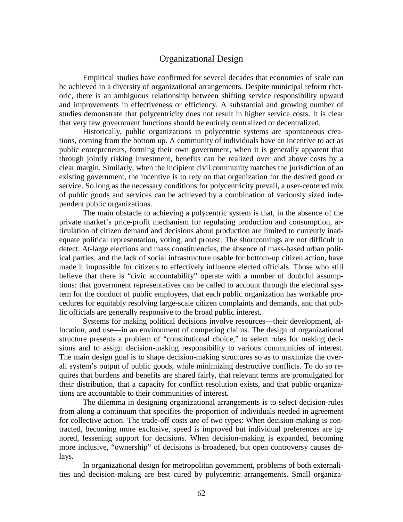#### Organizational Design

Empirical studies have confirmed for several decades that economies of scale can be achieved in a diversity of organizational arrangements. Despite municipal reform rhetoric, there is an ambiguous relationship between shifting service responsibility upward and improvements in effectiveness or efficiency. A substantial and growing number of studies demonstrate that polycentricity does not result in higher service costs. It is clear that very few government functions should be entirely centralized or decentralized.

Historically, public organizations in polycentric systems are spontaneous creations, coming from the bottom up. A community of individuals have an incentive to act as public entrepreneurs, forming their own government, when it is generally apparent that through jointly risking investment, benefits can be realized over and above costs by a clear margin. Similarly, when the incipient civil community matches the jurisdiction of an existing government, the incentive is to rely on that organization for the desired good or service. So long as the necessary conditions for polycentricity prevail, a user-centered mix of public goods and services can be achieved by a combination of variously sized independent public organizations.

The main obstacle to achieving a polycentric system is that, in the absence of the private market's price-profit mechanism for regulating production and consumption, articulation of citizen demand and decisions about production are limited to currently inadequate political representation, voting, and protest. The shortcomings are not difficult to detect. At-large elections and mass constituencies, the absence of mass-based urban political parties, and the lack of social infrastructure usable for bottom-up citizen action, have made it impossible for citizens to effectively influence elected officials. Those who still believe that there is "civic accountability" operate with a number of doubtful assumptions: that government representatives can be called to account through the electoral system for the conduct of public employees, that each public organization has workable procedures for equitably resolving large-scale citizen complaints and demands, and that public officials are generally responsive to the broad public interest.

Systems for making political decisions involve resources—their development, allocation, and use—in an environment of competing claims. The design of organizational structure presents a problem of "constitutional choice," to select rules for making decisions and to assign decision-making responsibility to various communities of interest. The main design goal is to shape decision-making structures so as to maximize the overall system's output of public goods, while minimizing destructive conflicts. To do so requires that burdens and benefits are shared fairly, that relevant terms are promulgated for their distribution, that a capacity for conflict resolution exists, and that public organizations are accountable to their communities of interest.

The dilemma in designing organizational arrangements is to select decision-rules from along a continuum that specifies the proportion of individuals needed in agreement for collective action. The trade-off costs are of two types: When decision-making is contracted, becoming more exclusive, speed is improved but individual preferences are ignored, lessening support for decisions. When decision-making is expanded, becoming more inclusive, "ownership" of decisions is broadened, but open controversy causes delays.

In organizational design for metropolitan government, problems of both externalities and decision-making are best cured by polycentric arrangements. Small organiza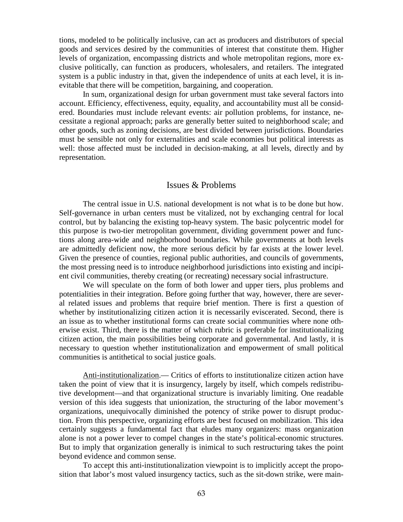tions, modeled to be politically inclusive, can act as producers and distributors of special goods and services desired by the communities of interest that constitute them. Higher levels of organization, encompassing districts and whole metropolitan regions, more exclusive politically, can function as producers, wholesalers, and retailers. The integrated system is a public industry in that, given the independence of units at each level, it is inevitable that there will be competition, bargaining, and cooperation.

In sum, organizational design for urban government must take several factors into account. Efficiency, effectiveness, equity, equality, and accountability must all be considered. Boundaries must include relevant events: air pollution problems, for instance, necessitate a regional approach; parks are generally better suited to neighborhood scale; and other goods, such as zoning decisions, are best divided between jurisdictions. Boundaries must be sensible not only for externalities and scale economies but political interests as well: those affected must be included in decision-making, at all levels, directly and by representation.

#### Issues & Problems

The central issue in U.S. national development is not what is to be done but how. Self-governance in urban centers must be vitalized, not by exchanging central for local control, but by balancing the existing top-heavy system. The basic polycentric model for this purpose is two-tier metropolitan government, dividing government power and functions along area-wide and neighborhood boundaries. While governments at both levels are admittedly deficient now, the more serious deficit by far exists at the lower level. Given the presence of counties, regional public authorities, and councils of governments, the most pressing need is to introduce neighborhood jurisdictions into existing and incipient civil communities, thereby creating (or recreating) necessary social infrastructure.

We will speculate on the form of both lower and upper tiers, plus problems and potentialities in their integration. Before going further that way, however, there are several related issues and problems that require brief mention. There is first a question of whether by institutionalizing citizen action it is necessarily eviscerated. Second, there is an issue as to whether institutional forms can create social communities where none otherwise exist. Third, there is the matter of which rubric is preferable for institutionalizing citizen action, the main possibilities being corporate and governmental. And lastly, it is necessary to question whether institutionalization and empowerment of small political communities is antithetical to social justice goals.

Anti-institutionalization.— Critics of efforts to institutionalize citizen action have taken the point of view that it is insurgency, largely by itself, which compels redistributive development—and that organizational structure is invariably limiting. One readable version of this idea suggests that unionization, the structuring of the labor movement's organizations, unequivocally diminished the potency of strike power to disrupt production. From this perspective, organizing efforts are best focused on mobilization. This idea certainly suggests a fundamental fact that eludes many organizers: mass organization alone is not a power lever to compel changes in the state's political-economic structures. But to imply that organization generally is inimical to such restructuring takes the point beyond evidence and common sense.

To accept this anti-institutionalization viewpoint is to implicitly accept the proposition that labor's most valued insurgency tactics, such as the sit-down strike, were main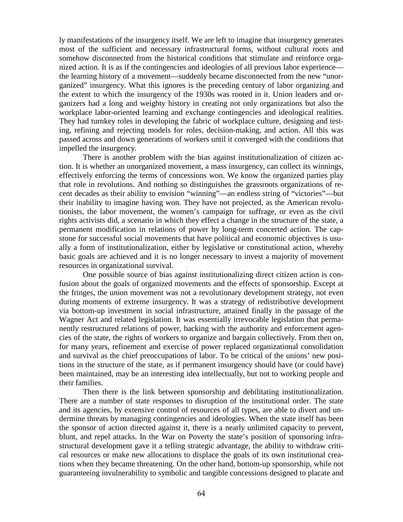ly manifestations of the insurgency itself. We are left to imagine that insurgency generates most of the sufficient and necessary infrastructural forms, without cultural roots and somehow disconnected from the historical conditions that stimulate and reinforce organized action. It is as if the contingencies and ideologies of all previous labor experience the learning history of a movement—suddenly became disconnected from the new "unorganized" insurgency. What this ignores is the preceding century of labor organizing and the extent to which the insurgency of the 1930s was rooted in it. Union leaders and organizers had a long and weighty history in creating not only organizations but also the workplace labor-oriented learning and exchange contingencies and ideological realities. They had turnkey roles in developing the fabric of workplace culture, designing and testing, refining and rejecting models for roles, decision-making, and action. All this was passed across and down generations of workers until it converged with the conditions that impelled the insurgency.

There is another problem with the bias against institutionalization of citizen action. It is whether an unorganized movement, a mass insurgency, can collect its winnings, effectively enforcing the terms of concessions won. We know the organized parties play that role in revolutions. And nothing so distinguishes the grassroots organizations of recent decades as their ability to envision "winning"—an endless string of "victories"—but their inability to imagine having won. They have not projected, as the American revolutionists, the labor movement, the women's campaign for suffrage, or even as the civil rights activists did, a scenario in which they effect a change in the structure of the state, a permanent modification in relations of power by long-term concerted action. The capstone for successful social movements that have political and economic objectives is usually a form of institutionalization, either by legislative or constitutional action, whereby basic goals are achieved and it is no longer necessary to invest a majority of movement resources in organizational survival.

One possible source of bias against institutionalizing direct citizen action is confusion about the goals of organized movements and the effects of sponsorship. Except at the fringes, the union movement was not a revolutionary development strategy, not even during moments of extreme insurgency. It was a strategy of redistributive development via bottom-up investment in social infrastructure, attained finally in the passage of the Wagner Act and related legislation. It was essentially irrevocable legislation that permanently restructured relations of power, backing with the authority and enforcement agencies of the state, the rights of workers to organize and bargain collectively. From then on, for many years, refinement and exercise of power replaced organizational consolidation and survival as the chief preoccupations of labor. To be critical of the unions' new positions in the structure of the state, as if permanent insurgency should have (or could have) been maintained, may be an interesting idea intellectually, but not to working people and their families.

Then there is the link between sponsorship and debilitating institutionalization. There are a number of state responses to disruption of the institutional order. The state and its agencies, by extensive control of resources of all types, are able to divert and undermine threats by managing contingencies and ideologies. When the state itself has been the sponsor of action directed against it, there is a nearly unlimited capacity to prevent, blunt, and repel attacks. In the War on Poverty the state's position of sponsoring infrastructural development gave it a telling strategic advantage, the ability to withdraw critical resources or make new allocations to displace the goals of its own institutional creations when they became threatening. On the other hand, bottom-up sponsorship, while not guaranteeing invulnerability to symbolic and tangible concessions designed to placate and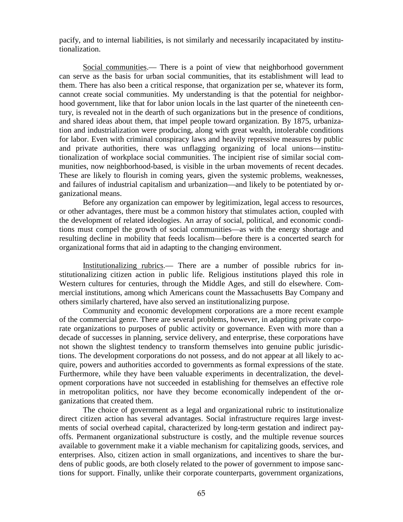pacify, and to internal liabilities, is not similarly and necessarily incapacitated by institutionalization.

Social communities.— There is a point of view that neighborhood government can serve as the basis for urban social communities, that its establishment will lead to them. There has also been a critical response, that organization per se, whatever its form, cannot create social communities. My understanding is that the potential for neighborhood government, like that for labor union locals in the last quarter of the nineteenth century, is revealed not in the dearth of such organizations but in the presence of conditions, and shared ideas about them, that impel people toward organization. By 1875, urbanization and industrialization were producing, along with great wealth, intolerable conditions for labor. Even with criminal conspiracy laws and heavily repressive measures by public and private authorities, there was unflagging organizing of local unions—institutionalization of workplace social communities. The incipient rise of similar social communities, now neighborhood-based, is visible in the urban movements of recent decades. These are likely to flourish in coming years, given the systemic problems, weaknesses, and failures of industrial capitalism and urbanization—and likely to be potentiated by organizational means.

Before any organization can empower by legitimization, legal access to resources, or other advantages, there must be a common history that stimulates action, coupled with the development of related ideologies. An array of social, political, and economic conditions must compel the growth of social communities—as with the energy shortage and resulting decline in mobility that feeds localism—before there is a concerted search for organizational forms that aid in adapting to the changing environment.

Institutionalizing rubrics.— There are a number of possible rubrics for institutionalizing citizen action in public life. Religious institutions played this role in Western cultures for centuries, through the Middle Ages, and still do elsewhere. Commercial institutions, among which Americans count the Massachusetts Bay Company and others similarly chartered, have also served an institutionalizing purpose.

Community and economic development corporations are a more recent example of the commercial genre. There are several problems, however, in adapting private corporate organizations to purposes of public activity or governance. Even with more than a decade of successes in planning, service delivery, and enterprise, these corporations have not shown the slightest tendency to transform themselves into genuine public jurisdictions. The development corporations do not possess, and do not appear at all likely to acquire, powers and authorities accorded to governments as formal expressions of the state. Furthermore, while they have been valuable experiments in decentralization, the development corporations have not succeeded in establishing for themselves an effective role in metropolitan politics, nor have they become economically independent of the organizations that created them.

The choice of government as a legal and organizational rubric to institutionalize direct citizen action has several advantages. Social infrastructure requires large investments of social overhead capital, characterized by long-term gestation and indirect payoffs. Permanent organizational substructure is costly, and the multiple revenue sources available to government make it a viable mechanism for capitalizing goods, services, and enterprises. Also, citizen action in small organizations, and incentives to share the burdens of public goods, are both closely related to the power of government to impose sanctions for support. Finally, unlike their corporate counterparts, government organizations,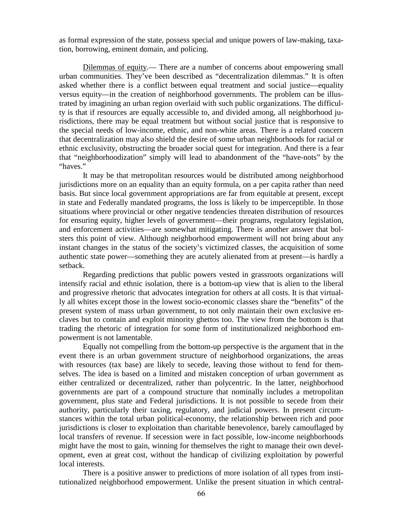as formal expression of the state, possess special and unique powers of law-making, taxation, borrowing, eminent domain, and policing.

Dilemmas of equity.— There are a number of concerns about empowering small urban communities. They've been described as "decentralization dilemmas." It is often asked whether there is a conflict between equal treatment and social justice—equality versus equity—in the creation of neighborhood governments. The problem can be illustrated by imagining an urban region overlaid with such public organizations. The difficulty is that if resources are equally accessible to, and divided among, all neighborhood jurisdictions, there may be equal treatment but without social justice that is responsive to the special needs of low-income, ethnic, and non-white areas. There is a related concern that decentralization may also shield the desire of some urban neighborhoods for racial or ethnic exclusivity, obstructing the broader social quest for integration. And there is a fear that "neighborhoodization" simply will lead to abandonment of the "have-nots" by the "haves."

It may be that metropolitan resources would be distributed among neighborhood jurisdictions more on an equality than an equity formula, on a per capita rather than need basis. But since local government appropriations are far from equitable at present, except in state and Federally mandated programs, the loss is likely to be imperceptible. In those situations where provincial or other negative tendencies threaten distribution of resources for ensuring equity, higher levels of government—their programs, regulatory legislation, and enforcement activities—are somewhat mitigating. There is another answer that bolsters this point of view. Although neighborhood empowerment will not bring about any instant changes in the status of the society's victimized classes, the acquisition of some authentic state power—something they are acutely alienated from at present—is hardly a setback.

Regarding predictions that public powers vested in grassroots organizations will intensify racial and ethnic isolation, there is a bottom-up view that is alien to the liberal and progressive rhetoric that advocates integration for others at all costs. It is that virtually all whites except those in the lowest socio-economic classes share the "benefits" of the present system of mass urban government, to not only maintain their own exclusive enclaves but to contain and exploit minority ghettos too. The view from the bottom is that trading the rhetoric of integration for some form of institutionalized neighborhood empowerment is not lamentable.

Equally not compelling from the bottom-up perspective is the argument that in the event there is an urban government structure of neighborhood organizations, the areas with resources (tax base) are likely to secede, leaving those without to fend for themselves. The idea is based on a limited and mistaken conception of urban government as either centralized or decentralized, rather than polycentric. In the latter, neighborhood governments are part of a compound structure that nominally includes a metropolitan government, plus state and Federal jurisdictions. It is not possible to secede from their authority, particularly their taxing, regulatory, and judicial powers. In present circumstances within the total urban political-economy, the relationship between rich and poor jurisdictions is closer to exploitation than charitable benevolence, barely camouflaged by local transfers of revenue. If secession were in fact possible, low-income neighborhoods might have the most to gain, winning for themselves the right to manage their own development, even at great cost, without the handicap of civilizing exploitation by powerful local interests.

There is a positive answer to predictions of more isolation of all types from institutionalized neighborhood empowerment. Unlike the present situation in which central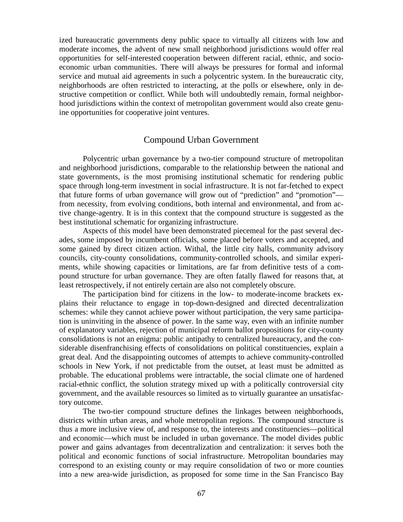ized bureaucratic governments deny public space to virtually all citizens with low and moderate incomes, the advent of new small neighborhood jurisdictions would offer real opportunities for self-interested cooperation between different racial, ethnic, and socioeconomic urban communities. There will always be pressures for formal and informal service and mutual aid agreements in such a polycentric system. In the bureaucratic city, neighborhoods are often restricted to interacting, at the polls or elsewhere, only in destructive competition or conflict. While both will undoubtedly remain, formal neighborhood jurisdictions within the context of metropolitan government would also create genuine opportunities for cooperative joint ventures.

#### Compound Urban Government

Polycentric urban governance by a two-tier compound structure of metropolitan and neighborhood jurisdictions, comparable to the relationship between the national and state governments, is the most promising institutional schematic for rendering public space through long-term investment in social infrastructure. It is not far-fetched to expect that future forms of urban governance will grow out of "prediction" and "promotion" from necessity, from evolving conditions, both internal and environmental, and from active change-agentry. It is in this context that the compound structure is suggested as the best institutional schematic for organizing infrastructure.

Aspects of this model have been demonstrated piecemeal for the past several decades, some imposed by incumbent officials, some placed before voters and accepted, and some gained by direct citizen action. Withal, the little city halls, community advisory councils, city-county consolidations, community-controlled schools, and similar experiments, while showing capacities or limitations, are far from definitive tests of a compound structure for urban governance. They are often fatally flawed for reasons that, at least retrospectively, if not entirely certain are also not completely obscure.

The participation bind for citizens in the low- to moderate-income brackets explains their reluctance to engage in top-down-designed and directed decentralization schemes: while they cannot achieve power without participation, the very same participation is uninviting in the absence of power. In the same way, even with an infinite number of explanatory variables, rejection of municipal reform ballot propositions for city-county consolidations is not an enigma: public antipathy to centralized bureaucracy, and the considerable disenfranchising effects of consolidations on political constituencies, explain a great deal. And the disappointing outcomes of attempts to achieve community-controlled schools in New York, if not predictable from the outset, at least must be admitted as probable. The educational problems were intractable, the social climate one of hardened racial-ethnic conflict, the solution strategy mixed up with a politically controversial city government, and the available resources so limited as to virtually guarantee an unsatisfactory outcome.

The two-tier compound structure defines the linkages between neighborhoods, districts within urban areas, and whole metropolitan regions. The compound structure is thus a more inclusive view of, and response to, the interests and constituencies—political and economic—which must be included in urban governance. The model divides public power and gains advantages from decentralization and centralization: it serves both the political and economic functions of social infrastructure. Metropolitan boundaries may correspond to an existing county or may require consolidation of two or more counties into a new area-wide jurisdiction, as proposed for some time in the San Francisco Bay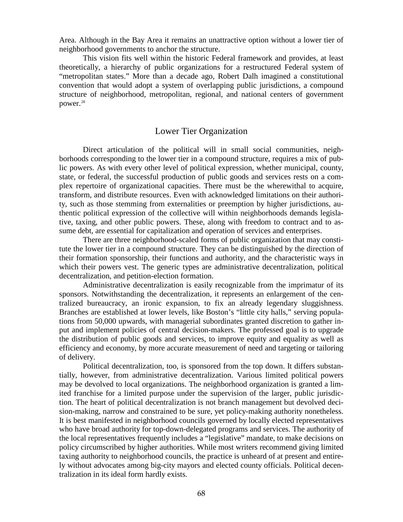Area. Although in the Bay Area it remains an unattractive option without a lower tier of neighborhood governments to anchor the structure.

This vision fits well within the historic Federal framework and provides, at least theoretically, a hierarchy of public organizations for a restructured Federal system of "metropolitan states." More than a decade ago, Robert Dalh imagined a constitutional convention that would adopt a system of overlapping public jurisdictions, a compound structure of neighborhood, metropolitan, regional, and national centers of government power.<sup>[28](#page-126-0)</sup>

## Lower Tier Organization

Direct articulation of the political will in small social communities, neighborhoods corresponding to the lower tier in a compound structure, requires a mix of public powers. As with every other level of political expression, whether municipal, county, state, or federal, the successful production of public goods and services rests on a complex repertoire of organizational capacities. There must be the wherewithal to acquire, transform, and distribute resources. Even with acknowledged limitations on their authority, such as those stemming from externalities or preemption by higher jurisdictions, authentic political expression of the collective will within neighborhoods demands legislative, taxing, and other public powers. These, along with freedom to contract and to assume debt, are essential for capitalization and operation of services and enterprises.

There are three neighborhood-scaled forms of public organization that may constitute the lower tier in a compound structure. They can be distinguished by the direction of their formation sponsorship, their functions and authority, and the characteristic ways in which their powers vest. The generic types are administrative decentralization, political decentralization, and petition-election formation.

Administrative decentralization is easily recognizable from the imprimatur of its sponsors. Notwithstanding the decentralization, it represents an enlargement of the centralized bureaucracy, an ironic expansion, to fix an already legendary sluggishness. Branches are established at lower levels, like Boston's "little city halls," serving populations from 50,000 upwards, with managerial subordinates granted discretion to gather input and implement policies of central decision-makers. The professed goal is to upgrade the distribution of public goods and services, to improve equity and equality as well as efficiency and economy, by more accurate measurement of need and targeting or tailoring of delivery.

Political decentralization, too, is sponsored from the top down. It differs substantially, however, from administrative decentralization. Various limited political powers may be devolved to local organizations. The neighborhood organization is granted a limited franchise for a limited purpose under the supervision of the larger, public jurisdiction. The heart of political decentralization is not branch management but devolved decision-making, narrow and constrained to be sure, yet policy-making authority nonetheless. It is best manifested in neighborhood councils governed by locally elected representatives who have broad authority for top-down-delegated programs and services. The authority of the local representatives frequently includes a "legislative" mandate, to make decisions on policy circumscribed by higher authorities. While most writers recommend giving limited taxing authority to neighborhood councils, the practice is unheard of at present and entirely without advocates among big-city mayors and elected county officials. Political decentralization in its ideal form hardly exists.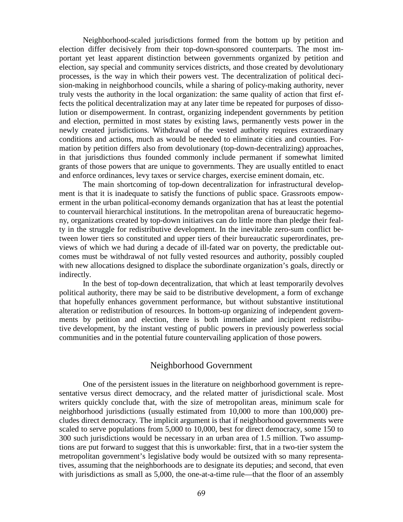Neighborhood-scaled jurisdictions formed from the bottom up by petition and election differ decisively from their top-down-sponsored counterparts. The most important yet least apparent distinction between governments organized by petition and election, say special and community services districts, and those created by devolutionary processes, is the way in which their powers vest. The decentralization of political decision-making in neighborhood councils, while a sharing of policy-making authority, never truly vests the authority in the local organization: the same quality of action that first effects the political decentralization may at any later time be repeated for purposes of dissolution or disempowerment. In contrast, organizing independent governments by petition and election, permitted in most states by existing laws, permanently vests power in the newly created jurisdictions. Withdrawal of the vested authority requires extraordinary conditions and actions, much as would be needed to eliminate cities and counties. Formation by petition differs also from devolutionary (top-down-decentralizing) approaches, in that jurisdictions thus founded commonly include permanent if somewhat limited grants of those powers that are unique to governments. They are usually entitled to enact and enforce ordinances, levy taxes or service charges, exercise eminent domain, etc.

The main shortcoming of top-down decentralization for infrastructural development is that it is inadequate to satisfy the functions of public space. Grassroots empowerment in the urban political-economy demands organization that has at least the potential to countervail hierarchical institutions. In the metropolitan arena of bureaucratic hegemony, organizations created by top-down initiatives can do little more than pledge their fealty in the struggle for redistributive development. In the inevitable zero-sum conflict between lower tiers so constituted and upper tiers of their bureaucratic superordinates, previews of which we had during a decade of ill-fated war on poverty, the predictable outcomes must be withdrawal of not fully vested resources and authority, possibly coupled with new allocations designed to displace the subordinate organization's goals, directly or indirectly.

In the best of top-down decentralization, that which at least temporarily devolves political authority, there may be said to be distributive development, a form of exchange that hopefully enhances government performance, but without substantive institutional alteration or redistribution of resources. In bottom-up organizing of independent governments by petition and election, there is both immediate and incipient redistributive development, by the instant vesting of public powers in previously powerless social communities and in the potential future countervailing application of those powers.

#### Neighborhood Government

One of the persistent issues in the literature on neighborhood government is representative versus direct democracy, and the related matter of jurisdictional scale. Most writers quickly conclude that, with the size of metropolitan areas, minimum scale for neighborhood jurisdictions (usually estimated from 10,000 to more than 100,000) precludes direct democracy. The implicit argument is that if neighborhood governments were scaled to serve populations from 5,000 to 10,000, best for direct democracy, some 150 to 300 such jurisdictions would be necessary in an urban area of 1.5 million. Two assumptions are put forward to suggest that this is unworkable: first, that in a two-tier system the metropolitan government's legislative body would be outsized with so many representatives, assuming that the neighborhoods are to designate its deputies; and second, that even with jurisdictions as small as 5,000, the one-at-a-time rule—that the floor of an assembly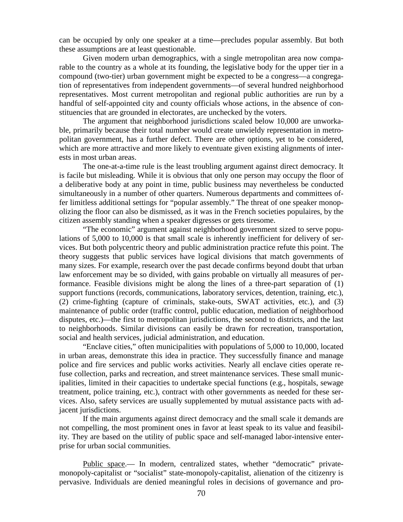can be occupied by only one speaker at a time—precludes popular assembly. But both these assumptions are at least questionable.

Given modern urban demographics, with a single metropolitan area now comparable to the country as a whole at its founding, the legislative body for the upper tier in a compound (two-tier) urban government might be expected to be a congress—a congregation of representatives from independent governments—of several hundred neighborhood representatives. Most current metropolitan and regional public authorities are run by a handful of self-appointed city and county officials whose actions, in the absence of constituencies that are grounded in electorates, are unchecked by the voters.

The argument that neighborhood jurisdictions scaled below 10,000 are unworkable, primarily because their total number would create unwieldy representation in metropolitan government, has a further defect. There are other options, yet to be considered, which are more attractive and more likely to eventuate given existing alignments of interests in most urban areas.

The one-at-a-time rule is the least troubling argument against direct democracy. It is facile but misleading. While it is obvious that only one person may occupy the floor of a deliberative body at any point in time, public business may nevertheless be conducted simultaneously in a number of other quarters. Numerous departments and committees offer limitless additional settings for "popular assembly." The threat of one speaker monopolizing the floor can also be dismissed, as it was in the French societies populaires, by the citizen assembly standing when a speaker digresses or gets tiresome.

"The economic" argument against neighborhood government sized to serve populations of 5,000 to 10,000 is that small scale is inherently inefficient for delivery of services. But both polycentric theory and public administration practice refute this point. The theory suggests that public services have logical divisions that match governments of many sizes. For example, research over the past decade confirms beyond doubt that urban law enforcement may be so divided, with gains probable on virtually all measures of performance. Feasible divisions might be along the lines of a three-part separation of (1) support functions (records, communications, laboratory services, detention, training, etc.), (2) crime-fighting (capture of criminals, stake-outs, SWAT activities, etc.), and (3) maintenance of public order (traffic control, public education, mediation of neighborhood disputes, etc.)—the first to metropolitan jurisdictions, the second to districts, and the last to neighborhoods. Similar divisions can easily be drawn for recreation, transportation, social and health services, judicial administration, and education.

"Enclave cities," often municipalities with populations of 5,000 to 10,000, located in urban areas, demonstrate this idea in practice. They successfully finance and manage police and fire services and public works activities. Nearly all enclave cities operate refuse collection, parks and recreation, and street maintenance services. These small municipalities, limited in their capacities to undertake special functions (e.g., hospitals, sewage treatment, police training, etc.), contract with other governments as needed for these services. Also, safety services are usually supplemented by mutual assistance pacts with adjacent jurisdictions.

If the main arguments against direct democracy and the small scale it demands are not compelling, the most prominent ones in favor at least speak to its value and feasibility. They are based on the utility of public space and self-managed labor-intensive enterprise for urban social communities.

Public space.— In modern, centralized states, whether "democratic" privatemonopoly-capitalist or "socialist" state-monopoly-capitalist, alienation of the citizenry is pervasive. Individuals are denied meaningful roles in decisions of governance and pro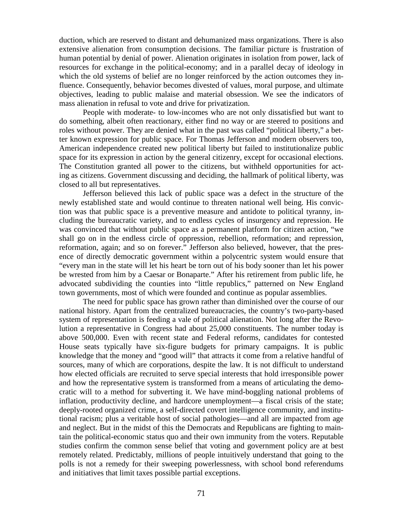duction, which are reserved to distant and dehumanized mass organizations. There is also extensive alienation from consumption decisions. The familiar picture is frustration of human potential by denial of power. Alienation originates in isolation from power, lack of resources for exchange in the political-economy; and in a parallel decay of ideology in which the old systems of belief are no longer reinforced by the action outcomes they influence. Consequently, behavior becomes divested of values, moral purpose, and ultimate objectives, leading to public malaise and material obsession. We see the indicators of mass alienation in refusal to vote and drive for privatization.

People with moderate- to low-incomes who are not only dissatisfied but want to do something, albeit often reactionary, either find no way or are steered to positions and roles without power. They are denied what in the past was called "political liberty," a better known expression for public space. For Thomas Jefferson and modern observers too, American independence created new political liberty but failed to institutionalize public space for its expression in action by the general citizenry, except for occasional elections. The Constitution granted all power to the citizens, but withheld opportunities for acting as citizens. Government discussing and deciding, the hallmark of political liberty, was closed to all but representatives.

Jefferson believed this lack of public space was a defect in the structure of the newly established state and would continue to threaten national well being. His conviction was that public space is a preventive measure and antidote to political tyranny, including the bureaucratic variety, and to endless cycles of insurgency and repression. He was convinced that without public space as a permanent platform for citizen action, "we shall go on in the endless circle of oppression, rebellion, reformation; and repression, reformation, again; and so on forever." Jefferson also believed, however, that the presence of directly democratic government within a polycentric system would ensure that "every man in the state will let his heart be torn out of his body sooner than let his power be wrested from him by a Caesar or Bonaparte." After his retirement from public life, he advocated subdividing the counties into "little republics," patterned on New England town governments, most of which were founded and continue as popular assemblies.

The need for public space has grown rather than diminished over the course of our national history. Apart from the centralized bureaucracies, the country's two-party-based system of representation is feeding a vale of political alienation. Not long after the Revolution a representative in Congress had about 25,000 constituents. The number today is above 500,000. Even with recent state and Federal reforms, candidates for contested House seats typically have six-figure budgets for primary campaigns. It is public knowledge that the money and "good will" that attracts it come from a relative handful of sources, many of which are corporations, despite the law. It is not difficult to understand how elected officials are recruited to serve special interests that hold irresponsible power and how the representative system is transformed from a means of articulating the democratic will to a method for subverting it. We have mind-boggling national problems of inflation, productivity decline, and hardcore unemployment—a fiscal crisis of the state; deeply-rooted organized crime, a self-directed covert intelligence community, and institutional racism; plus a veritable host of social pathologies—and all are impacted from age and neglect. But in the midst of this the Democrats and Republicans are fighting to maintain the political-economic status quo and their own immunity from the voters. Reputable studies confirm the common sense belief that voting and government policy are at best remotely related. Predictably, millions of people intuitively understand that going to the polls is not a remedy for their sweeping powerlessness, with school bond referendums and initiatives that limit taxes possible partial exceptions.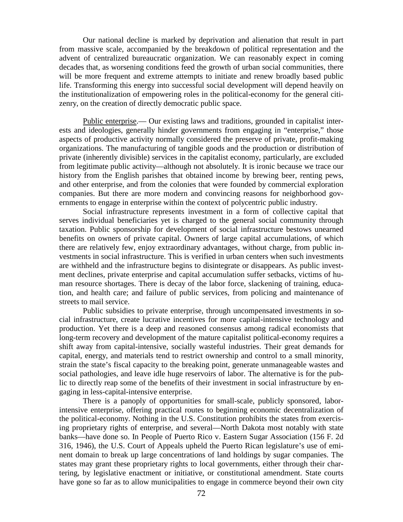Our national decline is marked by deprivation and alienation that result in part from massive scale, accompanied by the breakdown of political representation and the advent of centralized bureaucratic organization. We can reasonably expect in coming decades that, as worsening conditions feed the growth of urban social communities, there will be more frequent and extreme attempts to initiate and renew broadly based public life. Transforming this energy into successful social development will depend heavily on the institutionalization of empowering roles in the political-economy for the general citizenry, on the creation of directly democratic public space.

Public enterprise.— Our existing laws and traditions, grounded in capitalist interests and ideologies, generally hinder governments from engaging in "enterprise," those aspects of productive activity normally considered the preserve of private, profit-making organizations. The manufacturing of tangible goods and the production or distribution of private (inherently divisible) services in the capitalist economy, particularly, are excluded from legitimate public activity—although not absolutely. It is ironic because we trace our history from the English parishes that obtained income by brewing beer, renting pews, and other enterprise, and from the colonies that were founded by commercial exploration companies. But there are more modern and convincing reasons for neighborhood governments to engage in enterprise within the context of polycentric public industry.

Social infrastructure represents investment in a form of collective capital that serves individual beneficiaries yet is charged to the general social community through taxation. Public sponsorship for development of social infrastructure bestows unearned benefits on owners of private capital. Owners of large capital accumulations, of which there are relatively few, enjoy extraordinary advantages, without charge, from public investments in social infrastructure. This is verified in urban centers when such investments are withheld and the infrastructure begins to disintegrate or disappears. As public investment declines, private enterprise and capital accumulation suffer setbacks, victims of human resource shortages. There is decay of the labor force, slackening of training, education, and health care; and failure of public services, from policing and maintenance of streets to mail service.

Public subsidies to private enterprise, through uncompensated investments in social infrastructure, create lucrative incentives for more capital-intensive technology and production. Yet there is a deep and reasoned consensus among radical economists that long-term recovery and development of the mature capitalist political-economy requires a shift away from capital-intensive, socially wasteful industries. Their great demands for capital, energy, and materials tend to restrict ownership and control to a small minority, strain the state's fiscal capacity to the breaking point, generate unmanageable wastes and social pathologies, and leave idle huge reservoirs of labor. The alternative is for the public to directly reap some of the benefits of their investment in social infrastructure by engaging in less-capital-intensive enterprise.

There is a panoply of opportunities for small-scale, publicly sponsored, laborintensive enterprise, offering practical routes to beginning economic decentralization of the political-economy. Nothing in the U.S. Constitution prohibits the states from exercising proprietary rights of enterprise, and several—North Dakota most notably with state banks—have done so. In People of Puerto Rico v. Eastern Sugar Association (156 F. 2d 316, 1946), the U.S. Court of Appeals upheld the Puerto Rican legislature's use of eminent domain to break up large concentrations of land holdings by sugar companies. The states may grant these proprietary rights to local governments, either through their chartering, by legislative enactment or initiative, or constitutional amendment. State courts have gone so far as to allow municipalities to engage in commerce beyond their own city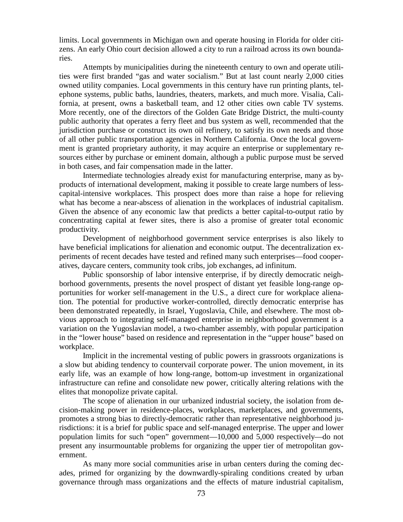limits. Local governments in Michigan own and operate housing in Florida for older citizens. An early Ohio court decision allowed a city to run a railroad across its own boundaries.

Attempts by municipalities during the nineteenth century to own and operate utilities were first branded "gas and water socialism." But at last count nearly 2,000 cities owned utility companies. Local governments in this century have run printing plants, telephone systems, public baths, laundries, theaters, markets, and much more. Visalia, California, at present, owns a basketball team, and 12 other cities own cable TV systems. More recently, one of the directors of the Golden Gate Bridge District, the multi-county public authority that operates a ferry fleet and bus system as well, recommended that the jurisdiction purchase or construct its own oil refinery, to satisfy its own needs and those of all other public transportation agencies in Northern California. Once the local government is granted proprietary authority, it may acquire an enterprise or supplementary resources either by purchase or eminent domain, although a public purpose must be served in both cases, and fair compensation made in the latter.

Intermediate technologies already exist for manufacturing enterprise, many as byproducts of international development, making it possible to create large numbers of lesscapital-intensive workplaces. This prospect does more than raise a hope for relieving what has become a near-abscess of alienation in the workplaces of industrial capitalism. Given the absence of any economic law that predicts a better capital-to-output ratio by concentrating capital at fewer sites, there is also a promise of greater total economic productivity.

Development of neighborhood government service enterprises is also likely to have beneficial implications for alienation and economic output. The decentralization experiments of recent decades have tested and refined many such enterprises—food cooperatives, daycare centers, community took cribs, job exchanges, ad infinitum.

Public sponsorship of labor intensive enterprise, if by directly democratic neighborhood governments, presents the novel prospect of distant yet feasible long-range opportunities for worker self-management in the U.S., a direct cure for workplace alienation. The potential for productive worker-controlled, directly democratic enterprise has been demonstrated repeatedly, in Israel, Yugoslavia, Chile, and elsewhere. The most obvious approach to integrating self-managed enterprise in neighborhood government is a variation on the Yugoslavian model, a two-chamber assembly, with popular participation in the "lower house" based on residence and representation in the "upper house" based on workplace.

Implicit in the incremental vesting of public powers in grassroots organizations is a slow but abiding tendency to countervail corporate power. The union movement, in its early life, was an example of how long-range, bottom-up investment in organizational infrastructure can refine and consolidate new power, critically altering relations with the elites that monopolize private capital.

The scope of alienation in our urbanized industrial society, the isolation from decision-making power in residence-places, workplaces, marketplaces, and governments, promotes a strong bias to directly-democratic rather than representative neighborhood jurisdictions: it is a brief for public space and self-managed enterprise. The upper and lower population limits for such "open" government—10,000 and 5,000 respectively—do not present any insurmountable problems for organizing the upper tier of metropolitan government.

As many more social communities arise in urban centers during the coming decades, primed for organizing by the downwardly-spiraling conditions created by urban governance through mass organizations and the effects of mature industrial capitalism,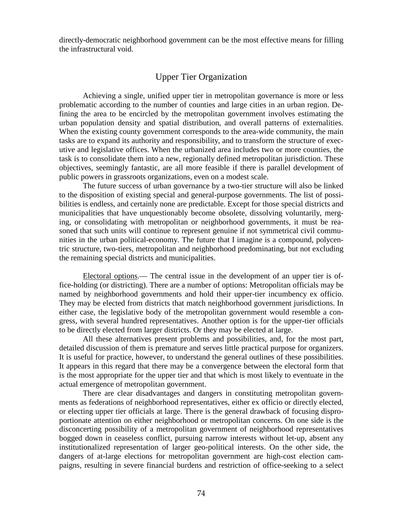directly-democratic neighborhood government can be the most effective means for filling the infrastructural void.

# Upper Tier Organization

Achieving a single, unified upper tier in metropolitan governance is more or less problematic according to the number of counties and large cities in an urban region. Defining the area to be encircled by the metropolitan government involves estimating the urban population density and spatial distribution, and overall patterns of externalities. When the existing county government corresponds to the area-wide community, the main tasks are to expand its authority and responsibility, and to transform the structure of executive and legislative offices. When the urbanized area includes two or more counties, the task is to consolidate them into a new, regionally defined metropolitan jurisdiction. These objectives, seemingly fantastic, are all more feasible if there is parallel development of public powers in grassroots organizations, even on a modest scale.

The future success of urban governance by a two-tier structure will also be linked to the disposition of existing special and general-purpose governments. The list of possibilities is endless, and certainly none are predictable. Except for those special districts and municipalities that have unquestionably become obsolete, dissolving voluntarily, merging, or consolidating with metropolitan or neighborhood governments, it must be reasoned that such units will continue to represent genuine if not symmetrical civil communities in the urban political-economy. The future that I imagine is a compound, polycentric structure, two-tiers, metropolitan and neighborhood predominating, but not excluding the remaining special districts and municipalities.

Electoral options.— The central issue in the development of an upper tier is office-holding (or districting). There are a number of options: Metropolitan officials may be named by neighborhood governments and hold their upper-tier incumbency ex officio. They may be elected from districts that match neighborhood government jurisdictions. In either case, the legislative body of the metropolitan government would resemble a congress, with several hundred representatives. Another option is for the upper-tier officials to be directly elected from larger districts. Or they may be elected at large.

All these alternatives present problems and possibilities, and, for the most part, detailed discussion of them is premature and serves little practical purpose for organizers. It is useful for practice, however, to understand the general outlines of these possibilities. It appears in this regard that there may be a convergence between the electoral form that is the most appropriate for the upper tier and that which is most likely to eventuate in the actual emergence of metropolitan government.

There are clear disadvantages and dangers in constituting metropolitan governments as federations of neighborhood representatives, either ex officio or directly elected, or electing upper tier officials at large. There is the general drawback of focusing disproportionate attention on either neighborhood or metropolitan concerns. On one side is the disconcerting possibility of a metropolitan government of neighborhood representatives bogged down in ceaseless conflict, pursuing narrow interests without let-up, absent any institutionalized representation of larger geo-political interests. On the other side, the dangers of at-large elections for metropolitan government are high-cost election campaigns, resulting in severe financial burdens and restriction of office-seeking to a select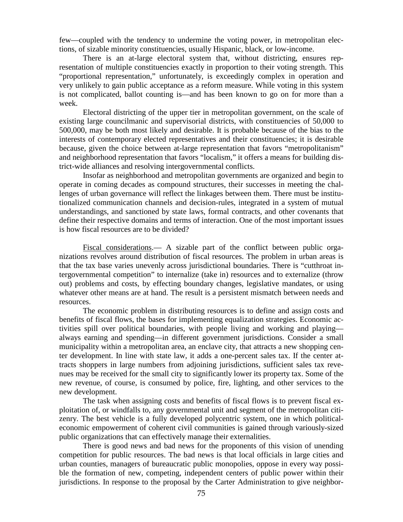few—coupled with the tendency to undermine the voting power, in metropolitan elections, of sizable minority constituencies, usually Hispanic, black, or low-income.

There is an at-large electoral system that, without districting, ensures representation of multiple constituencies exactly in proportion to their voting strength. This "proportional representation," unfortunately, is exceedingly complex in operation and very unlikely to gain public acceptance as a reform measure. While voting in this system is not complicated, ballot counting is—and has been known to go on for more than a week.

Electoral districting of the upper tier in metropolitan government, on the scale of existing large councilmanic and supervisorial districts, with constituencies of 50,000 to 500,000, may be both most likely and desirable. It is probable because of the bias to the interests of contemporary elected representatives and their constituencies; it is desirable because, given the choice between at-large representation that favors "metropolitanism" and neighborhood representation that favors "localism," it offers a means for building district-wide alliances and resolving intergovernmental conflicts.

Insofar as neighborhood and metropolitan governments are organized and begin to operate in coming decades as compound structures, their successes in meeting the challenges of urban governance will reflect the linkages between them. There must be institutionalized communication channels and decision-rules, integrated in a system of mutual understandings, and sanctioned by state laws, formal contracts, and other covenants that define their respective domains and terms of interaction. One of the most important issues is how fiscal resources are to be divided?

Fiscal considerations.— A sizable part of the conflict between public organizations revolves around distribution of fiscal resources. The problem in urban areas is that the tax base varies unevenly across jurisdictional boundaries. There is "cutthroat intergovernmental competition" to internalize (take in) resources and to externalize (throw out) problems and costs, by effecting boundary changes, legislative mandates, or using whatever other means are at hand. The result is a persistent mismatch between needs and resources.

The economic problem in distributing resources is to define and assign costs and benefits of fiscal flows, the bases for implementing equalization strategies. Economic activities spill over political boundaries, with people living and working and playing always earning and spending—in different government jurisdictions. Consider a small municipality within a metropolitan area, an enclave city, that attracts a new shopping center development. In line with state law, it adds a one-percent sales tax. If the center attracts shoppers in large numbers from adjoining jurisdictions, sufficient sales tax revenues may be received for the small city to significantly lower its property tax. Some of the new revenue, of course, is consumed by police, fire, lighting, and other services to the new development.

The task when assigning costs and benefits of fiscal flows is to prevent fiscal exploitation of, or windfalls to, any governmental unit and segment of the metropolitan citizenry. The best vehicle is a fully developed polycentric system, one in which politicaleconomic empowerment of coherent civil communities is gained through variously-sized public organizations that can effectively manage their externalities.

There is good news and bad news for the proponents of this vision of unending competition for public resources. The bad news is that local officials in large cities and urban counties, managers of bureaucratic public monopolies, oppose in every way possible the formation of new, competing, independent centers of public power within their jurisdictions. In response to the proposal by the Carter Administration to give neighbor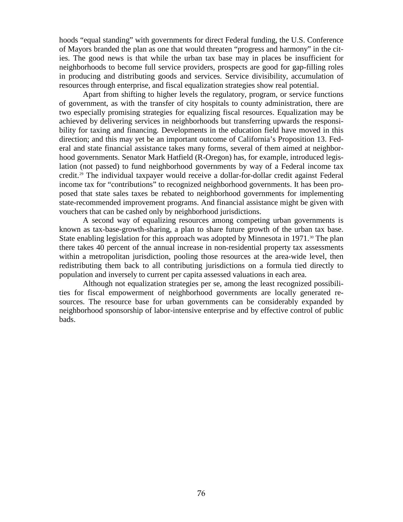hoods "equal standing" with governments for direct Federal funding, the U.S. Conference of Mayors branded the plan as one that would threaten "progress and harmony" in the cities. The good news is that while the urban tax base may in places be insufficient for neighborhoods to become full service providers, prospects are good for gap-filling roles in producing and distributing goods and services. Service divisibility, accumulation of resources through enterprise, and fiscal equalization strategies show real potential.

Apart from shifting to higher levels the regulatory, program, or service functions of government, as with the transfer of city hospitals to county administration, there are two especially promising strategies for equalizing fiscal resources. Equalization may be achieved by delivering services in neighborhoods but transferring upwards the responsibility for taxing and financing. Developments in the education field have moved in this direction; and this may yet be an important outcome of California's Proposition 13. Federal and state financial assistance takes many forms, several of them aimed at neighborhood governments. Senator Mark Hatfield (R-Oregon) has, for example, introduced legislation (not passed) to fund neighborhood governments by way of a Federal income tax credit.[29](#page-126-1) The individual taxpayer would receive a dollar-for-dollar credit against Federal income tax for "contributions" to recognized neighborhood governments. It has been proposed that state sales taxes be rebated to neighborhood governments for implementing state-recommended improvement programs. And financial assistance might be given with vouchers that can be cashed only by neighborhood jurisdictions.

A second way of equalizing resources among competing urban governments is known as tax-base-growth-sharing, a plan to share future growth of the urban tax base. State enabling legislation for this approach was adopted by Minnesota in 1971.<sup>[30](#page-126-2)</sup> The plan there takes 40 percent of the annual increase in non-residential property tax assessments within a metropolitan jurisdiction, pooling those resources at the area-wide level, then redistributing them back to all contributing jurisdictions on a formula tied directly to population and inversely to current per capita assessed valuations in each area.

Although not equalization strategies per se, among the least recognized possibilities for fiscal empowerment of neighborhood governments are locally generated resources. The resource base for urban governments can be considerably expanded by neighborhood sponsorship of labor-intensive enterprise and by effective control of public bads.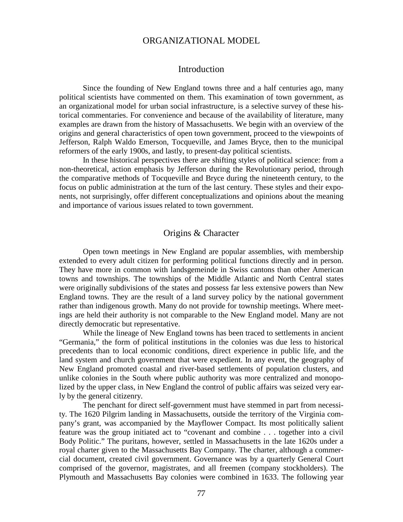#### ORGANIZATIONAL MODEL

#### Introduction

Since the founding of New England towns three and a half centuries ago, many political scientists have commented on them. This examination of town government, as an organizational model for urban social infrastructure, is a selective survey of these historical commentaries. For convenience and because of the availability of literature, many examples are drawn from the history of Massachusetts. We begin with an overview of the origins and general characteristics of open town government, proceed to the viewpoints of Jefferson, Ralph Waldo Emerson, Tocqueville, and James Bryce, then to the municipal reformers of the early 1900s, and lastly, to present-day political scientists.

In these historical perspectives there are shifting styles of political science: from a non-theoretical, action emphasis by Jefferson during the Revolutionary period, through the comparative methods of Tocqueville and Bryce during the nineteenth century, to the focus on public administration at the turn of the last century. These styles and their exponents, not surprisingly, offer different conceptualizations and opinions about the meaning and importance of various issues related to town government.

#### Origins & Character

Open town meetings in New England are popular assemblies, with membership extended to every adult citizen for performing political functions directly and in person. They have more in common with landsgemeinde in Swiss cantons than other American towns and townships. The townships of the Middle Atlantic and North Central states were originally subdivisions of the states and possess far less extensive powers than New England towns. They are the result of a land survey policy by the national government rather than indigenous growth. Many do not provide for township meetings. Where meetings are held their authority is not comparable to the New England model. Many are not directly democratic but representative.

While the lineage of New England towns has been traced to settlements in ancient "Germania," the form of political institutions in the colonies was due less to historical precedents than to local economic conditions, direct experience in public life, and the land system and church government that were expedient. In any event, the geography of New England promoted coastal and river-based settlements of population clusters, and unlike colonies in the South where public authority was more centralized and monopolized by the upper class, in New England the control of public affairs was seized very early by the general citizenry.

The penchant for direct self-government must have stemmed in part from necessity. The 1620 Pilgrim landing in Massachusetts, outside the territory of the Virginia company's grant, was accompanied by the Mayflower Compact. Its most politically salient feature was the group initiated act to "covenant and combine . . . together into a civil Body Politic." The puritans, however, settled in Massachusetts in the late 1620s under a royal charter given to the Massachusetts Bay Company. The charter, although a commercial document, created civil government. Governance was by a quarterly General Court comprised of the governor, magistrates, and all freemen (company stockholders). The Plymouth and Massachusetts Bay colonies were combined in 1633. The following year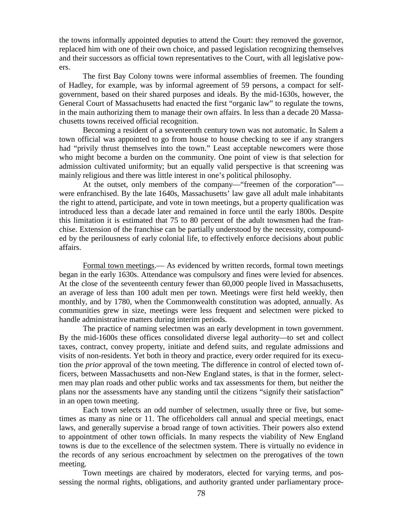the towns informally appointed deputies to attend the Court: they removed the governor, replaced him with one of their own choice, and passed legislation recognizing themselves and their successors as official town representatives to the Court, with all legislative powers.

The first Bay Colony towns were informal assemblies of freemen. The founding of Hadley, for example, was by informal agreement of 59 persons, a compact for selfgovernment, based on their shared purposes and ideals. By the mid-1630s, however, the General Court of Massachusetts had enacted the first "organic law" to regulate the towns, in the main authorizing them to manage their own affairs. In less than a decade 20 Massachusetts towns received official recognition.

Becoming a resident of a seventeenth century town was not automatic. In Salem a town official was appointed to go from house to house checking to see if any strangers had "privily thrust themselves into the town." Least acceptable newcomers were those who might become a burden on the community. One point of view is that selection for admission cultivated uniformity; but an equally valid perspective is that screening was mainly religious and there was little interest in one's political philosophy.

At the outset, only members of the company—"freemen of the corporation" were enfranchised. By the late 1640s, Massachusetts' law gave all adult male inhabitants the right to attend, participate, and vote in town meetings, but a property qualification was introduced less than a decade later and remained in force until the early 1800s. Despite this limitation it is estimated that 75 to 80 percent of the adult townsmen had the franchise. Extension of the franchise can be partially understood by the necessity, compounded by the perilousness of early colonial life, to effectively enforce decisions about public affairs.

Formal town meetings.— As evidenced by written records, formal town meetings began in the early 1630s. Attendance was compulsory and fines were levied for absences. At the close of the seventeenth century fewer than 60,000 people lived in Massachusetts, an average of less than 100 adult men per town. Meetings were first held weekly, then monthly, and by 1780, when the Commonwealth constitution was adopted, annually. As communities grew in size, meetings were less frequent and selectmen were picked to handle administrative matters during interim periods.

The practice of naming selectmen was an early development in town government. By the mid-1600s these offices consolidated diverse legal authority—to set and collect taxes, contract, convey property, initiate and defend suits, and regulate admissions and visits of non-residents. Yet both in theory and practice, every order required for its execution the *prior* approval of the town meeting. The difference in control of elected town officers, between Massachusetts and non-New England states, is that in the former, selectmen may plan roads and other public works and tax assessments for them, but neither the plans nor the assessments have any standing until the citizens "signify their satisfaction" in an open town meeting.

Each town selects an odd number of selectmen, usually three or five, but sometimes as many as nine or 11. The officeholders call annual and special meetings, enact laws, and generally supervise a broad range of town activities. Their powers also extend to appointment of other town officials. In many respects the viability of New England towns is due to the excellence of the selectmen system. There is virtually no evidence in the records of any serious encroachment by selectmen on the prerogatives of the town meeting.

Town meetings are chaired by moderators, elected for varying terms, and possessing the normal rights, obligations, and authority granted under parliamentary proce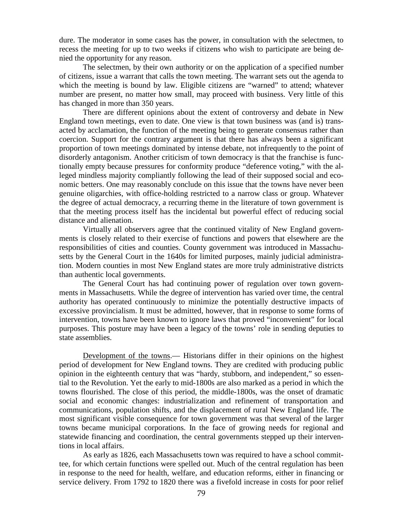dure. The moderator in some cases has the power, in consultation with the selectmen, to recess the meeting for up to two weeks if citizens who wish to participate are being denied the opportunity for any reason.

The selectmen, by their own authority or on the application of a specified number of citizens, issue a warrant that calls the town meeting. The warrant sets out the agenda to which the meeting is bound by law. Eligible citizens are "warned" to attend; whatever number are present, no matter how small, may proceed with business. Very little of this has changed in more than 350 years.

There are different opinions about the extent of controversy and debate in New England town meetings, even to date. One view is that town business was (and is) transacted by acclamation, the function of the meeting being to generate consensus rather than coercion. Support for the contrary argument is that there has always been a significant proportion of town meetings dominated by intense debate, not infrequently to the point of disorderly antagonism. Another criticism of town democracy is that the franchise is functionally empty because pressures for conformity produce "deference voting," with the alleged mindless majority compliantly following the lead of their supposed social and economic betters. One may reasonably conclude on this issue that the towns have never been genuine oligarchies, with office-holding restricted to a narrow class or group. Whatever the degree of actual democracy, a recurring theme in the literature of town government is that the meeting process itself has the incidental but powerful effect of reducing social distance and alienation.

Virtually all observers agree that the continued vitality of New England governments is closely related to their exercise of functions and powers that elsewhere are the responsibilities of cities and counties. County government was introduced in Massachusetts by the General Court in the 1640s for limited purposes, mainly judicial administration. Modern counties in most New England states are more truly administrative districts than authentic local governments.

The General Court has had continuing power of regulation over town governments in Massachusetts. While the degree of intervention has varied over time, the central authority has operated continuously to minimize the potentially destructive impacts of excessive provincialism. It must be admitted, however, that in response to some forms of intervention, towns have been known to ignore laws that proved "inconvenient" for local purposes. This posture may have been a legacy of the towns' role in sending deputies to state assemblies.

Development of the towns.— Historians differ in their opinions on the highest period of development for New England towns. They are credited with producing public opinion in the eighteenth century that was "hardy, stubborn, and independent," so essential to the Revolution. Yet the early to mid-1800s are also marked as a period in which the towns flourished. The close of this period, the middle-1800s, was the onset of dramatic social and economic changes: industrialization and refinement of transportation and communications, population shifts, and the displacement of rural New England life. The most significant visible consequence for town government was that several of the larger towns became municipal corporations. In the face of growing needs for regional and statewide financing and coordination, the central governments stepped up their interventions in local affairs.

As early as 1826, each Massachusetts town was required to have a school committee, for which certain functions were spelled out. Much of the central regulation has been in response to the need for health, welfare, and education reforms, either in financing or service delivery. From 1792 to 1820 there was a fivefold increase in costs for poor relief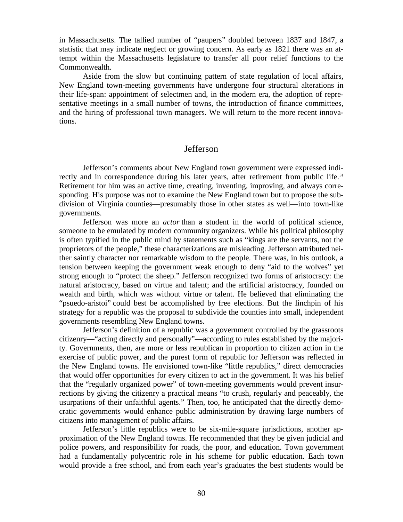in Massachusetts. The tallied number of "paupers" doubled between 1837 and 1847, a statistic that may indicate neglect or growing concern. As early as 1821 there was an attempt within the Massachusetts legislature to transfer all poor relief functions to the Commonwealth.

Aside from the slow but continuing pattern of state regulation of local affairs, New England town-meeting governments have undergone four structural alterations in their life-span: appointment of selectmen and, in the modern era, the adoption of representative meetings in a small number of towns, the introduction of finance committees, and the hiring of professional town managers. We will return to the more recent innovations.

#### Jefferson

Jefferson's comments about New England town government were expressed indi-rectly and in correspondence during his later years, after retirement from public life.<sup>[31](#page-126-3)</sup> Retirement for him was an active time, creating, inventing, improving, and always corresponding. His purpose was not to examine the New England town but to propose the subdivision of Virginia counties—presumably those in other states as well—into town-like governments.

Jefferson was more an *actor* than a student in the world of political science, someone to be emulated by modern community organizers. While his political philosophy is often typified in the public mind by statements such as "kings are the servants, not the proprietors of the people," these characterizations are misleading. Jefferson attributed neither saintly character nor remarkable wisdom to the people. There was, in his outlook, a tension between keeping the government weak enough to deny "aid to the wolves" yet strong enough to "protect the sheep." Jefferson recognized two forms of aristocracy: the natural aristocracy, based on virtue and talent; and the artificial aristocracy, founded on wealth and birth, which was without virtue or talent. He believed that eliminating the "psuedo-aristoi" could best be accomplished by free elections. But the linchpin of his strategy for a republic was the proposal to subdivide the counties into small, independent governments resembling New England towns.

Jefferson's definition of a republic was a government controlled by the grassroots citizenry—"acting directly and personally"—according to rules established by the majority. Governments, then, are more or less republican in proportion to citizen action in the exercise of public power, and the purest form of republic for Jefferson was reflected in the New England towns. He envisioned town-like "little republics," direct democracies that would offer opportunities for every citizen to act in the government. It was his belief that the "regularly organized power" of town-meeting governments would prevent insurrections by giving the citizenry a practical means "to crush, regularly and peaceably, the usurpations of their unfaithful agents." Then, too, he anticipated that the directly democratic governments would enhance public administration by drawing large numbers of citizens into management of public affairs.

Jefferson's little republics were to be six-mile-square jurisdictions, another approximation of the New England towns. He recommended that they be given judicial and police powers, and responsibility for roads, the poor, and education. Town government had a fundamentally polycentric role in his scheme for public education. Each town would provide a free school, and from each year's graduates the best students would be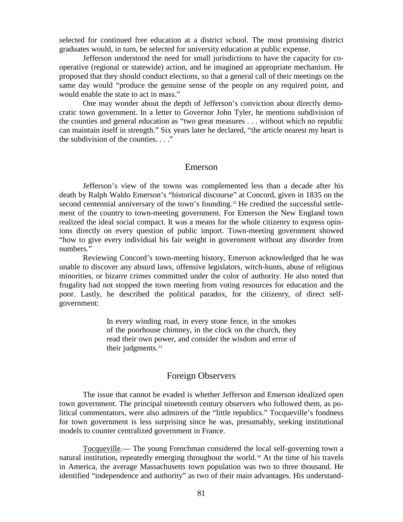selected for continued free education at a district school. The most promising district graduates would, in turn, be selected for university education at public expense.

Jefferson understood the need for small jurisdictions to have the capacity for cooperative (regional or statewide) action, and he imagined an appropriate mechanism. He proposed that they should conduct elections, so that a general call of their meetings on the same day would "produce the genuine sense of the people on any required point, and would enable the state to act in mass."

One may wonder about the depth of Jefferson's conviction about directly democratic town government. In a letter to Governor John Tyler, he mentions subdivision of the counties and general education as "two great measures . . . without which no republic can maintain itself in strength." Six years later he declared, "the article nearest my heart is the subdivision of the counties. . . ."

#### Emerson

Jefferson's view of the towns was complemented less than a decade after his death by Ralph Waldo Emerson's "historical discourse" at Concord, given in 1835 on the second centennial anniversary of the town's founding.<sup>[32](#page-126-4)</sup> He credited the successful settlement of the country to town-meeting government. For Emerson the New England town realized the ideal social compact. It was a means for the whole citizenry to express opinions directly on every question of public import. Town-meeting government showed "how to give every individual his fair weight in government without any disorder from numbers."

Reviewing Concord's town-meeting history, Emerson acknowledged that he was unable to discover any absurd laws, offensive legislators, witch-hunts, abuse of religious minorities, or bizarre crimes committed under the color of authority. He also noted that frugality had not stopped the town meeting from voting resources for education and the poor. Lastly, he described the political paradox, for the citizenry, of direct selfgovernment:

> In every winding road, in every stone fence, in the smokes of the poorhouse chimney, in the clock on the church, they read their own power, and consider the wisdom and error of their judgments.<sup>[33](#page-126-5)</sup>

#### Foreign Observers

The issue that cannot be evaded is whether Jefferson and Emerson idealized open town government. The principal nineteenth century observers who followed them, as political commentators, were also admirers of the "little republics." Tocqueville's fondness for town government is less surprising since he was, presumably, seeking institutional models to counter centralized government in France.

Tocqueville.— The young Frenchman considered the local self-governing town a natural institution, repeatedly emerging throughout the world[.34](#page-126-6) At the time of his travels in America, the average Massachusetts town population was two to three thousand. He identified "independence and authority" as two of their main advantages. His understand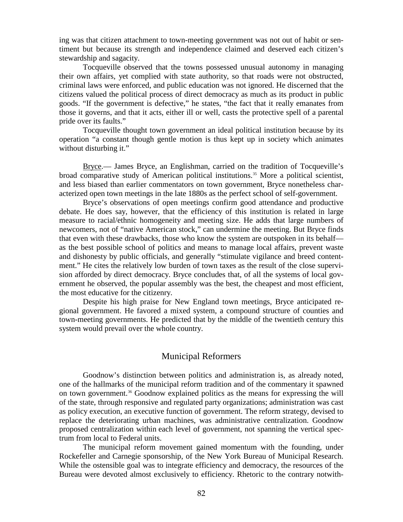ing was that citizen attachment to town-meeting government was not out of habit or sentiment but because its strength and independence claimed and deserved each citizen's stewardship and sagacity.

Tocqueville observed that the towns possessed unusual autonomy in managing their own affairs, yet complied with state authority, so that roads were not obstructed, criminal laws were enforced, and public education was not ignored. He discerned that the citizens valued the political process of direct democracy as much as its product in public goods. "If the government is defective," he states, "the fact that it really emanates from those it governs, and that it acts, either ill or well, casts the protective spell of a parental pride over its faults."

Tocqueville thought town government an ideal political institution because by its operation "a constant though gentle motion is thus kept up in society which animates without disturbing it."

Bryce.— James Bryce, an Englishman, carried on the tradition of Tocqueville's broad comparative study of American political institutions.<sup>[35](#page-126-7)</sup> More a political scientist, and less biased than earlier commentators on town government, Bryce nonetheless characterized open town meetings in the late 1880s as the perfect school of self-government.

Bryce's observations of open meetings confirm good attendance and productive debate. He does say, however, that the efficiency of this institution is related in large measure to racial/ethnic homogeneity and meeting size. He adds that large numbers of newcomers, not of "native American stock," can undermine the meeting. But Bryce finds that even with these drawbacks, those who know the system are outspoken in its behalf as the best possible school of politics and means to manage local affairs, prevent waste and dishonesty by public officials, and generally "stimulate vigilance and breed contentment." He cites the relatively low burden of town taxes as the result of the close supervision afforded by direct democracy. Bryce concludes that, of all the systems of local government he observed, the popular assembly was the best, the cheapest and most efficient, the most educative for the citizenry.

Despite his high praise for New England town meetings, Bryce anticipated regional government. He favored a mixed system, a compound structure of counties and town-meeting governments. He predicted that by the middle of the twentieth century this system would prevail over the whole country.

## Municipal Reformers

Goodnow's distinction between politics and administration is, as already noted, one of the hallmarks of the municipal reform tradition and of the commentary it spawned on town government.[36](#page-126-8) Goodnow explained politics as the means for expressing the will of the state, through responsive and regulated party organizations; administration was cast as policy execution, an executive function of government. The reform strategy, devised to replace the deteriorating urban machines, was administrative centralization. Goodnow proposed centralization within each level of government, not spanning the vertical spectrum from local to Federal units.

The municipal reform movement gained momentum with the founding, under Rockefeller and Carnegie sponsorship, of the New York Bureau of Municipal Research. While the ostensible goal was to integrate efficiency and democracy, the resources of the Bureau were devoted almost exclusively to efficiency. Rhetoric to the contrary notwith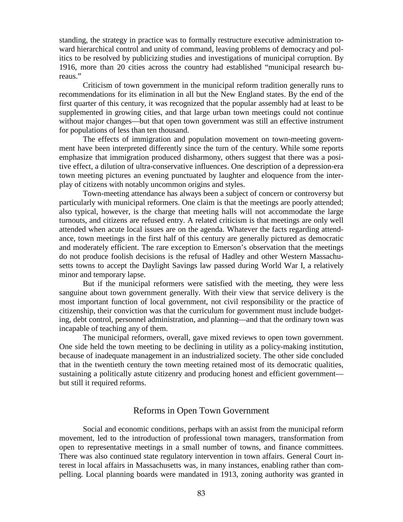standing, the strategy in practice was to formally restructure executive administration toward hierarchical control and unity of command, leaving problems of democracy and politics to be resolved by publicizing studies and investigations of municipal corruption. By 1916, more than 20 cities across the country had established "municipal research bureaus."

Criticism of town government in the municipal reform tradition generally runs to recommendations for its elimination in all but the New England states. By the end of the first quarter of this century, it was recognized that the popular assembly had at least to be supplemented in growing cities, and that large urban town meetings could not continue without major changes—but that open town government was still an effective instrument for populations of less than ten thousand.

The effects of immigration and population movement on town-meeting government have been interpreted differently since the turn of the century. While some reports emphasize that immigration produced disharmony, others suggest that there was a positive effect, a dilution of ultra-conservative influences. One description of a depression-era town meeting pictures an evening punctuated by laughter and eloquence from the interplay of citizens with notably uncommon origins and styles.

Town-meeting attendance has always been a subject of concern or controversy but particularly with municipal reformers. One claim is that the meetings are poorly attended; also typical, however, is the charge that meeting halls will not accommodate the large turnouts, and citizens are refused entry. A related criticism is that meetings are only well attended when acute local issues are on the agenda. Whatever the facts regarding attendance, town meetings in the first half of this century are generally pictured as democratic and moderately efficient. The rare exception to Emerson's observation that the meetings do not produce foolish decisions is the refusal of Hadley and other Western Massachusetts towns to accept the Daylight Savings law passed during World War I, a relatively minor and temporary lapse.

But if the municipal reformers were satisfied with the meeting, they were less sanguine about town government generally. With their view that service delivery is the most important function of local government, not civil responsibility or the practice of citizenship, their conviction was that the curriculum for government must include budgeting, debt control, personnel administration, and planning—and that the ordinary town was incapable of teaching any of them.

The municipal reformers, overall, gave mixed reviews to open town government. One side held the town meeting to be declining in utility as a policy-making institution, because of inadequate management in an industrialized society. The other side concluded that in the twentieth century the town meeting retained most of its democratic qualities, sustaining a politically astute citizenry and producing honest and efficient government but still it required reforms.

## Reforms in Open Town Government

Social and economic conditions, perhaps with an assist from the municipal reform movement, led to the introduction of professional town managers, transformation from open to representative meetings in a small number of towns, and finance committees. There was also continued state regulatory intervention in town affairs. General Court interest in local affairs in Massachusetts was, in many instances, enabling rather than compelling. Local planning boards were mandated in 1913, zoning authority was granted in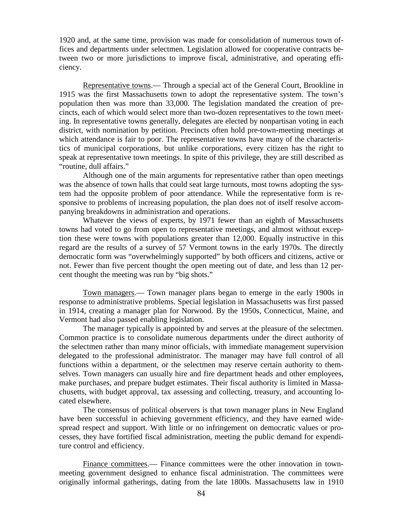1920 and, at the same time, provision was made for consolidation of numerous town offices and departments under selectmen. Legislation allowed for cooperative contracts between two or more jurisdictions to improve fiscal, administrative, and operating efficiency.

Representative towns.— Through a special act of the General Court, Brookline in 1915 was the first Massachusetts town to adopt the representative system. The town's population then was more than 33,000. The legislation mandated the creation of precincts, each of which would select more than two-dozen representatives to the town meeting. In representative towns generally, delegates are elected by nonpartisan voting in each district, with nomination by petition. Precincts often hold pre-town-meeting meetings at which attendance is fair to poor. The representative towns have many of the characteristics of municipal corporations, but unlike corporations, every citizen has the right to speak at representative town meetings. In spite of this privilege, they are still described as "routine, dull affairs."

Although one of the main arguments for representative rather than open meetings was the absence of town halls that could seat large turnouts, most towns adopting the system had the opposite problem of poor attendance. While the representative form is responsive to problems of increasing population, the plan does not of itself resolve accompanying breakdowns in administration and operations.

Whatever the views of experts, by 1971 fewer than an eighth of Massachusetts towns had voted to go from open to representative meetings, and almost without exception these were towns with populations greater than 12,000. Equally instructive in this regard are the results of a survey of 57 Vermont towns in the early 1970s. The directly democratic form was "overwhelmingly supported" by both officers and citizens, active or not. Fewer than five percent thought the open meeting out of date, and less than 12 percent thought the meeting was run by "big shots."

Town managers.— Town manager plans began to emerge in the early 1900s in response to administrative problems. Special legislation in Massachusetts was first passed in 1914, creating a manager plan for Norwood. By the 1950s, Connecticut, Maine, and Vermont had also passed enabling legislation.

The manager typically is appointed by and serves at the pleasure of the selectmen. Common practice is to consolidate numerous departments under the direct authority of the selectmen rather than many minor officials, with immediate management supervision delegated to the professional administrator. The manager may have full control of all functions within a department, or the selectmen may reserve certain authority to themselves. Town managers can usually hire and fire department heads and other employees, make purchases, and prepare budget estimates. Their fiscal authority is limited in Massachusetts, with budget approval, tax assessing and collecting, treasury, and accounting located elsewhere.

The consensus of political observers is that town manager plans in New England have been successful in achieving government efficiency, and they have earned widespread respect and support. With little or no infringement on democratic values or processes, they have fortified fiscal administration, meeting the public demand for expenditure control and efficiency.

Finance committees.— Finance committees were the other innovation in townmeeting government designed to enhance fiscal administration. The committees were originally informal gatherings, dating from the late 1800s. Massachusetts law in 1910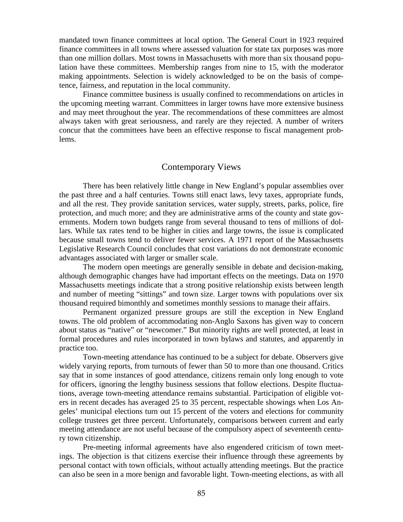mandated town finance committees at local option. The General Court in 1923 required finance committees in all towns where assessed valuation for state tax purposes was more than one million dollars. Most towns in Massachusetts with more than six thousand population have these committees. Membership ranges from nine to 15, with the moderator making appointments. Selection is widely acknowledged to be on the basis of competence, fairness, and reputation in the local community.

Finance committee business is usually confined to recommendations on articles in the upcoming meeting warrant. Committees in larger towns have more extensive business and may meet throughout the year. The recommendations of these committees are almost always taken with great seriousness, and rarely are they rejected. A number of writers concur that the committees have been an effective response to fiscal management problems.

#### Contemporary Views

There has been relatively little change in New England's popular assemblies over the past three and a half centuries. Towns still enact laws, levy taxes, appropriate funds, and all the rest. They provide sanitation services, water supply, streets, parks, police, fire protection, and much more; and they are administrative arms of the county and state governments. Modern town budgets range from several thousand to tens of millions of dollars. While tax rates tend to be higher in cities and large towns, the issue is complicated because small towns tend to deliver fewer services. A 1971 report of the Massachusetts Legislative Research Council concludes that cost variations do not demonstrate economic advantages associated with larger or smaller scale.

The modern open meetings are generally sensible in debate and decision-making, although demographic changes have had important effects on the meetings. Data on 1970 Massachusetts meetings indicate that a strong positive relationship exists between length and number of meeting "sittings" and town size. Larger towns with populations over six thousand required bimonthly and sometimes monthly sessions to manage their affairs.

Permanent organized pressure groups are still the exception in New England towns. The old problem of accommodating non-Anglo Saxons has given way to concern about status as "native" or "newcomer." But minority rights are well protected, at least in formal procedures and rules incorporated in town bylaws and statutes, and apparently in practice too.

Town-meeting attendance has continued to be a subject for debate. Observers give widely varying reports, from turnouts of fewer than 50 to more than one thousand. Critics say that in some instances of good attendance, citizens remain only long enough to vote for officers, ignoring the lengthy business sessions that follow elections. Despite fluctuations, average town-meeting attendance remains substantial. Participation of eligible voters in recent decades has averaged 25 to 35 percent, respectable showings when Los Angeles' municipal elections turn out 15 percent of the voters and elections for community college trustees get three percent. Unfortunately, comparisons between current and early meeting attendance are not useful because of the compulsory aspect of seventeenth century town citizenship.

Pre-meeting informal agreements have also engendered criticism of town meetings. The objection is that citizens exercise their influence through these agreements by personal contact with town officials, without actually attending meetings. But the practice can also be seen in a more benign and favorable light. Town-meeting elections, as with all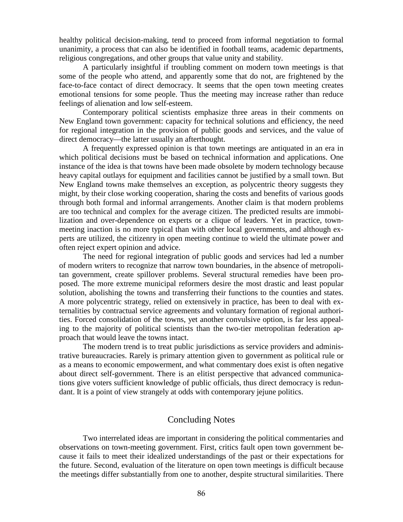healthy political decision-making, tend to proceed from informal negotiation to formal unanimity, a process that can also be identified in football teams, academic departments, religious congregations, and other groups that value unity and stability.

A particularly insightful if troubling comment on modern town meetings is that some of the people who attend, and apparently some that do not, are frightened by the face-to-face contact of direct democracy. It seems that the open town meeting creates emotional tensions for some people. Thus the meeting may increase rather than reduce feelings of alienation and low self-esteem.

Contemporary political scientists emphasize three areas in their comments on New England town government: capacity for technical solutions and efficiency, the need for regional integration in the provision of public goods and services, and the value of direct democracy—the latter usually an afterthought.

A frequently expressed opinion is that town meetings are antiquated in an era in which political decisions must be based on technical information and applications. One instance of the idea is that towns have been made obsolete by modern technology because heavy capital outlays for equipment and facilities cannot be justified by a small town. But New England towns make themselves an exception, as polycentric theory suggests they might, by their close working cooperation, sharing the costs and benefits of various goods through both formal and informal arrangements. Another claim is that modern problems are too technical and complex for the average citizen. The predicted results are immobilization and over-dependence on experts or a clique of leaders. Yet in practice, townmeeting inaction is no more typical than with other local governments, and although experts are utilized, the citizenry in open meeting continue to wield the ultimate power and often reject expert opinion and advice.

The need for regional integration of public goods and services had led a number of modern writers to recognize that narrow town boundaries, in the absence of metropolitan government, create spillover problems. Several structural remedies have been proposed. The more extreme municipal reformers desire the most drastic and least popular solution, abolishing the towns and transferring their functions to the counties and states. A more polycentric strategy, relied on extensively in practice, has been to deal with externalities by contractual service agreements and voluntary formation of regional authorities. Forced consolidation of the towns, yet another convulsive option, is far less appealing to the majority of political scientists than the two-tier metropolitan federation approach that would leave the towns intact.

The modern trend is to treat public jurisdictions as service providers and administrative bureaucracies. Rarely is primary attention given to government as political rule or as a means to economic empowerment, and what commentary does exist is often negative about direct self-government. There is an elitist perspective that advanced communications give voters sufficient knowledge of public officials, thus direct democracy is redundant. It is a point of view strangely at odds with contemporary jejune politics.

## Concluding Notes

Two interrelated ideas are important in considering the political commentaries and observations on town-meeting government. First, critics fault open town government because it fails to meet their idealized understandings of the past or their expectations for the future. Second, evaluation of the literature on open town meetings is difficult because the meetings differ substantially from one to another, despite structural similarities. There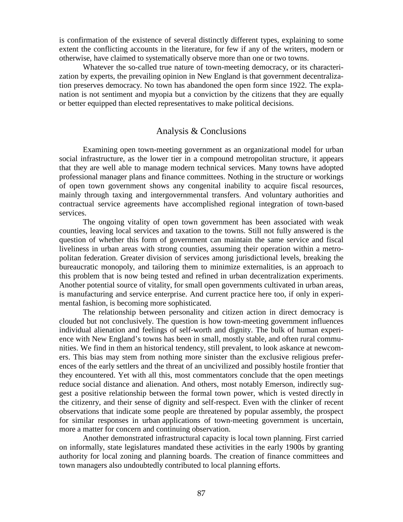is confirmation of the existence of several distinctly different types, explaining to some extent the conflicting accounts in the literature, for few if any of the writers, modern or otherwise, have claimed to systematically observe more than one or two towns.

Whatever the so-called true nature of town-meeting democracy, or its characterization by experts, the prevailing opinion in New England is that government decentralization preserves democracy. No town has abandoned the open form since 1922. The explanation is not sentiment and myopia but a conviction by the citizens that they are equally or better equipped than elected representatives to make political decisions.

## Analysis & Conclusions

Examining open town-meeting government as an organizational model for urban social infrastructure, as the lower tier in a compound metropolitan structure, it appears that they are well able to manage modern technical services. Many towns have adopted professional manager plans and finance committees. Nothing in the structure or workings of open town government shows any congenital inability to acquire fiscal resources, mainly through taxing and intergovernmental transfers. And voluntary authorities and contractual service agreements have accomplished regional integration of town-based services.

The ongoing vitality of open town government has been associated with weak counties, leaving local services and taxation to the towns. Still not fully answered is the question of whether this form of government can maintain the same service and fiscal liveliness in urban areas with strong counties, assuming their operation within a metropolitan federation. Greater division of services among jurisdictional levels, breaking the bureaucratic monopoly, and tailoring them to minimize externalities, is an approach to this problem that is now being tested and refined in urban decentralization experiments. Another potential source of vitality, for small open governments cultivated in urban areas, is manufacturing and service enterprise. And current practice here too, if only in experimental fashion, is becoming more sophisticated.

The relationship between personality and citizen action in direct democracy is clouded but not conclusively. The question is how town-meeting government influences individual alienation and feelings of self-worth and dignity. The bulk of human experience with New England's towns has been in small, mostly stable, and often rural communities. We find in them an historical tendency, still prevalent, to look askance at newcomers. This bias may stem from nothing more sinister than the exclusive religious preferences of the early settlers and the threat of an uncivilized and possibly hostile frontier that they encountered. Yet with all this, most commentators conclude that the open meetings reduce social distance and alienation. And others, most notably Emerson, indirectly suggest a positive relationship between the formal town power, which is vested directly in the citizenry, and their sense of dignity and self-respect. Even with the clinker of recent observations that indicate some people are threatened by popular assembly, the prospect for similar responses in urban applications of town-meeting government is uncertain, more a matter for concern and continuing observation.

Another demonstrated infrastructural capacity is local town planning. First carried on informally, state legislatures mandated these activities in the early 1900s by granting authority for local zoning and planning boards. The creation of finance committees and town managers also undoubtedly contributed to local planning efforts.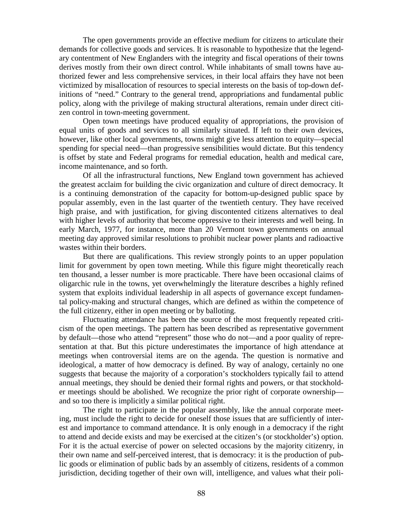The open governments provide an effective medium for citizens to articulate their demands for collective goods and services. It is reasonable to hypothesize that the legendary contentment of New Englanders with the integrity and fiscal operations of their towns derives mostly from their own direct control. While inhabitants of small towns have authorized fewer and less comprehensive services, in their local affairs they have not been victimized by misallocation of resources to special interests on the basis of top-down definitions of "need." Contrary to the general trend, appropriations and fundamental public policy, along with the privilege of making structural alterations, remain under direct citizen control in town-meeting government.

Open town meetings have produced equality of appropriations, the provision of equal units of goods and services to all similarly situated. If left to their own devices, however, like other local governments, towns might give less attention to equity—special spending for special need—than progressive sensibilities would dictate. But this tendency is offset by state and Federal programs for remedial education, health and medical care, income maintenance, and so forth.

Of all the infrastructural functions, New England town government has achieved the greatest acclaim for building the civic organization and culture of direct democracy. It is a continuing demonstration of the capacity for bottom-up-designed public space by popular assembly, even in the last quarter of the twentieth century. They have received high praise, and with justification, for giving discontented citizens alternatives to deal with higher levels of authority that become oppressive to their interests and well being. In early March, 1977, for instance, more than 20 Vermont town governments on annual meeting day approved similar resolutions to prohibit nuclear power plants and radioactive wastes within their borders.

But there are qualifications. This review strongly points to an upper population limit for government by open town meeting. While this figure might theoretically reach ten thousand, a lesser number is more practicable. There have been occasional claims of oligarchic rule in the towns, yet overwhelmingly the literature describes a highly refined system that exploits individual leadership in all aspects of governance except fundamental policy-making and structural changes, which are defined as within the competence of the full citizenry, either in open meeting or by balloting.

Fluctuating attendance has been the source of the most frequently repeated criticism of the open meetings. The pattern has been described as representative government by default—those who attend "represent" those who do not—and a poor quality of representation at that. But this picture underestimates the importance of high attendance at meetings when controversial items are on the agenda. The question is normative and ideological, a matter of how democracy is defined. By way of analogy, certainly no one suggests that because the majority of a corporation's stockholders typically fail to attend annual meetings, they should be denied their formal rights and powers, or that stockholder meetings should be abolished. We recognize the prior right of corporate ownership and so too there is implicitly a similar political right.

The right to participate in the popular assembly, like the annual corporate meeting, must include the right to decide for oneself those issues that are sufficiently of interest and importance to command attendance. It is only enough in a democracy if the right to attend and decide exists and may be exercised at the citizen's (or stockholder's) option. For it is the actual exercise of power on selected occasions by the majority citizenry, in their own name and self-perceived interest, that is democracy: it is the production of public goods or elimination of public bads by an assembly of citizens, residents of a common jurisdiction, deciding together of their own will, intelligence, and values what their poli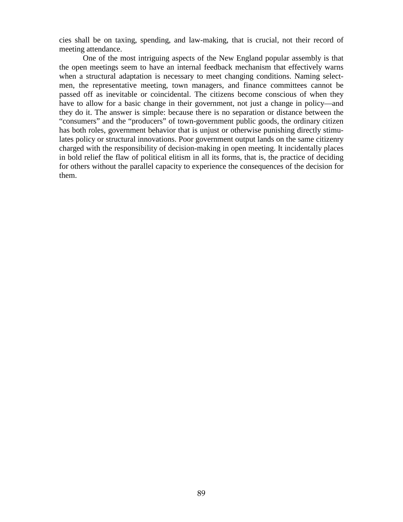cies shall be on taxing, spending, and law-making, that is crucial, not their record of meeting attendance.

One of the most intriguing aspects of the New England popular assembly is that the open meetings seem to have an internal feedback mechanism that effectively warns when a structural adaptation is necessary to meet changing conditions. Naming selectmen, the representative meeting, town managers, and finance committees cannot be passed off as inevitable or coincidental. The citizens become conscious of when they have to allow for a basic change in their government, not just a change in policy—and they do it. The answer is simple: because there is no separation or distance between the "consumers" and the "producers" of town-government public goods, the ordinary citizen has both roles, government behavior that is unjust or otherwise punishing directly stimulates policy or structural innovations. Poor government output lands on the same citizenry charged with the responsibility of decision-making in open meeting. It incidentally places in bold relief the flaw of political elitism in all its forms, that is, the practice of deciding for others without the parallel capacity to experience the consequences of the decision for them.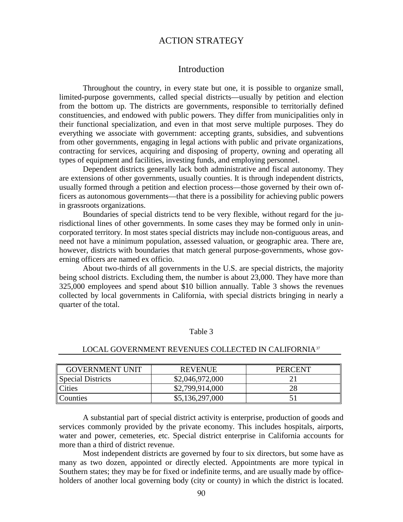## ACTION STRATEGY

#### Introduction

Throughout the country, in every state but one, it is possible to organize small, limited-purpose governments, called special districts—usually by petition and election from the bottom up. The districts are governments, responsible to territorially defined constituencies, and endowed with public powers. They differ from municipalities only in their functional specialization, and even in that most serve multiple purposes. They do everything we associate with government: accepting grants, subsidies, and subventions from other governments, engaging in legal actions with public and private organizations, contracting for services, acquiring and disposing of property, owning and operating all types of equipment and facilities, investing funds, and employing personnel.

Dependent districts generally lack both administrative and fiscal autonomy. They are extensions of other governments, usually counties. It is through independent districts, usually formed through a petition and election process—those governed by their own officers as autonomous governments—that there is a possibility for achieving public powers in grassroots organizations.

Boundaries of special districts tend to be very flexible, without regard for the jurisdictional lines of other governments. In some cases they may be formed only in unincorporated territory. In most states special districts may include non-contiguous areas, and need not have a minimum population, assessed valuation, or geographic area. There are, however, districts with boundaries that match general purpose-governments, whose governing officers are named ex officio.

About two-thirds of all governments in the U.S. are special districts, the majority being school districts. Excluding them, the number is about 23,000. They have more than 325,000 employees and spend about \$10 billion annually. Table 3 shows the revenues collected by local governments in California, with special districts bringing in nearly a quarter of the total.

#### Table 3

| <b>GOVERNMENT UNIT</b> | <b>REVENUE</b>  | <b>PERCENT</b> |  |
|------------------------|-----------------|----------------|--|
| Special Districts      | \$2,046,972,000 |                |  |
| <i>Cities</i>          | \$2,799,914,000 | 28             |  |
| <b>Counties</b>        | \$5,136,297,000 |                |  |

#### LOCAL GOVERNMENT REVENUES COLLECTED IN CALIFORNIA<sup>37</sup>

A substantial part of special district activity is enterprise, production of goods and services commonly provided by the private economy. This includes hospitals, airports, water and power, cemeteries, etc. Special district enterprise in California accounts for more than a third of district revenue.

Most independent districts are governed by four to six directors, but some have as many as two dozen, appointed or directly elected. Appointments are more typical in Southern states; they may be for fixed or indefinite terms, and are usually made by officeholders of another local governing body (city or county) in which the district is located.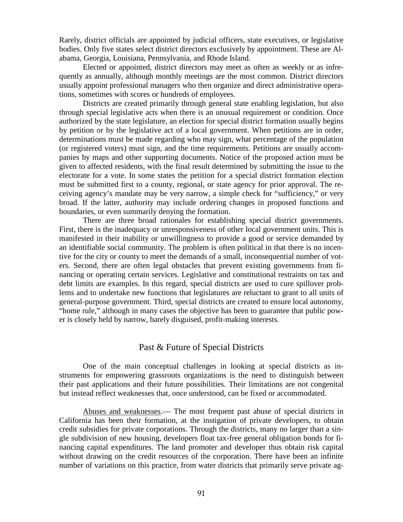Rarely, district officials are appointed by judicial officers, state executives, or legislative bodies. Only five states select district directors exclusively by appointment. These are Alabama, Georgia, Louisiana, Pennsylvania, and Rhode Island.

Elected or appointed, district directors may meet as often as weekly or as infrequently as annually, although monthly meetings are the most common. District directors usually appoint professional managers who then organize and direct administrative operations, sometimes with scores or hundreds of employees.

Districts are created primarily through general state enabling legislation, but also through special legislative acts when there is an unusual requirement or condition. Once authorized by the state legislature, an election for special district formation usually begins by petition or by the legislative act of a local government. When petitions are in order, determinations must be made regarding who may sign, what percentage of the population (or registered voters) must sign, and the time requirements. Petitions are usually accompanies by maps and other supporting documents. Notice of the proposed action must be given to affected residents, with the final result determined by submitting the issue to the electorate for a vote. In some states the petition for a special district formation election must be submitted first to a county, regional, or state agency for prior approval. The receiving agency's mandate may be very narrow, a simple check for "sufficiency," or very broad. If the latter, authority may include ordering changes in proposed functions and boundaries, or even summarily denying the formation.

There are three broad rationales for establishing special district governments. First, there is the inadequacy or unresponsiveness of other local government units. This is manifested in their inability or unwillingness to provide a good or service demanded by an identifiable social community. The problem is often political in that there is no incentive for the city or county to meet the demands of a small, inconsequential number of voters. Second, there are often legal obstacles that prevent existing governments from financing or operating certain services. Legislative and constitutional restraints on tax and debt limits are examples. In this regard, special districts are used to cure spillover problems and to undertake new functions that legislatures are reluctant to grant to all units of general-purpose government. Third, special districts are created to ensure local autonomy, "home rule," although in many cases the objective has been to guarantee that public power is closely held by narrow, barely disguised, profit-making interests.

## Past & Future of Special Districts

One of the main conceptual challenges in looking at special districts as instruments for empowering grassroots organizations is the need to distinguish between their past applications and their future possibilities. Their limitations are not congenital but instead reflect weaknesses that, once understood, can be fixed or accommodated.

Abuses and weaknesses.— The most frequent past abuse of special districts in California has been their formation, at the instigation of private developers, to obtain credit subsidies for private corporations. Through the districts, many no larger than a single subdivision of new housing, developers float tax-free general obligation bonds for financing capital expenditures. The land promoter and developer thus obtain risk capital without drawing on the credit resources of the corporation. There have been an infinite number of variations on this practice, from water districts that primarily serve private ag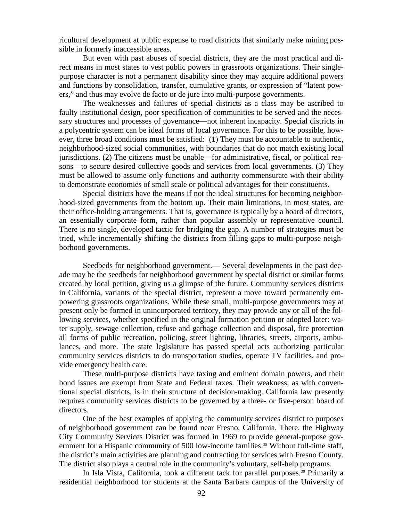ricultural development at public expense to road districts that similarly make mining possible in formerly inaccessible areas.

But even with past abuses of special districts, they are the most practical and direct means in most states to vest public powers in grassroots organizations. Their singlepurpose character is not a permanent disability since they may acquire additional powers and functions by consolidation, transfer, cumulative grants, or expression of "latent powers," and thus may evolve de facto or de jure into multi-purpose governments.

The weaknesses and failures of special districts as a class may be ascribed to faulty institutional design, poor specification of communities to be served and the necessary structures and processes of governance—not inherent incapacity. Special districts in a polycentric system can be ideal forms of local governance. For this to be possible, however, three broad conditions must be satisfied: (1) They must be accountable to authentic, neighborhood-sized social communities, with boundaries that do not match existing local jurisdictions. (2) The citizens must be unable—for administrative, fiscal, or political reasons—to secure desired collective goods and services from local governments. (3) They must be allowed to assume only functions and authority commensurate with their ability to demonstrate economies of small scale or political advantages for their constituents.

Special districts have the means if not the ideal structures for becoming neighborhood-sized governments from the bottom up. Their main limitations, in most states, are their office-holding arrangements. That is, governance is typically by a board of directors, an essentially corporate form, rather than popular assembly or representative council. There is no single, developed tactic for bridging the gap. A number of strategies must be tried, while incrementally shifting the districts from filling gaps to multi-purpose neighborhood governments.

Seedbeds for neighborhood government.— Several developments in the past decade may be the seedbeds for neighborhood government by special district or similar forms created by local petition, giving us a glimpse of the future. Community services districts in California, variants of the special district, represent a move toward permanently empowering grassroots organizations. While these small, multi-purpose governments may at present only be formed in unincorporated territory, they may provide any or all of the following services, whether specified in the original formation petition or adopted later: water supply, sewage collection, refuse and garbage collection and disposal, fire protection all forms of public recreation, policing, street lighting, libraries, streets, airports, ambulances, and more. The state legislature has passed special acts authorizing particular community services districts to do transportation studies, operate TV facilities, and provide emergency health care.

These multi-purpose districts have taxing and eminent domain powers, and their bond issues are exempt from State and Federal taxes. Their weakness, as with conventional special districts, is in their structure of decision-making. California law presently requires community services districts to be governed by a three- or five-person board of directors.

One of the best examples of applying the community services district to purposes of neighborhood government can be found near Fresno, California. There, the Highway City Community Services District was formed in 1969 to provide general-purpose gov-ernment for a Hispanic community of 500 low-income families.<sup>[38](#page-126-10)</sup> Without full-time staff, the district's main activities are planning and contracting for services with Fresno County. The district also plays a central role in the community's voluntary, self-help programs.

In Isla Vista, California, took a different tack for parallel purposes.<sup>[39](#page-126-11)</sup> Primarily a residential neighborhood for students at the Santa Barbara campus of the University of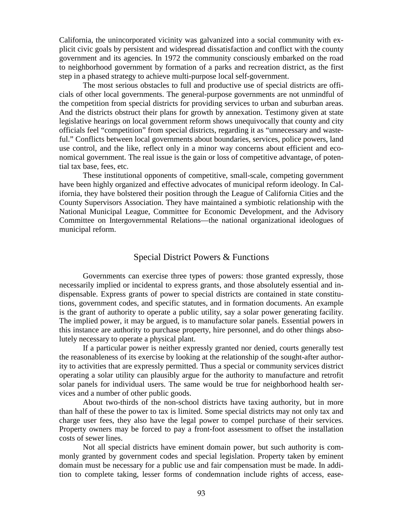California, the unincorporated vicinity was galvanized into a social community with explicit civic goals by persistent and widespread dissatisfaction and conflict with the county government and its agencies. In 1972 the community consciously embarked on the road to neighborhood government by formation of a parks and recreation district, as the first step in a phased strategy to achieve multi-purpose local self-government.

The most serious obstacles to full and productive use of special districts are officials of other local governments. The general-purpose governments are not unmindful of the competition from special districts for providing services to urban and suburban areas. And the districts obstruct their plans for growth by annexation. Testimony given at state legislative hearings on local government reform shows unequivocally that county and city officials feel "competition" from special districts, regarding it as "unnecessary and wasteful." Conflicts between local governments about boundaries, services, police powers, land use control, and the like, reflect only in a minor way concerns about efficient and economical government. The real issue is the gain or loss of competitive advantage, of potential tax base, fees, etc.

These institutional opponents of competitive, small-scale, competing government have been highly organized and effective advocates of municipal reform ideology. In California, they have bolstered their position through the League of California Cities and the County Supervisors Association. They have maintained a symbiotic relationship with the National Municipal League, Committee for Economic Development, and the Advisory Committee on Intergovernmental Relations—the national organizational ideologues of municipal reform.

#### Special District Powers & Functions

Governments can exercise three types of powers: those granted expressly, those necessarily implied or incidental to express grants, and those absolutely essential and indispensable. Express grants of power to special districts are contained in state constitutions, government codes, and specific statutes, and in formation documents. An example is the grant of authority to operate a public utility, say a solar power generating facility. The implied power, it may be argued, is to manufacture solar panels. Essential powers in this instance are authority to purchase property, hire personnel, and do other things absolutely necessary to operate a physical plant.

If a particular power is neither expressly granted nor denied, courts generally test the reasonableness of its exercise by looking at the relationship of the sought-after authority to activities that are expressly permitted. Thus a special or community services district operating a solar utility can plausibly argue for the authority to manufacture and retrofit solar panels for individual users. The same would be true for neighborhood health services and a number of other public goods.

About two-thirds of the non-school districts have taxing authority, but in more than half of these the power to tax is limited. Some special districts may not only tax and charge user fees, they also have the legal power to compel purchase of their services. Property owners may be forced to pay a front-foot assessment to offset the installation costs of sewer lines.

Not all special districts have eminent domain power, but such authority is commonly granted by government codes and special legislation. Property taken by eminent domain must be necessary for a public use and fair compensation must be made. In addition to complete taking, lesser forms of condemnation include rights of access, ease-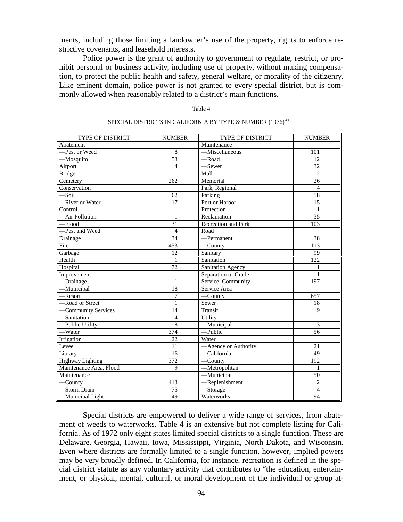ments, including those limiting a landowner's use of the property, rights to enforce restrictive covenants, and leasehold interests.

Police power is the grant of authority to government to regulate, restrict, or prohibit personal or business activity, including use of property, without making compensation, to protect the public health and safety, general welfare, or morality of the citizenry. Like eminent domain, police power is not granted to every special district, but is commonly allowed when reasonably related to a district's main functions.

| × |  |
|---|--|
|---|--|

| TYPE OF DISTRICT        | <b>NUMBER</b>   | TYPE OF DISTRICT                      | <b>NUMBER</b>   |
|-------------------------|-----------------|---------------------------------------|-----------------|
| Abatement               |                 | Maintenance                           |                 |
| -Pest or Weed           | 8               | -Miscellaneous                        | 101             |
| -Mosquito               | $\overline{53}$ | -Road                                 | 12              |
| Airport                 | $\overline{4}$  | -Sewer                                | 32              |
| <b>Bridge</b>           | $\mathbf{1}$    | Mall                                  | $\overline{c}$  |
| Cemetery                | 262             | Memorial                              | 26              |
| Conservation            |                 | Park, Regional                        | $\overline{4}$  |
| $-$ Soil                | $\overline{62}$ | Parking                               | $\overline{58}$ |
| -River or Water         | 17              | Port or Harbor                        | 15              |
| Control                 |                 | Protection                            | $\mathbf{1}$    |
| -Air Pollution          | $\mathbf{1}$    | Reclamation                           | 35              |
| $-Flood$                | $\overline{31}$ | Recreation and Park                   | 103             |
| -Pest and Weed          | $\overline{4}$  | Road                                  |                 |
| Drainage                | 34              | -Permanent                            | $\overline{38}$ |
| Fire                    | 453             | $-C$ ounty                            | 113             |
| Garbage                 | 12              | Sanitary                              | 99              |
| Health                  | $\mathbf{1}$    | Sanitation                            | 122             |
| Hospital                | 72              | <b>Sanitation Agency</b>              | 1               |
| Improvement             |                 | Separation of Grade                   | $\mathbf{1}$    |
| -Drainage               | $\mathbf{1}$    | Service, Community                    | 197             |
| -Municipal              | 18              | Service Area                          |                 |
| -Resort                 | $\overline{7}$  | $\overline{-C}$ ounty                 | 657             |
| -Road or Street         | 1               | Sewer                                 | 18              |
| -Community Services     | 14              | Transit                               | $\mathbf Q$     |
| -Sanitation             | $\overline{4}$  | Utility                               |                 |
| -Public Utility         | 8               | -Municipal                            | 3               |
| -Water                  | 374             | -Public                               | 56              |
| Irrigation              | 22              | Water                                 |                 |
| Levee                   | 11              | -Agency or Authority                  | 21              |
| Library                 | 16              | -California                           | 49              |
| <b>Highway Lighting</b> | 372             | $—$ County                            | 192             |
| Maintenance Area, Flood | 9               | $\overline{\phantom{m}}$ Metropolitan | $\mathbf{1}$    |
| Maintenance             |                 | -Municipal                            | 50              |
| $—$ County              | 413             | -Replenishment                        | $\mathbf{2}$    |
| -Storm Drain            | 75              | $-$ Storage                           | $\overline{4}$  |
| -Municipal Light        | 49              | Waterworks                            | 94              |

#### SPECIAL DISTRICTS IN CALIFORNIA BY TYPE & NUMBER  $\left( 1976\right) ^{40}$  $\left( 1976\right) ^{40}$  $\left( 1976\right) ^{40}$

Special districts are empowered to deliver a wide range of services, from abatement of weeds to waterworks. Table 4 is an extensive but not complete listing for California. As of 1972 only eight states limited special districts to a single function. These are Delaware, Georgia, Hawaii, Iowa, Mississippi, Virginia, North Dakota, and Wisconsin. Even where districts are formally limited to a single function, however, implied powers may be very broadly defined. In California, for instance, recreation is defined in the special district statute as any voluntary activity that contributes to "the education, entertainment, or physical, mental, cultural, or moral development of the individual or group at-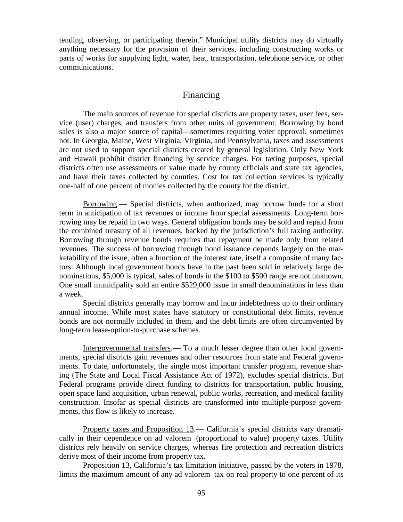tending, observing, or participating therein." Municipal utility districts may do virtually anything necessary for the provision of their services, including constructing works or parts of works for supplying light, water, heat, transportation, telephone service, or other communications.

#### Financing

The main sources of revenue for special districts are property taxes, user fees, service (user) charges, and transfers from other units of government. Borrowing by bond sales is also a major source of capital—sometimes requiring voter approval, sometimes not. In Georgia, Maine, West Virginia, Virginia, and Pennsylvania, taxes and assessments are not used to support special districts created by general legislation. Only New York and Hawaii prohibit district financing by service charges. For taxing purposes, special districts often use assessments of value made by county officials and state tax agencies, and have their taxes collected by counties. Cost for tax collection services is typically one-half of one percent of monies collected by the county for the district.

Borrowing.— Special districts, when authorized, may borrow funds for a short term in anticipation of tax revenues or income from special assessments. Long-term borrowing may be repaid in two ways. General obligation bonds may be sold and repaid from the combined treasury of all revenues, backed by the jurisdiction's full taxing authority. Borrowing through revenue bonds requires that repayment be made only from related revenues. The success of borrowing through bond issuance depends largely on the marketability of the issue, often a function of the interest rate, itself a composite of many factors. Although local government bonds have in the past been sold in relatively large denominations, \$5,000 is typical, sales of bonds in the \$100 to \$500 range are not unknown. One small municipality sold an entire \$529,000 issue in small denominations in less than a week.

Special districts generally may borrow and incur indebtedness up to their ordinary annual income. While most states have statutory or constitutional debt limits, revenue bonds are not normally included in them, and the debt limits are often circumvented by long-term lease-option-to-purchase schemes.

Intergovernmental transfers.— To a much lesser degree than other local governments, special districts gain revenues and other resources from state and Federal governments. To date, unfortunately, the single most important transfer program, revenue sharing (The State and Local Fiscal Assistance Act of 1972), excludes special districts. But Federal programs provide direct funding to districts for transportation, public housing, open space land acquisition, urban renewal, public works, recreation, and medical facility construction. Insofar as special districts are transformed into multiple-purpose governments, this flow is likely to increase.

Property taxes and Proposition 13.— California's special districts vary dramatically in their dependence on ad valorem (proportional to value) property taxes. Utility districts rely heavily on service charges, whereas fire protection and recreation districts derive most of their income from property tax.

Proposition 13, California's tax limitation initiative, passed by the voters in 1978, limits the maximum amount of any ad valorem tax on real property to one percent of its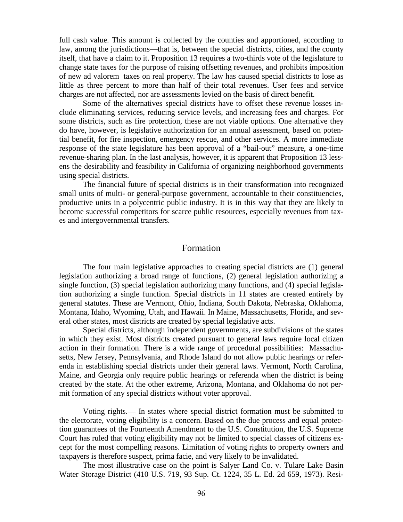full cash value. This amount is collected by the counties and apportioned, according to law, among the jurisdictions—that is, between the special districts, cities, and the county itself, that have a claim to it. Proposition 13 requires a two-thirds vote of the legislature to change state taxes for the purpose of raising offsetting revenues, and prohibits imposition of new ad valorem taxes on real property. The law has caused special districts to lose as little as three percent to more than half of their total revenues. User fees and service charges are not affected, nor are assessments levied on the basis of direct benefit.

Some of the alternatives special districts have to offset these revenue losses include eliminating services, reducing service levels, and increasing fees and charges. For some districts, such as fire protection, these are not viable options. One alternative they do have, however, is legislative authorization for an annual assessment, based on potential benefit, for fire inspection, emergency rescue, and other services. A more immediate response of the state legislature has been approval of a "bail-out" measure, a one-time revenue-sharing plan. In the last analysis, however, it is apparent that Proposition 13 lessens the desirability and feasibility in California of organizing neighborhood governments using special districts.

The financial future of special districts is in their transformation into recognized small units of multi- or general-purpose government, accountable to their constituencies, productive units in a polycentric public industry. It is in this way that they are likely to become successful competitors for scarce public resources, especially revenues from taxes and intergovernmental transfers.

#### Formation

The four main legislative approaches to creating special districts are (1) general legislation authorizing a broad range of functions, (2) general legislation authorizing a single function, (3) special legislation authorizing many functions, and (4) special legislation authorizing a single function. Special districts in 11 states are created entirely by general statutes. These are Vermont, Ohio, Indiana, South Dakota, Nebraska, Oklahoma, Montana, Idaho, Wyoming, Utah, and Hawaii. In Maine, Massachusetts, Florida, and several other states, most districts are created by special legislative acts.

Special districts, although independent governments, are subdivisions of the states in which they exist. Most districts created pursuant to general laws require local citizen action in their formation. There is a wide range of procedural possibilities: Massachusetts, New Jersey, Pennsylvania, and Rhode Island do not allow public hearings or referenda in establishing special districts under their general laws. Vermont, North Carolina, Maine, and Georgia only require public hearings or referenda when the district is being created by the state. At the other extreme, Arizona, Montana, and Oklahoma do not permit formation of any special districts without voter approval.

Voting rights.— In states where special district formation must be submitted to the electorate, voting eligibility is a concern. Based on the due process and equal protection guarantees of the Fourteenth Amendment to the U.S. Constitution, the U.S. Supreme Court has ruled that voting eligibility may not be limited to special classes of citizens except for the most compelling reasons. Limitation of voting rights to property owners and taxpayers is therefore suspect, prima facie, and very likely to be invalidated.

The most illustrative case on the point is Salyer Land Co. v. Tulare Lake Basin Water Storage District (410 U.S. 719, 93 Sup. Ct. 1224, 35 L. Ed. 2d 659, 1973). Resi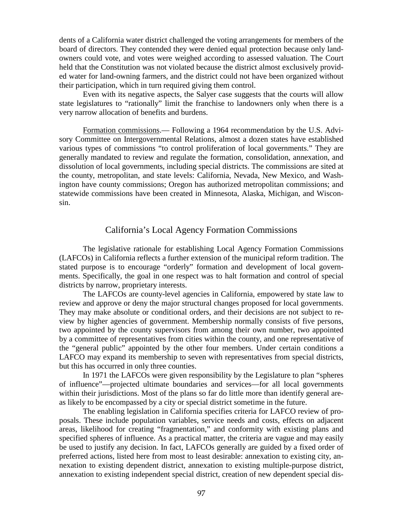dents of a California water district challenged the voting arrangements for members of the board of directors. They contended they were denied equal protection because only landowners could vote, and votes were weighed according to assessed valuation. The Court held that the Constitution was not violated because the district almost exclusively provided water for land-owning farmers, and the district could not have been organized without their participation, which in turn required giving them control.

Even with its negative aspects, the Salyer case suggests that the courts will allow state legislatures to "rationally" limit the franchise to landowners only when there is a very narrow allocation of benefits and burdens.

Formation commissions.— Following a 1964 recommendation by the U.S. Advisory Committee on Intergovernmental Relations, almost a dozen states have established various types of commissions "to control proliferation of local governments." They are generally mandated to review and regulate the formation, consolidation, annexation, and dissolution of local governments, including special districts. The commissions are sited at the county, metropolitan, and state levels: California, Nevada, New Mexico, and Washington have county commissions; Oregon has authorized metropolitan commissions; and statewide commissions have been created in Minnesota, Alaska, Michigan, and Wisconsin.

#### California's Local Agency Formation Commissions

The legislative rationale for establishing Local Agency Formation Commissions (LAFCOs) in California reflects a further extension of the municipal reform tradition. The stated purpose is to encourage "orderly" formation and development of local governments. Specifically, the goal in one respect was to halt formation and control of special districts by narrow, proprietary interests.

The LAFCOs are county-level agencies in California, empowered by state law to review and approve or deny the major structural changes proposed for local governments. They may make absolute or conditional orders, and their decisions are not subject to review by higher agencies of government. Membership normally consists of five persons, two appointed by the county supervisors from among their own number, two appointed by a committee of representatives from cities within the county, and one representative of the "general public" appointed by the other four members. Under certain conditions a LAFCO may expand its membership to seven with representatives from special districts, but this has occurred in only three counties.

In 1971 the LAFCOs were given responsibility by the Legislature to plan "spheres of influence"—projected ultimate boundaries and services—for all local governments within their jurisdictions. Most of the plans so far do little more than identify general areas likely to be encompassed by a city or special district sometime in the future.

The enabling legislation in California specifies criteria for LAFCO review of proposals. These include population variables, service needs and costs, effects on adjacent areas, likelihood for creating "fragmentation," and conformity with existing plans and specified spheres of influence. As a practical matter, the criteria are vague and may easily be used to justify any decision. In fact, LAFCOs generally are guided by a fixed order of preferred actions, listed here from most to least desirable: annexation to existing city, annexation to existing dependent district, annexation to existing multiple-purpose district, annexation to existing independent special district, creation of new dependent special dis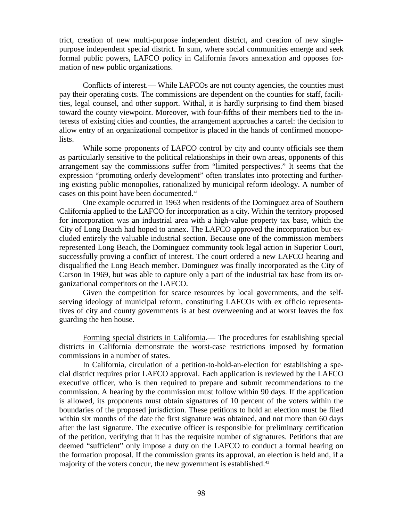trict, creation of new multi-purpose independent district, and creation of new singlepurpose independent special district. In sum, where social communities emerge and seek formal public powers, LAFCO policy in California favors annexation and opposes formation of new public organizations.

Conflicts of interest.— While LAFCOs are not county agencies, the counties must pay their operating costs. The commissions are dependent on the counties for staff, facilities, legal counsel, and other support. Withal, it is hardly surprising to find them biased toward the county viewpoint. Moreover, with four-fifths of their members tied to the interests of existing cities and counties, the arrangement approaches a cartel: the decision to allow entry of an organizational competitor is placed in the hands of confirmed monopolists.

While some proponents of LAFCO control by city and county officials see them as particularly sensitive to the political relationships in their own areas, opponents of this arrangement say the commissions suffer from "limited perspectives." It seems that the expression "promoting orderly development" often translates into protecting and furthering existing public monopolies, rationalized by municipal reform ideology. A number of cases on this point have been documented.<sup>[41](#page-126-13)</sup>

One example occurred in 1963 when residents of the Dominguez area of Southern California applied to the LAFCO for incorporation as a city. Within the territory proposed for incorporation was an industrial area with a high-value property tax base, which the City of Long Beach had hoped to annex. The LAFCO approved the incorporation but excluded entirely the valuable industrial section. Because one of the commission members represented Long Beach, the Dominguez community took legal action in Superior Court, successfully proving a conflict of interest. The court ordered a new LAFCO hearing and disqualified the Long Beach member. Dominguez was finally incorporated as the City of Carson in 1969, but was able to capture only a part of the industrial tax base from its organizational competitors on the LAFCO.

Given the competition for scarce resources by local governments, and the selfserving ideology of municipal reform, constituting LAFCOs with ex officio representatives of city and county governments is at best overweening and at worst leaves the fox guarding the hen house.

Forming special districts in California.— The procedures for establishing special districts in California demonstrate the worst-case restrictions imposed by formation commissions in a number of states.

In California, circulation of a petition-to-hold-an-election for establishing a special district requires prior LAFCO approval. Each application is reviewed by the LAFCO executive officer, who is then required to prepare and submit recommendations to the commission. A hearing by the commission must follow within 90 days. If the application is allowed, its proponents must obtain signatures of 10 percent of the voters within the boundaries of the proposed jurisdiction. These petitions to hold an election must be filed within six months of the date the first signature was obtained, and not more than 60 days after the last signature. The executive officer is responsible for preliminary certification of the petition, verifying that it has the requisite number of signatures. Petitions that are deemed "sufficient" only impose a duty on the LAFCO to conduct a formal hearing on the formation proposal. If the commission grants its approval, an election is held and, if a majority of the voters concur, the new government is established.<sup>[42](#page-126-14)</sup>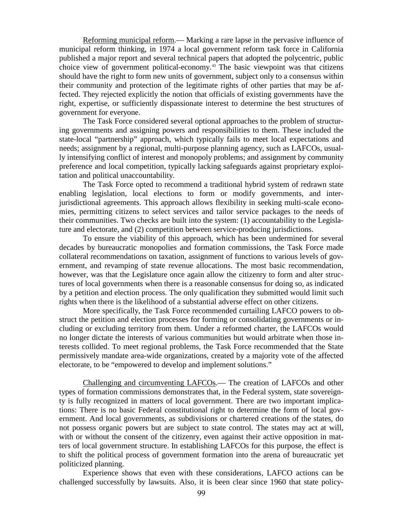Reforming municipal reform.— Marking a rare lapse in the pervasive influence of municipal reform thinking, in 1974 a local government reform task force in California published a major report and several technical papers that adopted the polycentric, public choice view of government political-economy.[43](#page-126-15) The basic viewpoint was that citizens should have the right to form new units of government, subject only to a consensus within their community and protection of the legitimate rights of other parties that may be affected. They rejected explicitly the notion that officials of existing governments have the right, expertise, or sufficiently dispassionate interest to determine the best structures of government for everyone.

The Task Force considered several optional approaches to the problem of structuring governments and assigning powers and responsibilities to them. These included the state-local "partnership" approach, which typically fails to meet local expectations and needs; assignment by a regional, multi-purpose planning agency, such as LAFCOs, usually intensifying conflict of interest and monopoly problems; and assignment by community preference and local competition, typically lacking safeguards against proprietary exploitation and political unaccountability.

The Task Force opted to recommend a traditional hybrid system of redrawn state enabling legislation, local elections to form or modify governments, and interjurisdictional agreements. This approach allows flexibility in seeking multi-scale economies, permitting citizens to select services and tailor service packages to the needs of their communities. Two checks are built into the system: (1) accountability to the Legislature and electorate, and (2) competition between service-producing jurisdictions.

To ensure the viability of this approach, which has been undermined for several decades by bureaucratic monopolies and formation commissions, the Task Force made collateral recommendations on taxation, assignment of functions to various levels of government, and revamping of state revenue allocations. The most basic recommendation, however, was that the Legislature once again allow the citizenry to form and alter structures of local governments when there is a reasonable consensus for doing so, as indicated by a petition and election process. The only qualification they submitted would limit such rights when there is the likelihood of a substantial adverse effect on other citizens.

More specifically, the Task Force recommended curtailing LAFCO powers to obstruct the petition and election processes for forming or consolidating governments or including or excluding territory from them. Under a reformed charter, the LAFCOs would no longer dictate the interests of various communities but would arbitrate when those interests collided. To meet regional problems, the Task Force recommended that the State permissively mandate area-wide organizations, created by a majority vote of the affected electorate, to be "empowered to develop and implement solutions."

Challenging and circumventing LAFCOs.— The creation of LAFCOs and other types of formation commissions demonstrates that, in the Federal system, state sovereignty is fully recognized in matters of local government. There are two important implications: There is no basic Federal constitutional right to determine the form of local government. And local governments, as subdivisions or chartered creations of the states, do not possess organic powers but are subject to state control. The states may act at will, with or without the consent of the citizenry, even against their active opposition in matters of local government structure. In establishing LAFCOs for this purpose, the effect is to shift the political process of government formation into the arena of bureaucratic yet politicized planning.

Experience shows that even with these considerations, LAFCO actions can be challenged successfully by lawsuits. Also, it is been clear since 1960 that state policy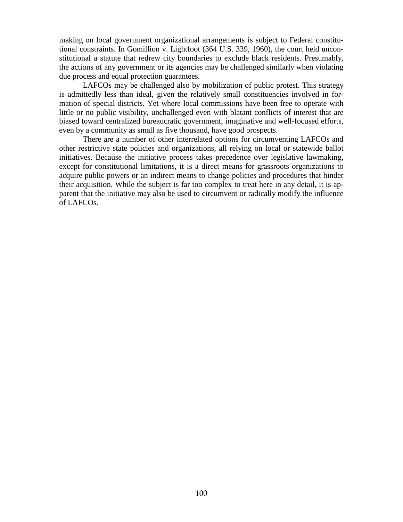making on local government organizational arrangements is subject to Federal constitutional constraints. In Gomillion v. Lightfoot (364 U.S. 339, 1960), the court held unconstitutional a statute that redrew city boundaries to exclude black residents. Presumably, the actions of any government or its agencies may be challenged similarly when violating due process and equal protection guarantees.

LAFCOs may be challenged also by mobilization of public protest. This strategy is admittedly less than ideal, given the relatively small constituencies involved in formation of special districts. Yet where local commissions have been free to operate with little or no public visibility, unchallenged even with blatant conflicts of interest that are biased toward centralized bureaucratic government, imaginative and well-focused efforts, even by a community as small as five thousand, have good prospects.

There are a number of other interrelated options for circumventing LAFCOs and other restrictive state policies and organizations, all relying on local or statewide ballot initiatives. Because the initiative process takes precedence over legislative lawmaking, except for constitutional limitations, it is a direct means for grassroots organizations to acquire public powers or an indirect means to change policies and procedures that hinder their acquisition. While the subject is far too complex to treat here in any detail, it is apparent that the initiative may also be used to circumvent or radically modify the influence of LAFCOs.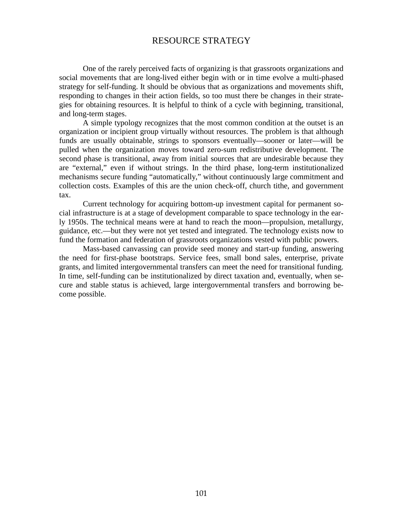#### RESOURCE STRATEGY

One of the rarely perceived facts of organizing is that grassroots organizations and social movements that are long-lived either begin with or in time evolve a multi-phased strategy for self-funding. It should be obvious that as organizations and movements shift, responding to changes in their action fields, so too must there be changes in their strategies for obtaining resources. It is helpful to think of a cycle with beginning, transitional, and long-term stages.

A simple typology recognizes that the most common condition at the outset is an organization or incipient group virtually without resources. The problem is that although funds are usually obtainable, strings to sponsors eventually—sooner or later—will be pulled when the organization moves toward zero-sum redistributive development. The second phase is transitional, away from initial sources that are undesirable because they are "external," even if without strings. In the third phase, long-term institutionalized mechanisms secure funding "automatically," without continuously large commitment and collection costs. Examples of this are the union check-off, church tithe, and government tax.

Current technology for acquiring bottom-up investment capital for permanent social infrastructure is at a stage of development comparable to space technology in the early 1950s. The technical means were at hand to reach the moon—propulsion, metallurgy, guidance, etc.—but they were not yet tested and integrated. The technology exists now to fund the formation and federation of grassroots organizations vested with public powers.

Mass-based canvassing can provide seed money and start-up funding, answering the need for first-phase bootstraps. Service fees, small bond sales, enterprise, private grants, and limited intergovernmental transfers can meet the need for transitional funding. In time, self-funding can be institutionalized by direct taxation and, eventually, when secure and stable status is achieved, large intergovernmental transfers and borrowing become possible.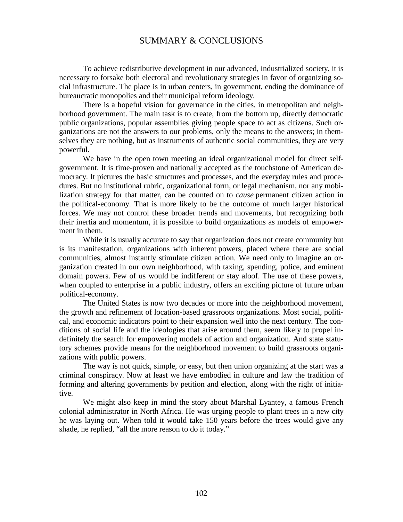#### SUMMARY & CONCLUSIONS

To achieve redistributive development in our advanced, industrialized society, it is necessary to forsake both electoral and revolutionary strategies in favor of organizing social infrastructure. The place is in urban centers, in government, ending the dominance of bureaucratic monopolies and their municipal reform ideology.

There is a hopeful vision for governance in the cities, in metropolitan and neighborhood government. The main task is to create, from the bottom up, directly democratic public organizations, popular assemblies giving people space to act as citizens. Such organizations are not the answers to our problems, only the means to the answers; in themselves they are nothing, but as instruments of authentic social communities, they are very powerful.

We have in the open town meeting an ideal organizational model for direct selfgovernment. It is time-proven and nationally accepted as the touchstone of American democracy. It pictures the basic structures and processes, and the everyday rules and procedures. But no institutional rubric, organizational form, or legal mechanism, nor any mobilization strategy for that matter, can be counted on to *cause* permanent citizen action in the political-economy. That is more likely to be the outcome of much larger historical forces. We may not control these broader trends and movements, but recognizing both their inertia and momentum, it is possible to build organizations as models of empowerment in them.

While it is usually accurate to say that organization does not create community but is its manifestation, organizations with inherent powers, placed where there are social communities, almost instantly stimulate citizen action. We need only to imagine an organization created in our own neighborhood, with taxing, spending, police, and eminent domain powers. Few of us would be indifferent or stay aloof. The use of these powers, when coupled to enterprise in a public industry, offers an exciting picture of future urban political-economy.

The United States is now two decades or more into the neighborhood movement, the growth and refinement of location-based grassroots organizations. Most social, political, and economic indicators point to their expansion well into the next century. The conditions of social life and the ideologies that arise around them, seem likely to propel indefinitely the search for empowering models of action and organization. And state statutory schemes provide means for the neighborhood movement to build grassroots organizations with public powers.

The way is not quick, simple, or easy, but then union organizing at the start was a criminal conspiracy. Now at least we have embodied in culture and law the tradition of forming and altering governments by petition and election, along with the right of initiative.

We might also keep in mind the story about Marshal Lyantey, a famous French colonial administrator in North Africa. He was urging people to plant trees in a new city he was laying out. When told it would take 150 years before the trees would give any shade, he replied, "all the more reason to do it today."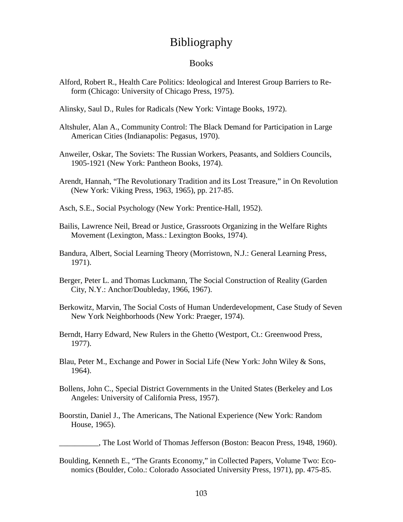# Bibliography

#### Books

- Alford, Robert R., Health Care Politics: Ideological and Interest Group Barriers to Reform (Chicago: University of Chicago Press, 1975).
- Alinsky, Saul D., Rules for Radicals (New York: Vintage Books, 1972).
- Altshuler, Alan A., Community Control: The Black Demand for Participation in Large American Cities (Indianapolis: Pegasus, 1970).
- Anweiler, Oskar, The Soviets: The Russian Workers, Peasants, and Soldiers Councils, 1905-1921 (New York: Pantheon Books, 1974).
- Arendt, Hannah, "The Revolutionary Tradition and its Lost Treasure," in On Revolution (New York: Viking Press, 1963, 1965), pp. 217-85.
- Asch, S.E., Social Psychology (New York: Prentice-Hall, 1952).
- Bailis, Lawrence Neil, Bread or Justice, Grassroots Organizing in the Welfare Rights Movement (Lexington, Mass.: Lexington Books, 1974).
- Bandura, Albert, Social Learning Theory (Morristown, N.J.: General Learning Press, 1971).
- Berger, Peter L. and Thomas Luckmann, The Social Construction of Reality (Garden City, N.Y.: Anchor/Doubleday, 1966, 1967).
- Berkowitz, Marvin, The Social Costs of Human Underdevelopment, Case Study of Seven New York Neighborhoods (New York: Praeger, 1974).
- Berndt, Harry Edward, New Rulers in the Ghetto (Westport, Ct.: Greenwood Press, 1977).
- Blau, Peter M., Exchange and Power in Social Life (New York: John Wiley & Sons, 1964).
- Bollens, John C., Special District Governments in the United States (Berkeley and Los Angeles: University of California Press, 1957).
- Boorstin, Daniel J., The Americans, The National Experience (New York: Random House, 1965).

\_\_\_\_\_\_\_\_\_\_, The Lost World of Thomas Jefferson (Boston: Beacon Press, 1948, 1960).

Boulding, Kenneth E., "The Grants Economy," in Collected Papers, Volume Two: Economics (Boulder, Colo.: Colorado Associated University Press, 1971), pp. 475-85.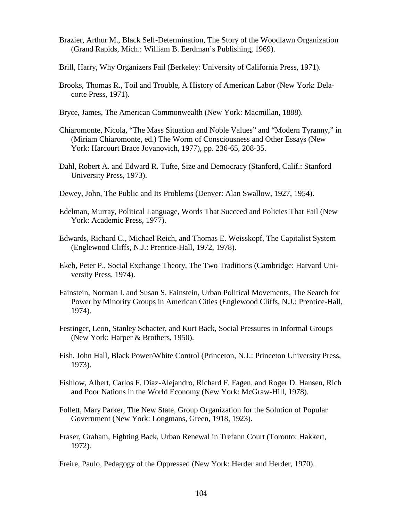- Brazier, Arthur M., Black Self-Determination, The Story of the Woodlawn Organization (Grand Rapids, Mich.: William B. Eerdman's Publishing, 1969).
- Brill, Harry, Why Organizers Fail (Berkeley: University of California Press, 1971).
- Brooks, Thomas R., Toil and Trouble, A History of American Labor (New York: Delacorte Press, 1971).
- Bryce, James, The American Commonwealth (New York: Macmillan, 1888).
- Chiaromonte, Nicola, "The Mass Situation and Noble Values" and "Modern Tyranny," in (Miriam Chiaromonte, ed.) The Worm of Consciousness and Other Essays (New York: Harcourt Brace Jovanovich, 1977), pp. 236-65, 208-35.
- Dahl, Robert A. and Edward R. Tufte, Size and Democracy (Stanford, Calif.: Stanford University Press, 1973).
- Dewey, John, The Public and Its Problems (Denver: Alan Swallow, 1927, 1954).
- Edelman, Murray, Political Language, Words That Succeed and Policies That Fail (New York: Academic Press, 1977).
- Edwards, Richard C., Michael Reich, and Thomas E. Weisskopf, The Capitalist System (Englewood Cliffs, N.J.: Prentice-Hall, 1972, 1978).
- Ekeh, Peter P., Social Exchange Theory, The Two Traditions (Cambridge: Harvard University Press, 1974).
- Fainstein, Norman I. and Susan S. Fainstein, Urban Political Movements, The Search for Power by Minority Groups in American Cities (Englewood Cliffs, N.J.: Prentice-Hall, 1974).
- Festinger, Leon, Stanley Schacter, and Kurt Back, Social Pressures in Informal Groups (New York: Harper & Brothers, 1950).
- Fish, John Hall, Black Power/White Control (Princeton, N.J.: Princeton University Press, 1973).
- Fishlow, Albert, Carlos F. Diaz-Alejandro, Richard F. Fagen, and Roger D. Hansen, Rich and Poor Nations in the World Economy (New York: McGraw-Hill, 1978).
- Follett, Mary Parker, The New State, Group Organization for the Solution of Popular Government (New York: Longmans, Green, 1918, 1923).
- Fraser, Graham, Fighting Back, Urban Renewal in Trefann Court (Toronto: Hakkert, 1972).

Freire, Paulo, Pedagogy of the Oppressed (New York: Herder and Herder, 1970).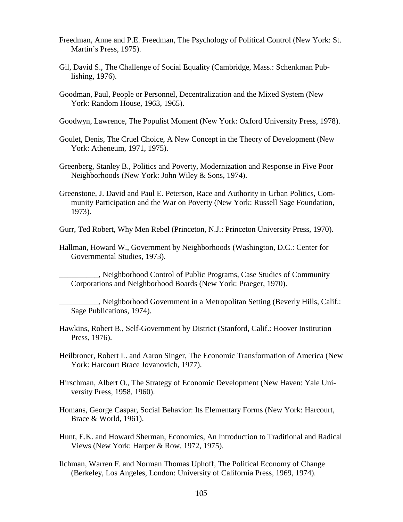- Freedman, Anne and P.E. Freedman, The Psychology of Political Control (New York: St. Martin's Press, 1975).
- Gil, David S., The Challenge of Social Equality (Cambridge, Mass.: Schenkman Publishing, 1976).
- Goodman, Paul, People or Personnel, Decentralization and the Mixed System (New York: Random House, 1963, 1965).
- Goodwyn, Lawrence, The Populist Moment (New York: Oxford University Press, 1978).
- Goulet, Denis, The Cruel Choice, A New Concept in the Theory of Development (New York: Atheneum, 1971, 1975).
- Greenberg, Stanley B., Politics and Poverty, Modernization and Response in Five Poor Neighborhoods (New York: John Wiley & Sons, 1974).
- Greenstone, J. David and Paul E. Peterson, Race and Authority in Urban Politics, Community Participation and the War on Poverty (New York: Russell Sage Foundation, 1973).

Gurr, Ted Robert, Why Men Rebel (Princeton, N.J.: Princeton University Press, 1970).

Hallman, Howard W., Government by Neighborhoods (Washington, D.C.: Center for Governmental Studies, 1973).

\_\_\_\_\_\_\_\_\_\_, Neighborhood Control of Public Programs, Case Studies of Community Corporations and Neighborhood Boards (New York: Praeger, 1970).

. Neighborhood Government in a Metropolitan Setting (Beverly Hills, Calif.: Sage Publications, 1974).

- Hawkins, Robert B., Self-Government by District (Stanford, Calif.: Hoover Institution Press, 1976).
- Heilbroner, Robert L. and Aaron Singer, The Economic Transformation of America (New York: Harcourt Brace Jovanovich, 1977).
- Hirschman, Albert O., The Strategy of Economic Development (New Haven: Yale University Press, 1958, 1960).
- Homans, George Caspar, Social Behavior: Its Elementary Forms (New York: Harcourt, Brace & World, 1961).
- Hunt, E.K. and Howard Sherman, Economics, An Introduction to Traditional and Radical Views (New York: Harper & Row, 1972, 1975).
- Ilchman, Warren F. and Norman Thomas Uphoff, The Political Economy of Change (Berkeley, Los Angeles, London: University of California Press, 1969, 1974).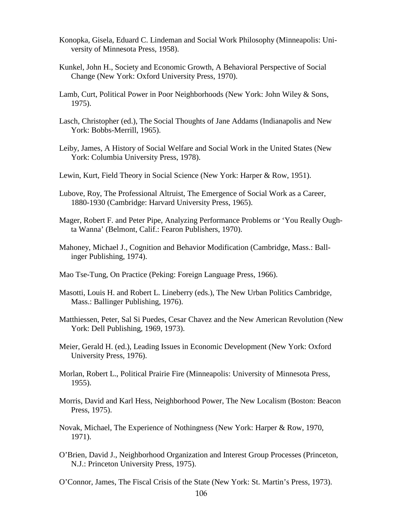- Konopka, Gisela, Eduard C. Lindeman and Social Work Philosophy (Minneapolis: University of Minnesota Press, 1958).
- Kunkel, John H., Society and Economic Growth, A Behavioral Perspective of Social Change (New York: Oxford University Press, 1970).
- Lamb, Curt, Political Power in Poor Neighborhoods (New York: John Wiley & Sons, 1975).
- Lasch, Christopher (ed.), The Social Thoughts of Jane Addams (Indianapolis and New York: Bobbs-Merrill, 1965).
- Leiby, James, A History of Social Welfare and Social Work in the United States (New York: Columbia University Press, 1978).
- Lewin, Kurt, Field Theory in Social Science (New York: Harper & Row, 1951).
- Lubove, Roy, The Professional Altruist, The Emergence of Social Work as a Career, 1880-1930 (Cambridge: Harvard University Press, 1965).
- Mager, Robert F. and Peter Pipe, Analyzing Performance Problems or 'You Really Oughta Wanna' (Belmont, Calif.: Fearon Publishers, 1970).
- Mahoney, Michael J., Cognition and Behavior Modification (Cambridge, Mass.: Ballinger Publishing, 1974).
- Mao Tse-Tung, On Practice (Peking: Foreign Language Press, 1966).
- Masotti, Louis H. and Robert L. Lineberry (eds.), The New Urban Politics Cambridge, Mass.: Ballinger Publishing, 1976).
- Matthiessen, Peter, Sal Si Puedes, Cesar Chavez and the New American Revolution (New York: Dell Publishing, 1969, 1973).
- Meier, Gerald H. (ed.), Leading Issues in Economic Development (New York: Oxford University Press, 1976).
- Morlan, Robert L., Political Prairie Fire (Minneapolis: University of Minnesota Press, 1955).
- Morris, David and Karl Hess, Neighborhood Power, The New Localism (Boston: Beacon Press, 1975).
- Novak, Michael, The Experience of Nothingness (New York: Harper & Row, 1970, 1971).
- O'Brien, David J., Neighborhood Organization and Interest Group Processes (Princeton, N.J.: Princeton University Press, 1975).
- O'Connor, James, The Fiscal Crisis of the State (New York: St. Martin's Press, 1973).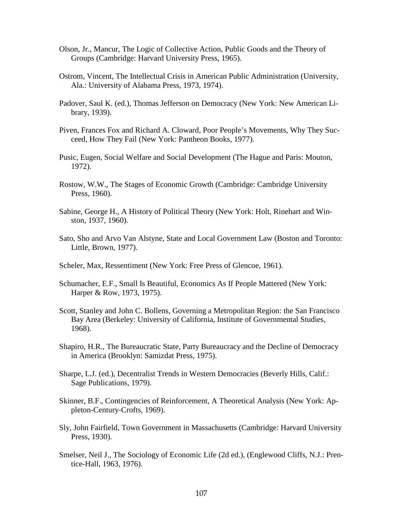- Olson, Jr., Mancur, The Logic of Collective Action, Public Goods and the Theory of Groups (Cambridge: Harvard University Press, 1965).
- Ostrom, Vincent, The Intellectual Crisis in American Public Administration (University, Ala.: University of Alabama Press, 1973, 1974).
- Padover, Saul K. (ed.), Thomas Jefferson on Democracy (New York: New American Library, 1939).
- Piven, Frances Fox and Richard A. Cloward, Poor People's Movements, Why They Succeed, How They Fail (New York: Pantheon Books, 1977).
- Pusic, Eugen, Social Welfare and Social Development (The Hague and Paris: Mouton, 1972).
- Rostow, W.W., The Stages of Economic Growth (Cambridge: Cambridge University Press, 1960).
- Sabine, George H., A History of Political Theory (New York: Holt, Rinehart and Winston, 1937, 1960).
- Sato, Sho and Arvo Van Alstyne, State and Local Government Law (Boston and Toronto: Little, Brown, 1977).
- Scheler, Max, Ressentiment (New York: Free Press of Glencoe, 1961).
- Schumacher, E.F., Small Is Beautiful, Economics As If People Mattered (New York: Harper & Row, 1973, 1975).
- Scott, Stanley and John C. Bollens, Governing a Metropolitan Region: the San Francisco Bay Area (Berkeley: University of California, Institute of Governmental Studies, 1968).
- Shapiro, H.R., The Bureaucratic State, Party Bureaucracy and the Decline of Democracy in America (Brooklyn: Samizdat Press, 1975).
- Sharpe, L.J. (ed.), Decentralist Trends in Western Democracies (Beverly Hills, Calif.: Sage Publications, 1979).
- Skinner, B.F., Contingencies of Reinforcement, A Theoretical Analysis (New York: Appleton-Century-Crofts, 1969).
- Sly, John Fairfield, Town Government in Massachusetts (Cambridge: Harvard University Press, 1930).
- Smelser, Neil J., The Sociology of Economic Life (2d ed.), (Englewood Cliffs, N.J.: Prentice-Hall, 1963, 1976).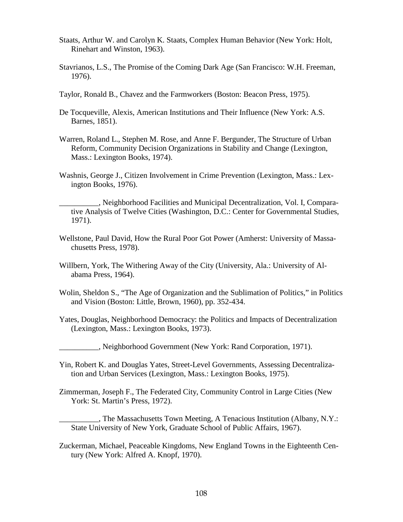- Staats, Arthur W. and Carolyn K. Staats, Complex Human Behavior (New York: Holt, Rinehart and Winston, 1963).
- Stavrianos, L.S., The Promise of the Coming Dark Age (San Francisco: W.H. Freeman, 1976).
- Taylor, Ronald B., Chavez and the Farmworkers (Boston: Beacon Press, 1975).
- De Tocqueville, Alexis, American Institutions and Their Influence (New York: A.S. Barnes, 1851).
- Warren, Roland L., Stephen M. Rose, and Anne F. Bergunder, The Structure of Urban Reform, Community Decision Organizations in Stability and Change (Lexington, Mass.: Lexington Books, 1974).
- Washnis, George J., Citizen Involvement in Crime Prevention (Lexington, Mass.: Lexington Books, 1976).

\_\_\_\_\_\_\_\_\_\_, Neighborhood Facilities and Municipal Decentralization, Vol. I, Comparative Analysis of Twelve Cities (Washington, D.C.: Center for Governmental Studies, 1971).

- Wellstone, Paul David, How the Rural Poor Got Power (Amherst: University of Massachusetts Press, 1978).
- Willbern, York, The Withering Away of the City (University, Ala.: University of Alabama Press, 1964).
- Wolin, Sheldon S., "The Age of Organization and the Sublimation of Politics," in Politics and Vision (Boston: Little, Brown, 1960), pp. 352-434.
- Yates, Douglas, Neighborhood Democracy: the Politics and Impacts of Decentralization (Lexington, Mass.: Lexington Books, 1973).

\_\_\_\_\_\_\_\_\_\_, Neighborhood Government (New York: Rand Corporation, 1971).

- Yin, Robert K. and Douglas Yates, Street-Level Governments, Assessing Decentralization and Urban Services (Lexington, Mass.: Lexington Books, 1975).
- Zimmerman, Joseph F., The Federated City, Community Control in Large Cities (New York: St. Martin's Press, 1972).
	- \_\_\_\_\_\_\_\_\_\_, The Massachusetts Town Meeting, A Tenacious Institution (Albany, N.Y.: State University of New York, Graduate School of Public Affairs, 1967).
- Zuckerman, Michael, Peaceable Kingdoms, New England Towns in the Eighteenth Century (New York: Alfred A. Knopf, 1970).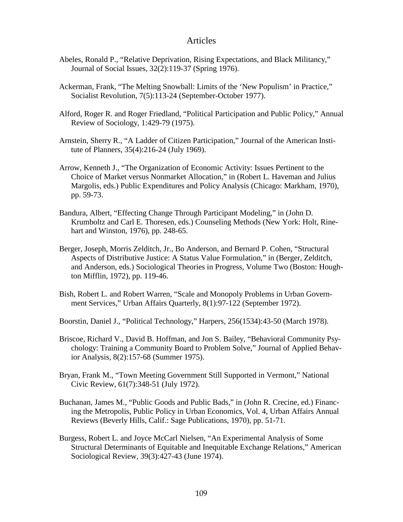#### Articles

- Abeles, Ronald P., "Relative Deprivation, Rising Expectations, and Black Militancy," Journal of Social Issues, 32(2):119-37 (Spring 1976).
- Ackerman, Frank, "The Melting Snowball: Limits of the 'New Populism' in Practice," Socialist Revolution, 7(5):113-24 (September-October 1977).
- Alford, Roger R. and Roger Friedland, "Political Participation and Public Policy," Annual Review of Sociology, 1:429-79 (1975).
- Arnstein, Sherry R., "A Ladder of Citizen Participation," Journal of the American Institute of Planners, 35(4):216-24 (July 1969).
- Arrow, Kenneth J., "The Organization of Economic Activity: Issues Pertinent to the Choice of Market versus Nonmarket Allocation," in (Robert L. Haveman and Julius Margolis, eds.) Public Expenditures and Policy Analysis (Chicago: Markham, 1970), pp. 59-73.
- Bandura, Albert, "Effecting Change Through Participant Modeling," in (John D. Krumboltz and Carl E. Thoresen, eds.) Counseling Methods (New York: Holt, Rinehart and Winston, 1976), pp. 248-65.
- Berger, Joseph, Morris Zelditch, Jr., Bo Anderson, and Bernard P. Cohen, "Structural Aspects of Distributive Justice: A Status Value Formulation," in (Berger, Zelditch, and Anderson, eds.) Sociological Theories in Progress, Volume Two (Boston: Houghton Mifflin, 1972), pp. 119-46.
- Bish, Robert L. and Robert Warren, "Scale and Monopoly Problems in Urban Government Services," Urban Affairs Quarterly, 8(1):97-122 (September 1972).
- Boorstin, Daniel J., "Political Technology," Harpers, 256(1534):43-50 (March 1978).
- Briscoe, Richard V., David B. Hoffman, and Jon S. Bailey, "Behavioral Community Psychology: Training a Community Board to Problem Solve," Journal of Applied Behavior Analysis, 8(2):157-68 (Summer 1975).
- Bryan, Frank M., "Town Meeting Government Still Supported in Vermont," National Civic Review, 61(7):348-51 (July 1972).
- Buchanan, James M., "Public Goods and Public Bads," in (John R. Crecine, ed.) Financing the Metropolis, Public Policy in Urban Economics, Vol. 4, Urban Affairs Annual Reviews (Beverly Hills, Calif.: Sage Publications, 1970), pp. 51-71.
- Burgess, Robert L. and Joyce McCarl Nielsen, "An Experimental Analysis of Some Structural Determinants of Equitable and Inequitable Exchange Relations," American Sociological Review, 39(3):427-43 (June 1974).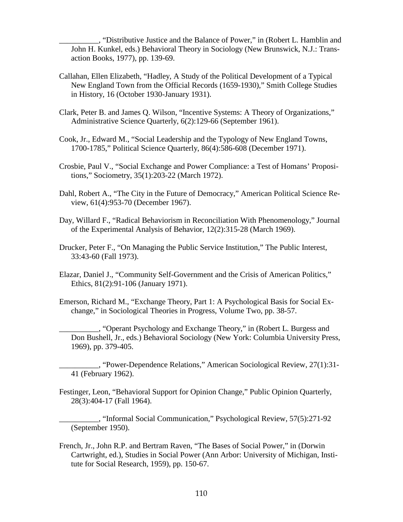\_\_\_\_\_\_\_\_\_\_, "Distributive Justice and the Balance of Power," in (Robert L. Hamblin and John H. Kunkel, eds.) Behavioral Theory in Sociology (New Brunswick, N.J.: Transaction Books, 1977), pp. 139-69.

- Callahan, Ellen Elizabeth, "Hadley, A Study of the Political Development of a Typical New England Town from the Official Records (1659-1930)," Smith College Studies in History, 16 (October 1930-January 1931).
- Clark, Peter B. and James Q. Wilson, "Incentive Systems: A Theory of Organizations," Administrative Science Quarterly, 6(2):129-66 (September 1961).
- Cook, Jr., Edward M., "Social Leadership and the Typology of New England Towns, 1700-1785," Political Science Quarterly, 86(4):586-608 (December 1971).
- Crosbie, Paul V., "Social Exchange and Power Compliance: a Test of Homans' Propositions," Sociometry, 35(1):203-22 (March 1972).
- Dahl, Robert A., "The City in the Future of Democracy," American Political Science Review, 61(4):953-70 (December 1967).
- Day, Willard F., "Radical Behaviorism in Reconciliation With Phenomenology," Journal of the Experimental Analysis of Behavior, 12(2):315-28 (March 1969).
- Drucker, Peter F., "On Managing the Public Service Institution," The Public Interest, 33:43-60 (Fall 1973).
- Elazar, Daniel J., "Community Self-Government and the Crisis of American Politics," Ethics, 81(2):91-106 (January 1971).
- Emerson, Richard M., "Exchange Theory, Part 1: A Psychological Basis for Social Exchange," in Sociological Theories in Progress, Volume Two, pp. 38-57.
	- \_\_\_\_\_\_\_\_\_\_, "Operant Psychology and Exchange Theory," in (Robert L. Burgess and Don Bushell, Jr., eds.) Behavioral Sociology (New York: Columbia University Press, 1969), pp. 379-405.
	- \_\_\_\_\_\_\_\_\_\_, "Power-Dependence Relations," American Sociological Review, 27(1):31- 41 (February 1962).
- Festinger, Leon, "Behavioral Support for Opinion Change," Public Opinion Quarterly, 28(3):404-17 (Fall 1964).
- \_\_\_\_\_\_\_\_\_\_, "Informal Social Communication," Psychological Review, 57(5):271-92 (September 1950).
- French, Jr., John R.P. and Bertram Raven, "The Bases of Social Power," in (Dorwin Cartwright, ed.), Studies in Social Power (Ann Arbor: University of Michigan, Institute for Social Research, 1959), pp. 150-67.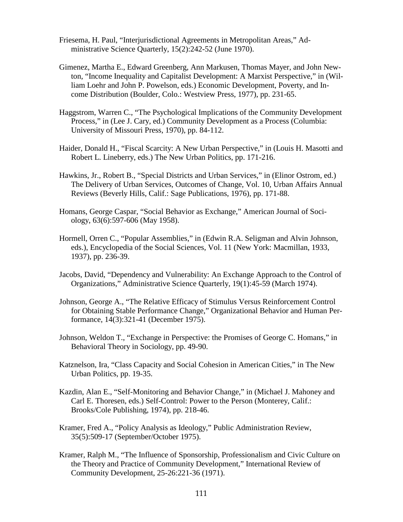- Friesema, H. Paul, "Interjurisdictional Agreements in Metropolitan Areas," Administrative Science Quarterly, 15(2):242-52 (June 1970).
- Gimenez, Martha E., Edward Greenberg, Ann Markusen, Thomas Mayer, and John Newton, "Income Inequality and Capitalist Development: A Marxist Perspective," in (William Loehr and John P. Powelson, eds.) Economic Development, Poverty, and Income Distribution (Boulder, Colo.: Westview Press, 1977), pp. 231-65.
- Haggstrom, Warren C., "The Psychological Implications of the Community Development Process," in (Lee J. Cary, ed.) Community Development as a Process (Columbia: University of Missouri Press, 1970), pp. 84-112.
- Haider, Donald H., "Fiscal Scarcity: A New Urban Perspective," in (Louis H. Masotti and Robert L. Lineberry, eds.) The New Urban Politics, pp. 171-216.
- Hawkins, Jr., Robert B., "Special Districts and Urban Services," in (Elinor Ostrom, ed.) The Delivery of Urban Services, Outcomes of Change, Vol. 10, Urban Affairs Annual Reviews (Beverly Hills, Calif.: Sage Publications, 1976), pp. 171-88.
- Homans, George Caspar, "Social Behavior as Exchange," American Journal of Sociology, 63(6):597-606 (May 1958).
- Hormell, Orren C., "Popular Assemblies," in (Edwin R.A. Seligman and Alvin Johnson, eds.), Encyclopedia of the Social Sciences, Vol. 11 (New York: Macmillan, 1933, 1937), pp. 236-39.
- Jacobs, David, "Dependency and Vulnerability: An Exchange Approach to the Control of Organizations," Administrative Science Quarterly, 19(1):45-59 (March 1974).
- Johnson, George A., "The Relative Efficacy of Stimulus Versus Reinforcement Control for Obtaining Stable Performance Change," Organizational Behavior and Human Performance, 14(3):321-41 (December 1975).
- Johnson, Weldon T., "Exchange in Perspective: the Promises of George C. Homans," in Behavioral Theory in Sociology, pp. 49-90.
- Katznelson, Ira, "Class Capacity and Social Cohesion in American Cities," in The New Urban Politics, pp. 19-35.
- Kazdin, Alan E., "Self-Monitoring and Behavior Change," in (Michael J. Mahoney and Carl E. Thoresen, eds.) Self-Control: Power to the Person (Monterey, Calif.: Brooks/Cole Publishing, 1974), pp. 218-46.
- Kramer, Fred A., "Policy Analysis as Ideology," Public Administration Review, 35(5):509-17 (September/October 1975).
- Kramer, Ralph M., "The Influence of Sponsorship, Professionalism and Civic Culture on the Theory and Practice of Community Development," International Review of Community Development, 25-26:221-36 (1971).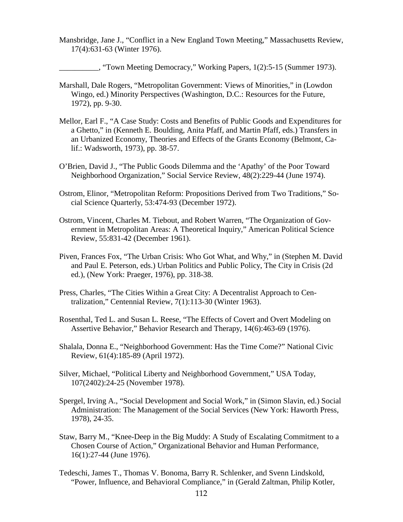- Mansbridge, Jane J., "Conflict in a New England Town Meeting," Massachusetts Review, 17(4):631-63 (Winter 1976).
	- \_\_\_\_\_\_\_\_\_\_, "Town Meeting Democracy," Working Papers, 1(2):5-15 (Summer 1973).
- Marshall, Dale Rogers, "Metropolitan Government: Views of Minorities," in (Lowdon Wingo, ed.) Minority Perspectives (Washington, D.C.: Resources for the Future, 1972), pp. 9-30.
- Mellor, Earl F., "A Case Study: Costs and Benefits of Public Goods and Expenditures for a Ghetto," in (Kenneth E. Boulding, Anita Pfaff, and Martin Pfaff, eds.) Transfers in an Urbanized Economy, Theories and Effects of the Grants Economy (Belmont, Calif.: Wadsworth, 1973), pp. 38-57.
- O'Brien, David J., "The Public Goods Dilemma and the 'Apathy' of the Poor Toward Neighborhood Organization," Social Service Review, 48(2):229-44 (June 1974).
- Ostrom, Elinor, "Metropolitan Reform: Propositions Derived from Two Traditions," Social Science Quarterly, 53:474-93 (December 1972).
- Ostrom, Vincent, Charles M. Tiebout, and Robert Warren, "The Organization of Government in Metropolitan Areas: A Theoretical Inquiry," American Political Science Review, 55:831-42 (December 1961).
- Piven, Frances Fox, "The Urban Crisis: Who Got What, and Why," in (Stephen M. David and Paul E. Peterson, eds.) Urban Politics and Public Policy, The City in Crisis (2d ed.), (New York: Praeger, 1976), pp. 318-38.
- Press, Charles, "The Cities Within a Great City: A Decentralist Approach to Centralization," Centennial Review, 7(1):113-30 (Winter 1963).
- Rosenthal, Ted L. and Susan L. Reese, "The Effects of Covert and Overt Modeling on Assertive Behavior," Behavior Research and Therapy, 14(6):463-69 (1976).
- Shalala, Donna E., "Neighborhood Government: Has the Time Come?" National Civic Review, 61(4):185-89 (April 1972).
- Silver, Michael, "Political Liberty and Neighborhood Government," USA Today, 107(2402):24-25 (November 1978).
- Spergel, Irving A., "Social Development and Social Work," in (Simon Slavin, ed.) Social Administration: The Management of the Social Services (New York: Haworth Press, 1978), 24-35.
- Staw, Barry M., "Knee-Deep in the Big Muddy: A Study of Escalating Commitment to a Chosen Course of Action," Organizational Behavior and Human Performance, 16(1):27-44 (June 1976).
- Tedeschi, James T., Thomas V. Bonoma, Barry R. Schlenker, and Svenn Lindskold, "Power, Influence, and Behavioral Compliance," in (Gerald Zaltman, Philip Kotler,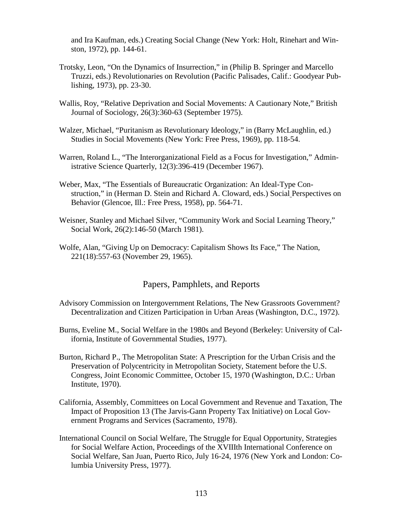and Ira Kaufman, eds.) Creating Social Change (New York: Holt, Rinehart and Winston, 1972), pp. 144-61.

- Trotsky, Leon, "On the Dynamics of Insurrection," in (Philip B. Springer and Marcello Truzzi, eds.) Revolutionaries on Revolution (Pacific Palisades, Calif.: Goodyear Publishing, 1973), pp. 23-30.
- Wallis, Roy, "Relative Deprivation and Social Movements: A Cautionary Note," British Journal of Sociology, 26(3):360-63 (September 1975).
- Walzer, Michael, "Puritanism as Revolutionary Ideology," in (Barry McLaughlin, ed.) Studies in Social Movements (New York: Free Press, 1969), pp. 118-54.
- Warren, Roland L., "The Interorganizational Field as a Focus for Investigation," Administrative Science Quarterly, 12(3):396-419 (December 1967).
- Weber, Max, "The Essentials of Bureaucratic Organization: An Ideal-Type Construction," in (Herman D. Stein and Richard A. Cloward, eds.) Social Perspectives on Behavior (Glencoe, Ill.: Free Press, 1958), pp. 564-71.
- Weisner, Stanley and Michael Silver, "Community Work and Social Learning Theory," Social Work, 26(2):146-50 (March 1981).
- Wolfe, Alan, "Giving Up on Democracy: Capitalism Shows Its Face," The Nation*,*  221(18):557-63 (November 29, 1965).

### Papers, Pamphlets, and Reports

- Advisory Commission on Intergovernment Relations, The New Grassroots Government? Decentralization and Citizen Participation in Urban Areas (Washington, D.C., 1972).
- Burns, Eveline M., Social Welfare in the 1980s and Beyond (Berkeley: University of California, Institute of Governmental Studies, 1977).
- Burton, Richard P., The Metropolitan State: A Prescription for the Urban Crisis and the Preservation of Polycentricity in Metropolitan Society, Statement before the U.S. Congress, Joint Economic Committee, October 15, 1970 (Washington, D.C.: Urban Institute, 1970).
- California, Assembly, Committees on Local Government and Revenue and Taxation, The Impact of Proposition 13 (The Jarvis-Gann Property Tax Initiative) on Local Government Programs and Services (Sacramento, 1978).
- International Council on Social Welfare, The Struggle for Equal Opportunity, Strategies for Social Welfare Action, Proceedings of the XVIIIth International Conference on Social Welfare, San Juan, Puerto Rico, July 16-24, 1976 (New York and London: Columbia University Press, 1977).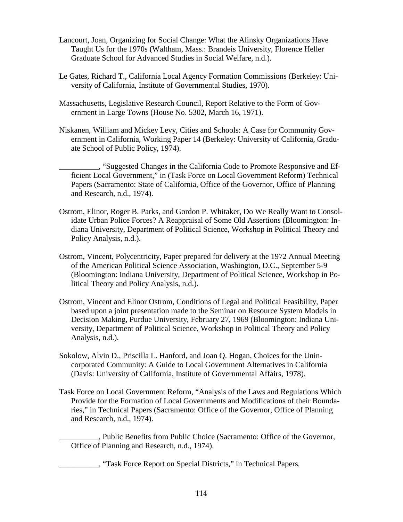- Lancourt, Joan, Organizing for Social Change: What the Alinsky Organizations Have Taught Us for the 1970s (Waltham, Mass.: Brandeis University, Florence Heller Graduate School for Advanced Studies in Social Welfare, n.d.).
- Le Gates, Richard T., California Local Agency Formation Commissions (Berkeley: University of California, Institute of Governmental Studies, 1970).
- Massachusetts, Legislative Research Council, Report Relative to the Form of Government in Large Towns (House No. 5302, March 16, 1971).
- Niskanen, William and Mickey Levy, Cities and Schools: A Case for Community Government in California, Working Paper 14 (Berkeley: University of California, Graduate School of Public Policy, 1974).
	- \_\_\_\_\_\_\_\_\_\_, "Suggested Changes in the California Code to Promote Responsive and Efficient Local Government," in (Task Force on Local Government Reform) Technical Papers (Sacramento: State of California, Office of the Governor, Office of Planning and Research, n.d., 1974).
- Ostrom, Elinor, Roger B. Parks, and Gordon P. Whitaker, Do We Really Want to Consolidate Urban Police Forces? A Reappraisal of Some Old Assertions (Bloomington: Indiana University, Department of Political Science, Workshop in Political Theory and Policy Analysis, n.d.).
- Ostrom, Vincent, Polycentricity, Paper prepared for delivery at the 1972 Annual Meeting of the American Political Science Association, Washington, D.C., September 5-9 (Bloomington: Indiana University, Department of Political Science, Workshop in Political Theory and Policy Analysis, n.d.).
- Ostrom, Vincent and Elinor Ostrom, Conditions of Legal and Political Feasibility, Paper based upon a joint presentation made to the Seminar on Resource System Models in Decision Making, Purdue University, February 27, 1969 (Bloomington: Indiana University, Department of Political Science, Workshop in Political Theory and Policy Analysis, n.d.).
- Sokolow, Alvin D., Priscilla L. Hanford, and Joan Q. Hogan, Choices for the Unincorporated Community: A Guide to Local Government Alternatives in California (Davis: University of California, Institute of Governmental Affairs, 1978).
- Task Force on Local Government Reform, "Analysis of the Laws and Regulations Which Provide for the Formation of Local Governments and Modifications of their Boundaries," in Technical Papers (Sacramento: Office of the Governor, Office of Planning and Research, n.d., 1974).

\_\_\_\_\_\_\_\_\_\_, Public Benefits from Public Choice (Sacramento: Office of the Governor, Office of Planning and Research, n.d., 1974).

\_\_\_\_\_\_\_\_\_\_, "Task Force Report on Special Districts," in Technical Papers*.*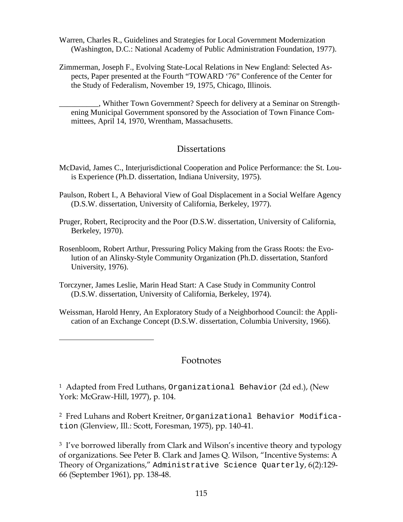- Warren, Charles R., Guidelines and Strategies for Local Government Modernization (Washington, D.C.: National Academy of Public Administration Foundation, 1977).
- Zimmerman, Joseph F., Evolving State-Local Relations in New England: Selected Aspects, Paper presented at the Fourth "TOWARD '76" Conference of the Center for the Study of Federalism, November 19, 1975, Chicago, Illinois.

\_\_\_\_\_\_\_\_\_\_, Whither Town Government? Speech for delivery at a Seminar on Strengthening Municipal Government sponsored by the Association of Town Finance Committees, April 14, 1970, Wrentham, Massachusetts.

## **Dissertations**

- McDavid, James C., Interjurisdictional Cooperation and Police Performance: the St. Louis Experience (Ph.D. dissertation, Indiana University, 1975).
- Paulson, Robert I., A Behavioral View of Goal Displacement in a Social Welfare Agency (D.S.W. dissertation, University of California, Berkeley, 1977).
- Pruger, Robert, Reciprocity and the Poor (D.S.W. dissertation, University of California, Berkeley, 1970).
- Rosenbloom, Robert Arthur, Pressuring Policy Making from the Grass Roots: the Evolution of an Alinsky-Style Community Organization (Ph.D. dissertation, Stanford University, 1976).
- Torczyner, James Leslie, Marin Head Start: A Case Study in Community Control (D.S.W. dissertation, University of California, Berkeley, 1974).

 $\overline{a}$ 

Weissman, Harold Henry, An Exploratory Study of a Neighborhood Council: the Application of an Exchange Concept (D.S.W. dissertation, Columbia University, 1966).

## Footnotes

<sup>1</sup> Adapted from Fred Luthans, Organizational Behavior (2d ed.), (New York: McGraw-Hill, 1977), p. 104.

2 Fred Luhans and Robert Kreitner, Organizational Behavior Modification (Glenview, Ill.: Scott, Foresman, 1975), pp. 140-41.

<sup>3</sup> I've borrowed liberally from Clark and Wilson's incentive theory and typology of organizations. See Peter B. Clark and James Q. Wilson, "Incentive Systems: A Theory of Organizations," Administrative Science Quarterly, 6(2):129- 66 (September 1961), pp. 138-48.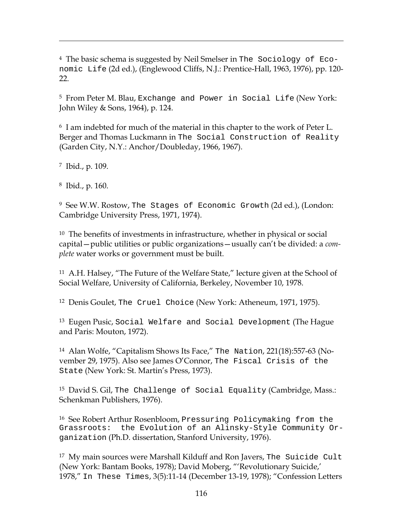4 The basic schema is suggested by Neil Smelser in The Sociology of Economic Life (2d ed.), (Englewood Cliffs, N.J.: Prentice-Hall, 1963, 1976), pp. 120-  $22.$ 

5 From Peter M. Blau, Exchange and Power in Social Life (New York: John Wiley & Sons, 1964), p. 124.

6 I am indebted for much of the material in this chapter to the work of Peter L. Berger and Thomas Luckmann in The Social Construction of Reality (Garden City, N.Y.: Anchor/Doubleday, 1966, 1967).

7 Ibid., p. 109.

 $\overline{a}$ 

8 Ibid., p. 160.

9 See W.W. Rostow, The Stages of Economic Growth (2d ed.), (London: Cambridge University Press, 1971, 1974).

10 The benefits of investments in infrastructure, whether in physical or social capital—public utilities or public organizations—usually can't be divided: a *complete* water works or government must be built.

11 A.H. Halsey, "The Future of the Welfare State," lecture given at the School of Social Welfare, University of California, Berkeley, November 10, 1978.

12 Denis Goulet, The Cruel Choice (New York: Atheneum, 1971, 1975).

13 Eugen Pusic, Social Welfare and Social Development (The Hague and Paris: Mouton, 1972).

14 Alan Wolfe, "Capitalism Shows Its Face," The Nation, 221(18):557-63 (November 29, 1975). Also see James O'Connor, The Fiscal Crisis of the State (New York: St. Martin's Press, 1973).

15 David S. Gil, The Challenge of Social Equality (Cambridge, Mass.: Schenkman Publishers, 1976).

16 See Robert Arthur Rosenbloom, Pressuring Policymaking from the Grassroots: the Evolution of an Alinsky-Style Community Organization (Ph.D. dissertation, Stanford University, 1976).

17 My main sources were Marshall Kilduff and Ron Javers, The Suicide Cult (New York: Bantam Books, 1978); David Moberg, "'Revolutionary Suicide,' 1978," In These Times, 3(5):11-14 (December 13-19, 1978); "Confession Letters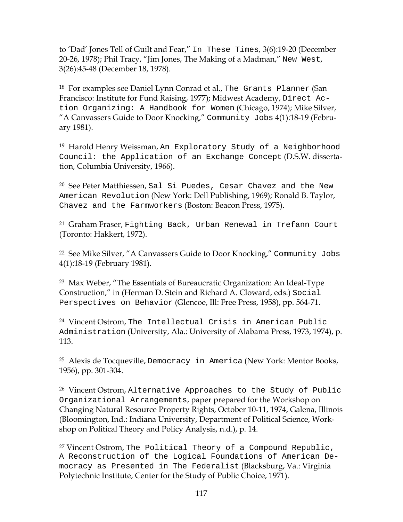$\overline{a}$ to 'Dad' Jones Tell of Guilt and Fear," In These Times*,* 3(6):19-20 (December 20-26, 1978); Phil Tracy, "Jim Jones, The Making of a Madman," New West, 3(26):45-48 (December 18, 1978).

18 For examples see Daniel Lynn Conrad et al., The Grants Planner (San Francisco: Institute for Fund Raising, 1977); Midwest Academy, Direct Action Organizing: A Handbook for Women (Chicago, 1974); Mike Silver, "A Canvassers Guide to Door Knocking," Community Jobs 4(1):18-19 (February 1981).

19 Harold Henry Weissman, An Exploratory Study of a Neighborhood Council: the Application of an Exchange Concept (D.S.W. dissertation, Columbia University, 1966).

20 See Peter Matthiessen, Sal Si Puedes, Cesar Chavez and the New American Revolution (New York: Dell Publishing, 1969); Ronald B. Taylor, Chavez and the Farmworkers (Boston: Beacon Press, 1975).

21 Graham Fraser, Fighting Back, Urban Renewal in Trefann Court (Toronto: Hakkert, 1972).

22 See Mike Silver, "A Canvassers Guide to Door Knocking," Community Jobs 4(1):18-19 (February 1981).

23 Max Weber, "The Essentials of Bureaucratic Organization: An Ideal-Type Construction," in (Herman D. Stein and Richard A. Cloward, eds.) Social Perspectives on Behavior (Glencoe, Ill: Free Press, 1958), pp. 564-71.

24 Vincent Ostrom, The Intellectual Crisis in American Public Administration (University, Ala.: University of Alabama Press, 1973, 1974), p. 113.

25 Alexis de Tocqueville, Democracy in America (New York: Mentor Books, 1956), pp. 301-304.

26 Vincent Ostrom, Alternative Approaches to the Study of Public Organizational Arrangements, paper prepared for the Workshop on Changing Natural Resource Property Rights, October 10-11, 1974, Galena, Illinois (Bloomington, Ind.: Indiana University, Department of Political Science, Workshop on Political Theory and Policy Analysis, n.d.), p. 14.

<sup>27</sup> Vincent Ostrom, The Political Theory of a Compound Republic, A Reconstruction of the Logical Foundations of American Democracy as Presented in The Federalist (Blacksburg, Va.: Virginia Polytechnic Institute, Center for the Study of Public Choice, 1971).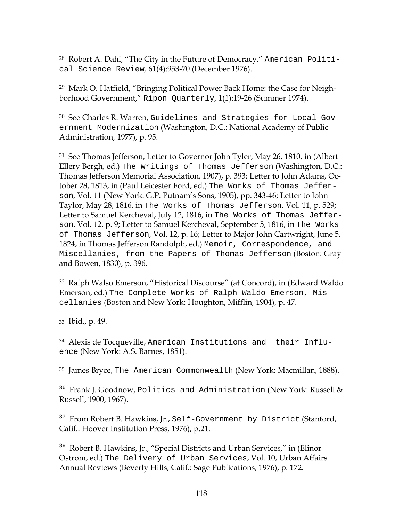28 Robert A. Dahl, "The City in the Future of Democracy," American Political Science Review*,* 61(4):953-70 (December 1976).

29 Mark O. Hatfield, "Bringing Political Power Back Home: the Case for Neighborhood Government," Ripon Quarterly, 1(1):19-26 (Summer 1974).

30 See Charles R. Warren, Guidelines and Strategies for Local Government Modernization (Washington, D.C.: National Academy of Public Administration, 1977), p. 95.

31 See Thomas Jefferson, Letter to Governor John Tyler, May 26, 1810, in (Albert Ellery Bergh, ed.) The Writings of Thomas Jefferson (Washington, D.C.: Thomas Jefferson Memorial Association, 1907), p. 393; Letter to John Adams, October 28, 1813, in (Paul Leicester Ford, ed.) The Works of Thomas Jefferson*,* Vol. 11 (New York: G.P. Putnam's Sons, 1905), pp. 343-46; Letter to John Taylor, May 28, 1816, in The Works of Thomas Jefferson, Vol. 11, p. 529; Letter to Samuel Kercheval, July 12, 1816, in The Works of Thomas Jefferson, Vol. 12, p. 9; Letter to Samuel Kercheval, September 5, 1816, in The Works of Thomas Jefferson, Vol. 12, p. 16; Letter to Major John Cartwright, June 5, 1824, in Thomas Jefferson Randolph, ed.) Memoir, Correspondence, and Miscellanies, from the Papers of Thomas Jefferson (Boston: Gray and Bowen, 1830), p. 396.

32 Ralph Walso Emerson, "Historical Discourse" (at Concord), in (Edward Waldo Emerson, ed.) The Complete Works of Ralph Waldo Emerson, Miscellanies (Boston and New York: Houghton, Mifflin, 1904), p. 47.

33 Ibid., p. 49.

 $\overline{a}$ 

34 Alexis de Tocqueville, American Institutions and their Influence (New York: A.S. Barnes, 1851).

35 James Bryce, The American Commonwealth (New York: Macmillan, 1888).

<sup>36</sup> Frank J. Goodnow, Politics and Administration (New York: Russell & Russell, 1900, 1967).

<sup>37</sup> From Robert B. Hawkins, Jr., Self-Government by District (Stanford, Calif.: Hoover Institution Press, 1976), p.21.

<sup>38</sup> Robert B. Hawkins, Jr., "Special Districts and Urban Services," in (Elinor Ostrom, ed.) The Delivery of Urban Services, Vol. 10, Urban Affairs Annual Reviews (Beverly Hills, Calif.: Sage Publications, 1976), p. 172.